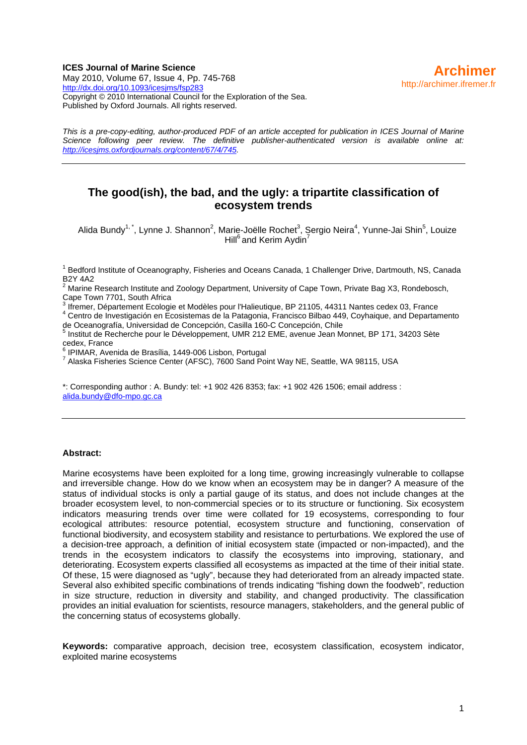### **ICES Journal of Marine Science**  May 2010, Volume 67, Issue 4, Pp. 745-768 <http://dx.doi.org/10.1093/icesjms/fsp283> Copyright © 2010 International Council for the Exploration of the Sea. Published by Oxford Journals. All rights reserved.

*This is a pre-copy-editing, author-produced PDF of an article accepted for publication in ICES Journal of Marine Science following peer review. The definitive publisher-authenticated version is available online at: <http://icesjms.oxfordjournals.org/content/67/4/745>.* 

# **The good(ish), the bad, and the ugly: a tripartite classification of ecosystem trends**

Alida Bundy<sup>1,\*</sup>, Lynne J. Shannon<sup>2</sup>, Marie-Joëlle Rochet<sup>3</sup>, Sergio Neira<sup>4</sup>, Yunne-Jai Shin<sup>5</sup>, Louize Hill<sup>6</sup> and Kerim Aydin<sup>7</sup>

<sup>1</sup> Bedford Institute of Oceanography, Fisheries and Oceans Canada, 1 Challenger Drive, Dartmouth, NS, Canada **B2Y 4A2** 

2 Marine Research Institute and Zoology Department, University of Cape Town, Private Bag X3, Rondebosch, Cape Town 7701, South Africa

3 Ifremer, Département Ecologie et Modèles pour l'Halieutique, BP 21105, 44311 Nantes cedex 03, France 4 Centro de Investigación en Ecosistemas de la Patagonia, Francisco Bilbao 449, Coyhaique, and Departamento

de Oceanografía, Universidad de Concepción, Casilla 160-C Concepción, Chile

<sup>5</sup> Institut de Recherche pour le Développement, UMR 212 EME, avenue Jean Monnet, BP 171, 34203 Sète cedex, France

6 IPIMAR, Avenida de Brasília, 1449-006 Lisbon, Portugal

<sup>7</sup> Alaska Fisheries Science Center (AFSC), 7600 Sand Point Way NE, Seattle, WA 98115, USA

\*: Corresponding author : A. Bundy: tel: +1 902 426 8353; fax: +1 902 426 1506; email address : [alida.bundy@dfo-mpo.gc.ca](mailto:alida.bundy@dfo-mpo.gc.ca)

### **Abstract:**

Marine ecosystems have been exploited for a long time, growing increasingly vulnerable to collapse and irreversible change. How do we know when an ecosystem may be in danger? A measure of the status of individual stocks is only a partial gauge of its status, and does not include changes at the broader ecosystem level, to non-commercial species or to its structure or functioning. Six ecosystem indicators measuring trends over time were collated for 19 ecosystems, corresponding to four ecological attributes: resource potential, ecosystem structure and functioning, conservation of functional biodiversity, and ecosystem stability and resistance to perturbations. We explored the use of a decision-tree approach, a definition of initial ecosystem state (impacted or non-impacted), and the trends in the ecosystem indicators to classify the ecosystems into improving, stationary, and deteriorating. Ecosystem experts classified all ecosystems as impacted at the time of their initial state. Of these, 15 were diagnosed as "ugly", because they had deteriorated from an already impacted state. Several also exhibited specific combinations of trends indicating "fishing down the foodweb", reduction in size structure, reduction in diversity and stability, and changed productivity. The classification provides an initial evaluation for scientists, resource managers, stakeholders, and the general public of the concerning status of ecosystems globally.

**Keywords:** comparative approach, decision tree, ecosystem classification, ecosystem indicator, exploited marine ecosystems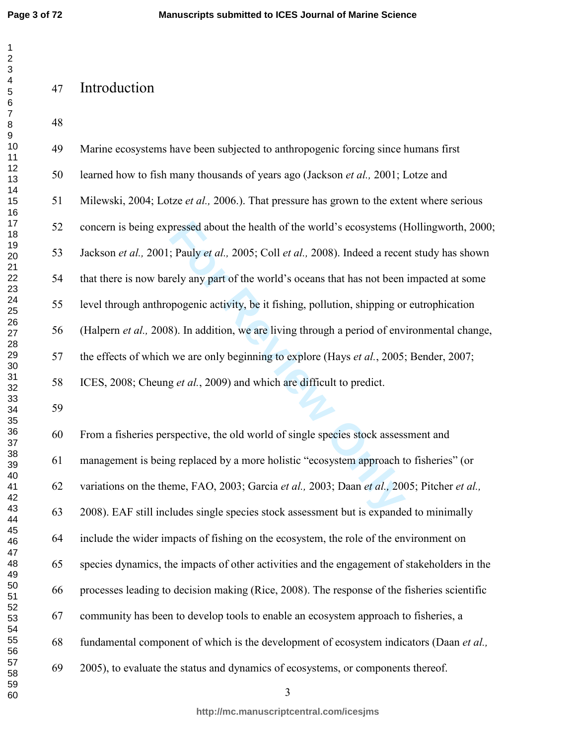$\mathbf 1$  $\overline{2}$  $\overline{\mathbf{4}}$  $\overline{7}$  $\bf 8$ 

 

# Introduction

| 49 | Marine ecosystems have been subjected to anthropogenic forcing since humans first               |
|----|-------------------------------------------------------------------------------------------------|
| 50 | learned how to fish many thousands of years ago (Jackson et al., 2001; Lotze and                |
| 51 | Milewski, 2004; Lotze et al., 2006.). That pressure has grown to the extent where serious       |
| 52 | concern is being expressed about the health of the world's ecosystems (Hollingworth, 2000;      |
| 53 | Jackson et al., 2001; Pauly et al., 2005; Coll et al., 2008). Indeed a recent study has shown   |
| 54 | that there is now barely any part of the world's oceans that has not been impacted at some      |
| 55 | level through anthropogenic activity, be it fishing, pollution, shipping or eutrophication      |
| 56 | (Halpern et al., 2008). In addition, we are living through a period of environmental change,    |
| 57 | the effects of which we are only beginning to explore (Hays <i>et al.</i> , 2005; Bender, 2007; |
| 58 | ICES, 2008; Cheung et al., 2009) and which are difficult to predict.                            |
| 59 |                                                                                                 |
|    |                                                                                                 |
| 60 | From a fisheries perspective, the old world of single species stock assessment and              |
| 61 | management is being replaced by a more holistic "ecosystem approach to fisheries" (or           |
| 62 | variations on the theme, FAO, 2003; Garcia et al., 2003; Daan et al., 2005; Pitcher et al.,     |
| 63 | 2008). EAF still includes single species stock assessment but is expanded to minimally          |
| 64 | include the wider impacts of fishing on the ecosystem, the role of the environment on           |
| 65 | species dynamics, the impacts of other activities and the engagement of stakeholders in the     |
| 66 | processes leading to decision making (Rice, 2008). The response of the fisheries scientific     |
| 67 | community has been to develop tools to enable an ecosystem approach to fisheries, a             |
| 68 | fundamental component of which is the development of ecosystem indicators (Daan et al.,         |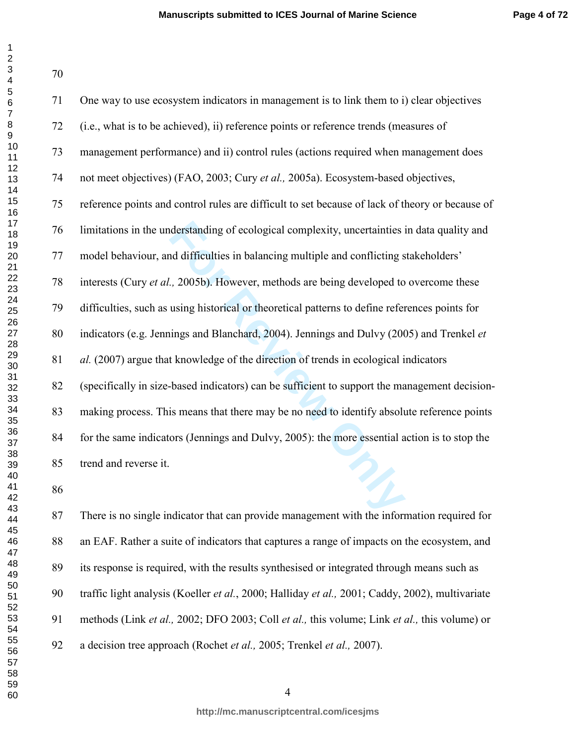| 1                                             |
|-----------------------------------------------|
| 2                                             |
|                                               |
|                                               |
|                                               |
| 34567                                         |
|                                               |
|                                               |
|                                               |
|                                               |
|                                               |
|                                               |
|                                               |
|                                               |
|                                               |
|                                               |
|                                               |
|                                               |
| 891011213141516178                            |
| $1920$<br>$20223$<br>$2425$<br>$2627$<br>$28$ |
|                                               |
|                                               |
|                                               |
|                                               |
|                                               |
|                                               |
|                                               |
|                                               |
|                                               |
|                                               |
| 29                                            |
|                                               |
|                                               |
| $30$ 31 $32$ 33 $34$ 35 $36$ 37 $38$          |
|                                               |
|                                               |
|                                               |
|                                               |
|                                               |
|                                               |
| -<br>39                                       |
| 40                                            |
| 41                                            |
| 4                                             |
| 4.                                            |
| 44                                            |
| 45                                            |
|                                               |
| 46                                            |
| 47                                            |
| 48                                            |
| 49                                            |
| 50                                            |
| 51                                            |
| $\frac{1}{5}$<br>$\overline{ }$               |
| E<br>X<br>3                                   |
| 54                                            |
| 55                                            |
| 56<br>ć                                       |
| 57                                            |
| 58                                            |
| 59                                            |
| 60                                            |
|                                               |

| 71 | One way to use ecosystem indicators in management is to link them to i) clear objectives        |
|----|-------------------------------------------------------------------------------------------------|
| 72 | (i.e., what is to be achieved), ii) reference points or reference trends (measures of           |
| 73 | management performance) and ii) control rules (actions required when management does            |
| 74 | not meet objectives) (FAO, 2003; Cury et al., 2005a). Ecosystem-based objectives,               |
| 75 | reference points and control rules are difficult to set because of lack of theory or because of |
| 76 | limitations in the understanding of ecological complexity, uncertainties in data quality and    |
| 77 | model behaviour, and difficulties in balancing multiple and conflicting stakeholders'           |
| 78 | interests (Cury et al., 2005b). However, methods are being developed to overcome these          |
| 79 | difficulties, such as using historical or theoretical patterns to define references points for  |
| 80 | indicators (e.g. Jennings and Blanchard, 2004). Jennings and Dulvy (2005) and Trenkel et        |
| 81 | al. (2007) argue that knowledge of the direction of trends in ecological indicators             |
| 82 | (specifically in size-based indicators) can be sufficient to support the management decision-   |
| 83 | making process. This means that there may be no need to identify absolute reference points      |
| 84 | for the same indicators (Jennings and Dulvy, 2005): the more essential action is to stop the    |
| 85 | trend and reverse it.                                                                           |
| 86 |                                                                                                 |
| 87 | There is no single indicator that can provide management with the information required for      |

87 There is no single indicator that can provide management with the information required for 88 an EAF. Rather a suite of indicators that captures a range of impacts on the ecosystem, and 89 its response is required, with the results synthesised or integrated through means such as 90 traffic light analysis (Koeller *et al.*, 2000; Halliday *et al.,* 2001; Caddy, 2002), multivariate 91 methods (Link *et al.,* 2002; DFO 2003; Coll *et al.,* this volume; Link *et al.,* this volume) or 92 a decision tree approach (Rochet *et al.,* 2005; Trenkel *et al.,* 2007).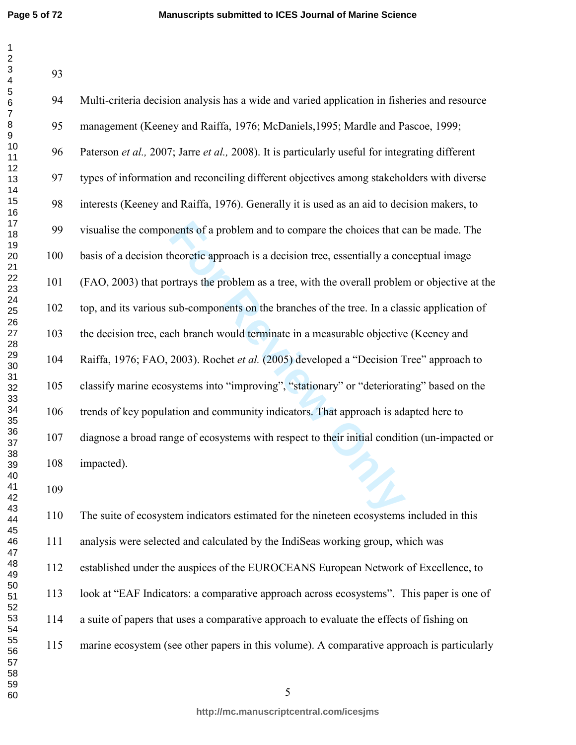| 94  | Multi-criteria decision analysis has a wide and varied application in fisheries and resource    |
|-----|-------------------------------------------------------------------------------------------------|
| 95  | management (Keeney and Raiffa, 1976; McDaniels, 1995; Mardle and Pascoe, 1999;                  |
| 96  | Paterson et al., 2007; Jarre et al., 2008). It is particularly useful for integrating different |
| 97  | types of information and reconciling different objectives among stakeholders with diverse       |
| 98  | interests (Keeney and Raiffa, 1976). Generally it is used as an aid to decision makers, to      |
| 99  | visualise the components of a problem and to compare the choices that can be made. The          |
| 100 | basis of a decision theoretic approach is a decision tree, essentially a conceptual image       |
| 101 | (FAO, 2003) that portrays the problem as a tree, with the overall problem or objective at the   |
| 102 | top, and its various sub-components on the branches of the tree. In a classic application of    |
| 103 | the decision tree, each branch would terminate in a measurable objective (Keeney and            |
| 104 | Raiffa, 1976; FAO, 2003). Rochet et al. (2005) developed a "Decision Tree" approach to          |
| 105 | classify marine ecosystems into "improving", "stationary" or "deteriorating" based on the       |
| 106 | trends of key population and community indicators. That approach is adapted here to             |
| 107 | diagnose a broad range of ecosystems with respect to their initial condition (un-impacted or    |
| 108 | impacted).                                                                                      |
| 109 |                                                                                                 |
| 110 | The suite of ecosystem indicators estimated for the nineteen ecosystems included in this        |

110 The suite of ecosystem indicators estimated for the nineteen ecosystems included in this 111 analysis were selected and calculated by the IndiSeas working group, which was 112 established under the auspices of the EUROCEANS European Network of Excellence, to 113 look at "EAF Indicators: a comparative approach across ecosystems". This paper is one of 114 a suite of papers that uses a comparative approach to evaluate the effects of fishing on 115 marine ecosystem (see other papers in this volume). A comparative approach is particularly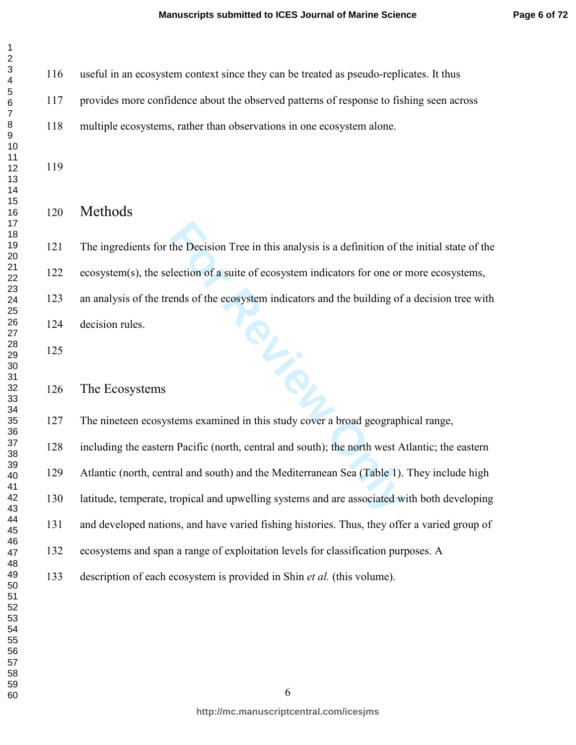| 1                                    |
|--------------------------------------|
| 2                                    |
| $\mathbf{S}$                         |
|                                      |
| 3<br>4<br>5<br>6                     |
|                                      |
| 7                                    |
|                                      |
|                                      |
|                                      |
| 891011234151617                      |
|                                      |
|                                      |
|                                      |
|                                      |
|                                      |
|                                      |
|                                      |
| 18                                   |
| - 19<br>20<br>-                      |
|                                      |
| 21<br>22<br>-                        |
|                                      |
|                                      |
|                                      |
|                                      |
|                                      |
|                                      |
|                                      |
| ∠2 3 4 5 6 7 7 8 9 3 1 3 1 3 3 3 3 1 |
|                                      |
|                                      |
|                                      |
| 31<br>32<br>$\overline{ }$           |
|                                      |
|                                      |
|                                      |
| 33<br>34<br>35<br>36<br>37           |
|                                      |
|                                      |
| 38<br>39                             |
|                                      |
| 40                                   |
| 41                                   |
| 42                                   |
| 43<br>Š                              |
| 44                                   |
| 45                                   |
| 46                                   |
| 47                                   |
| 48                                   |
| 49                                   |
| 50                                   |
| 51                                   |
| ۔<br>52                              |
| $\overline{ }$                       |
| 53                                   |
| 54                                   |
| 55                                   |
| 56<br>ć                              |
| 57                                   |
| 58                                   |
| 59                                   |
| 60                                   |

116 useful in an ecosystem context since they can be treated as pseudo-replicates. It thus

117 provides more confidence about the observed patterns of response to fishing seen across

118 multiple ecosystems, rather than observations in one ecosystem alone.

# Methods

121 The ingredients for the Decision Tree in this analysis is a definition of the initial state of the 122 ecosystem(s), the selection of a suite of ecosystem indicators for one or more ecosystems, 123 an analysis of the trends of the ecosystem indicators and the building of a decision tree with 124 decision rules.

## The Ecosystems

127 The nineteen ecosystems examined in this study cover a broad geographical range,

128 including the eastern Pacific (north, central and south); the north west Atlantic; the eastern

129 Atlantic (north, central and south) and the Mediterranean Sea (Table 1). They include high

130 latitude, temperate, tropical and upwelling systems and are associated with both developing

131 and developed nations, and have varied fishing histories. Thus, they offer a varied group of

132 ecosystems and span a range of exploitation levels for classification purposes. A

133 description of each ecosystem is provided in Shin *et al.* (this volume).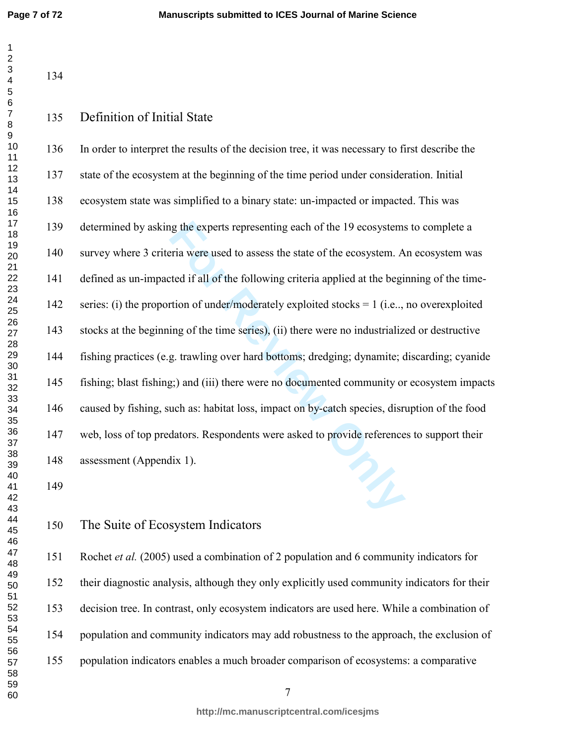Ig the experts representing each of the 19 ecosystems<br>
Fria were used to assess the state of the ecosystem. A<br>
Interacted if all of the following criteria applied at the begi<br>
Frian of under/moderately exploited stocks = 1 136 In order to interpret the results of the decision tree, it was necessary to first describe the 137 state of the ecosystem at the beginning of the time period under consideration. Initial 138 ecosystem state was simplified to a binary state: un-impacted or impacted. This was 139 determined by asking the experts representing each of the 19 ecosystems to complete a 140 survey where 3 criteria were used to assess the state of the ecosystem. An ecosystem was 141 defined as un-impacted if all of the following criteria applied at the beginning of the time-142 series: (i) the proportion of under/moderately exploited stocks = 1 (i.e.., no overexploited 143 stocks at the beginning of the time series), (ii) there were no industrialized or destructive 144 fishing practices (e.g. trawling over hard bottoms; dredging; dynamite; discarding; cyanide 145 fishing; blast fishing;) and (iii) there were no documented community or ecosystem impacts 146 caused by fishing, such as: habitat loss, impact on by-catch species, disruption of the food 147 web, loss of top predators. Respondents were asked to provide references to support their 148 assessment (Appendix 1).

# The Suite of Ecosystem Indicators

151 Rochet *et al.* (2005) used a combination of 2 population and 6 community indicators for 152 their diagnostic analysis, although they only explicitly used community indicators for their 153 decision tree. In contrast, only ecosystem indicators are used here. While a combination of 154 population and community indicators may add robustness to the approach, the exclusion of 155 population indicators enables a much broader comparison of ecosystems: a comparative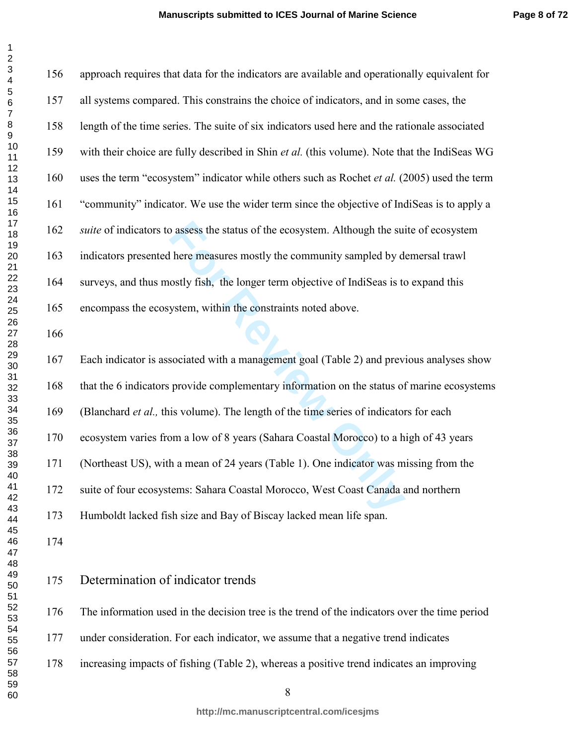$\mathbf{1}$  $\overline{2}$  $\overline{\mathbf{4}}$  $\overline{7}$  $\,8\,$ 

| 156 | approach requires that data for the indicators are available and operationally equivalent for |
|-----|-----------------------------------------------------------------------------------------------|
| 157 | all systems compared. This constrains the choice of indicators, and in some cases, the        |
| 158 | length of the time series. The suite of six indicators used here and the rationale associated |
| 159 | with their choice are fully described in Shin et al. (this volume). Note that the IndiSeas WG |
| 160 | uses the term "ecosystem" indicator while others such as Rochet et al. (2005) used the term   |
| 161 | "community" indicator. We use the wider term since the objective of IndiSeas is to apply a    |
| 162 | suite of indicators to assess the status of the ecosystem. Although the suite of ecosystem    |
| 163 | indicators presented here measures mostly the community sampled by demersal trawl             |
| 164 | surveys, and thus mostly fish, the longer term objective of IndiSeas is to expand this        |
| 165 | encompass the ecosystem, within the constraints noted above.                                  |
| 166 |                                                                                               |
| 167 | Each indicator is associated with a management goal (Table 2) and previous analyses show      |
| 168 | that the 6 indicators provide complementary information on the status of marine ecosystems    |
| 169 | (Blanchard et al., this volume). The length of the time series of indicators for each         |
| 170 | ecosystem varies from a low of 8 years (Sahara Coastal Morocco) to a high of 43 years         |
| 171 | (Northeast US), with a mean of 24 years (Table 1). One indicator was missing from the         |
| 172 | suite of four ecosystems: Sahara Coastal Morocco, West Coast Canada and northern              |
| 173 | Humboldt lacked fish size and Bay of Biscay lacked mean life span.                            |
| 174 |                                                                                               |
| 175 | Determination of indicator trends                                                             |
| 176 | The information used in the decision tree is the trend of the indicators over the time period |
| 177 | under consideration. For each indicator, we assume that a negative trend indicates            |
| 178 | increasing impacts of fishing (Table 2), whereas a positive trend indicates an improving      |
|     |                                                                                               |

**http://mc.manuscriptcentral.com/icesjms**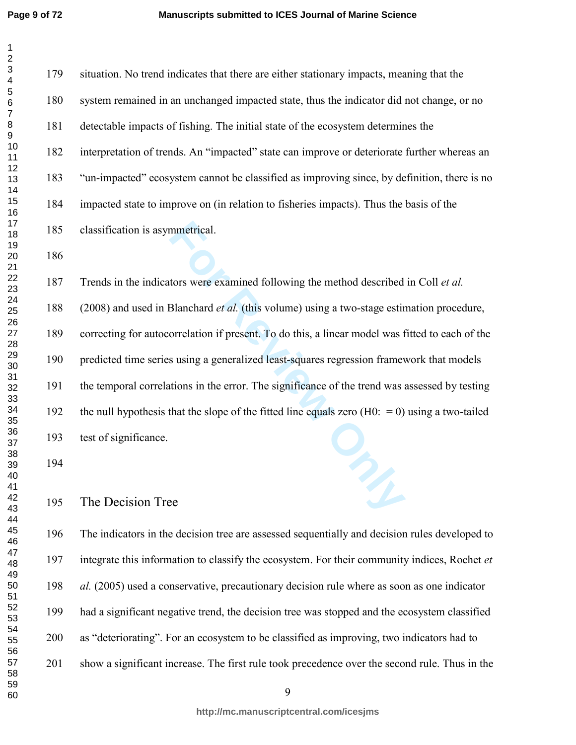mmetrical.<br>
tors were examined following the method described<br>
Blanchard *et al.* (this volume) using a two-stage estin<br>
orrelation if present. To do this, a linear model was f<br>
s using a generalized least-squares regressi 179 situation. No trend indicates that there are either stationary impacts, meaning that the 180 system remained in an unchanged impacted state, thus the indicator did not change, or no 181 detectable impacts of fishing. The initial state of the ecosystem determines the 182 interpretation of trends. An "impacted" state can improve or deteriorate further whereas an 183 "un-impacted" ecosystem cannot be classified as improving since, by definition, there is no 184 impacted state to improve on (in relation to fisheries impacts). Thus the basis of the 185 classification is asymmetrical. 187 Trends in the indicators were examined following the method described in Coll *et al.* 188 (2008) and used in Blanchard *et al.* (this volume) using a two-stage estimation procedure, 189 correcting for autocorrelation if present. To do this, a linear model was fitted to each of the 190 predicted time series using a generalized least-squares regression framework that models 191 the temporal correlations in the error. The significance of the trend was assessed by testing 192 the null hypothesis that the slope of the fitted line equals zero  $(H0: = 0)$  using a two-tailed

193 test of significance.

The Decision Tree

196 The indicators in the decision tree are assessed sequentially and decision rules developed to 197 integrate this information to classify the ecosystem. For their community indices, Rochet *et al.* (2005) used a conservative, precautionary decision rule where as soon as one indicator 199 had a significant negative trend, the decision tree was stopped and the ecosystem classified 200 as "deteriorating". For an ecosystem to be classified as improving, two indicators had to 201 show a significant increase. The first rule took precedence over the second rule. Thus in the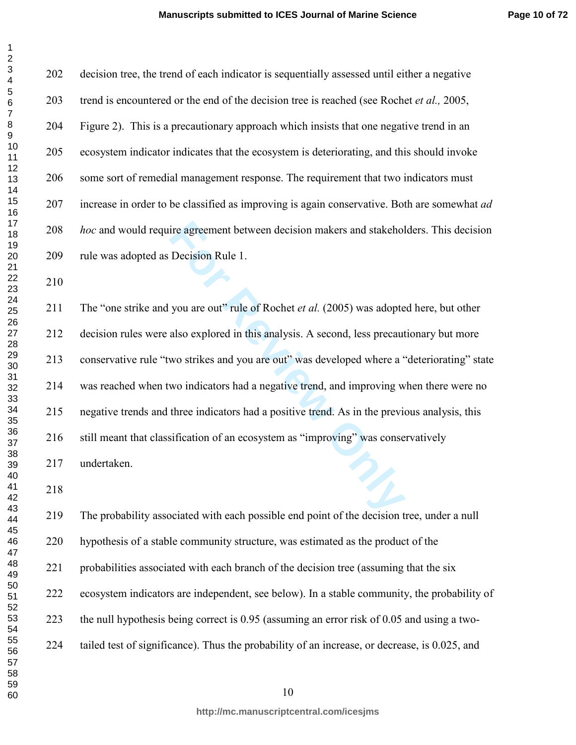| 1                                                   |
|-----------------------------------------------------|
| $\overline{c}$                                      |
| $\mathbf{\hat{z}}$                                  |
|                                                     |
| 3<br>4<br>5<br>5                                    |
|                                                     |
| 6                                                   |
| 7                                                   |
|                                                     |
|                                                     |
|                                                     |
|                                                     |
|                                                     |
|                                                     |
| 891011213141516178                                  |
|                                                     |
|                                                     |
|                                                     |
|                                                     |
|                                                     |
| - 3<br>19<br>-                                      |
|                                                     |
| 1                                                   |
| $2$<br>$2$<br>$2$<br>$2342222222$<br>22222223       |
|                                                     |
|                                                     |
|                                                     |
|                                                     |
|                                                     |
|                                                     |
|                                                     |
|                                                     |
|                                                     |
|                                                     |
|                                                     |
|                                                     |
|                                                     |
|                                                     |
|                                                     |
|                                                     |
| 30<br>31<br>32<br>334<br>34<br>35<br>36<br>37<br>38 |
|                                                     |
|                                                     |
|                                                     |
| 40                                                  |
| 41                                                  |
| 42                                                  |
| 43<br>Š                                             |
| 44                                                  |
| 45                                                  |
| 46                                                  |
|                                                     |
| 47                                                  |
| 48<br>3                                             |
| 49                                                  |
| 50                                                  |
| 51                                                  |
| 52                                                  |
| 53                                                  |
| 54                                                  |
| 55                                                  |
|                                                     |
| 56<br>ì                                             |
| 57                                                  |
| 58                                                  |
| 59                                                  |
| 60                                                  |

 $\mathbf{1}$  $\overline{2}$ 

> ire agreement between decision makers and stakehol<br>Decision Rule 1.<br>you are out" rule of Rochet *et al.* (2005) was adopte<br>also explored in this analysis. A second, less precaut<br>wo strikes and you are out" was developed wh 202 decision tree, the trend of each indicator is sequentially assessed until either a negative 203 trend is encountered or the end of the decision tree is reached (see Rochet *et al.,* 2005, 204 Figure 2). This is a precautionary approach which insists that one negative trend in an 205 ecosystem indicator indicates that the ecosystem is deteriorating, and this should invoke 206 some sort of remedial management response. The requirement that two indicators must 207 increase in order to be classified as improving is again conservative. Both are somewhat *ad hoc* and would require agreement between decision makers and stakeholders. This decision 209 rule was adopted as Decision Rule 1. 211 The "one strike and you are out" rule of Rochet *et al.* (2005) was adopted here, but other 212 decision rules were also explored in this analysis. A second, less precautionary but more 213 conservative rule "two strikes and you are out" was developed where a "deteriorating" state 214 was reached when two indicators had a negative trend, and improving when there were no 215 negative trends and three indicators had a positive trend. As in the previous analysis, this 216 still meant that classification of an ecosystem as "improving" was conservatively

217 undertaken.

219 The probability associated with each possible end point of the decision tree, under a null 220 hypothesis of a stable community structure, was estimated as the product of the 221 probabilities associated with each branch of the decision tree (assuming that the six 222 ecosystem indicators are independent, see below). In a stable community, the probability of 223 the null hypothesis being correct is 0.95 (assuming an error risk of 0.05 and using a two-224 tailed test of significance). Thus the probability of an increase, or decrease, is 0.025, and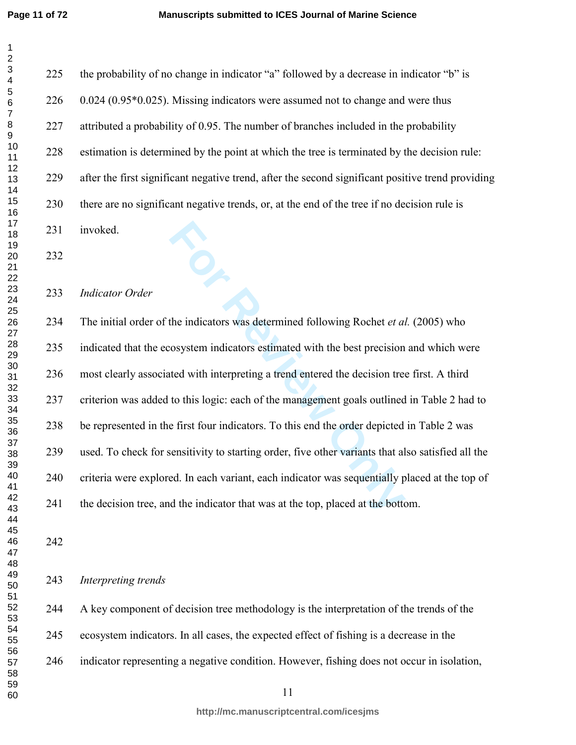**For Alternative System indicators was determined following Rochet** *et als* **consystem indicators estimated with the best precision tree to this logic: each of the management goals outlined e first four indicators. To this** 225 the probability of no change in indicator "a" followed by a decrease in indicator "b" is 226 0.024 (0.95\*0.025). Missing indicators were assumed not to change and were thus 227 attributed a probability of 0.95. The number of branches included in the probability 228 estimation is determined by the point at which the tree is terminated by the decision rule: 229 after the first significant negative trend, after the second significant positive trend providing 230 there are no significant negative trends, or, at the end of the tree if no decision rule is 231 invoked. *Indicator Order*  234 The initial order of the indicators was determined following Rochet *et al.* (2005) who 235 indicated that the ecosystem indicators estimated with the best precision and which were 236 most clearly associated with interpreting a trend entered the decision tree first. A third 237 criterion was added to this logic: each of the management goals outlined in Table 2 had to 238 be represented in the first four indicators. To this end the order depicted in Table 2 was 239 used. To check for sensitivity to starting order, five other variants that also satisfied all the 240 criteria were explored. In each variant, each indicator was sequentially placed at the top of 241 the decision tree, and the indicator that was at the top, placed at the bottom.

*Interpreting trends* 

244 A key component of decision tree methodology is the interpretation of the trends of the 245 ecosystem indicators. In all cases, the expected effect of fishing is a decrease in the 246 indicator representing a negative condition. However, fishing does not occur in isolation,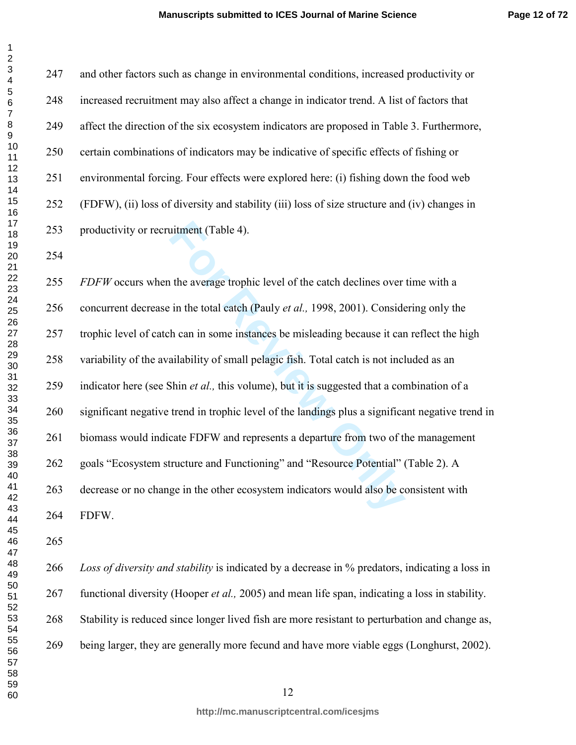$\mathbf{1}$  $\overline{2}$ 

247 and other factors such as change in environmental conditions, increased productivity or 248 increased recruitment may also affect a change in indicator trend. A list of factors that 249 affect the direction of the six ecosystem indicators are proposed in Table 3. Furthermore, 250 certain combinations of indicators may be indicative of specific effects of fishing or 251 environmental forcing. Four effects were explored here: (i) fishing down the food web 252 (FDFW), (ii) loss of diversity and stability (iii) loss of size structure and (iv) changes in 253 productivity or recruitment (Table 4).

uitment (Table 4).<br>
the average trophic level of the catch declines over<br>
in the total catch (Pauly *et al.*, 1998, 2001). Conside<br>
h can in some instances be misleading because it car<br>
ailability of small pelagic fish. To *FDFW* occurs when the average trophic level of the catch declines over time with a 256 concurrent decrease in the total catch (Pauly *et al.,* 1998, 2001). Considering only the 257 trophic level of catch can in some instances be misleading because it can reflect the high 258 variability of the availability of small pelagic fish. Total catch is not included as an 259 indicator here (see Shin *et al.,* this volume), but it is suggested that a combination of a 260 significant negative trend in trophic level of the landings plus a significant negative trend in 261 biomass would indicate FDFW and represents a departure from two of the management 262 goals "Ecosystem structure and Functioning" and "Resource Potential" (Table 2). A 263 decrease or no change in the other ecosystem indicators would also be consistent with 264 FDFW.

*Loss of diversity and stability* is indicated by a decrease in % predators, indicating a loss in 267 functional diversity (Hooper *et al.,* 2005) and mean life span, indicating a loss in stability. 268 Stability is reduced since longer lived fish are more resistant to perturbation and change as, 269 being larger, they are generally more fecund and have more viable eggs (Longhurst, 2002).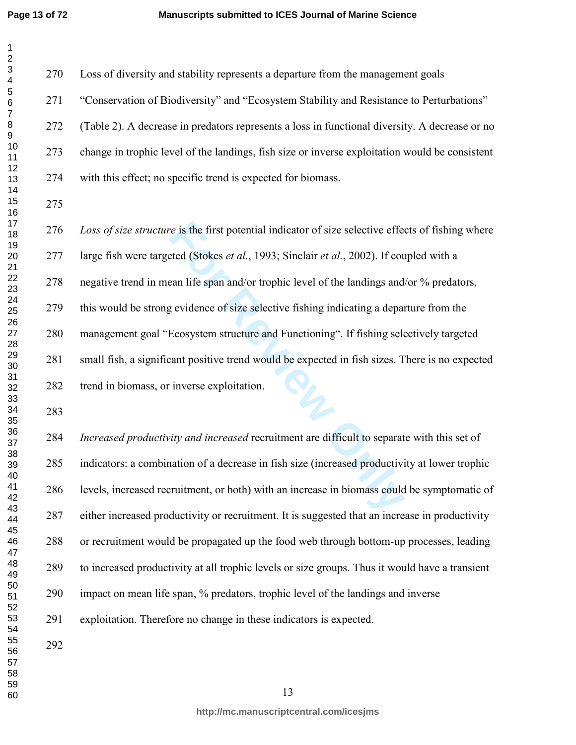*Formalies* is the first potential indicator of size selective effected (Stokes *et al.*, 1993; Sinclair *et al.*, 2002). If cours an life span and/or trophic level of the landings and, g evidence of size selective fishing 270 Loss of diversity and stability represents a departure from the management goals 271 "Conservation of Biodiversity" and "Ecosystem Stability and Resistance to Perturbations" 272 (Table 2). A decrease in predators represents a loss in functional diversity. A decrease or no 273 change in trophic level of the landings, fish size or inverse exploitation would be consistent 274 with this effect; no specific trend is expected for biomass. *Loss of size structure* is the first potential indicator of size selective effects of fishing where 277 large fish were targeted (Stokes *et al.*, 1993; Sinclair *et al.*, 2002). If coupled with a 278 negative trend in mean life span and/or trophic level of the landings and/or % predators, 279 this would be strong evidence of size selective fishing indicating a departure from the 280 management goal "Ecosystem structure and Functioning". If fishing selectively targeted 281 small fish, a significant positive trend would be expected in fish sizes. There is no expected 282 trend in biomass, or inverse exploitation. *Increased productivity and increased* recruitment are difficult to separate with this set of 285 indicators: a combination of a decrease in fish size (increased productivity at lower trophic 286 levels, increased recruitment, or both) with an increase in biomass could be symptomatic of 287 either increased productivity or recruitment. It is suggested that an increase in productivity 288 or recruitment would be propagated up the food web through bottom-up processes, leading 289 to increased productivity at all trophic levels or size groups. Thus it would have a transient 290 impact on mean life span, % predators, trophic level of the landings and inverse 291 exploitation. Therefore no change in these indicators is expected.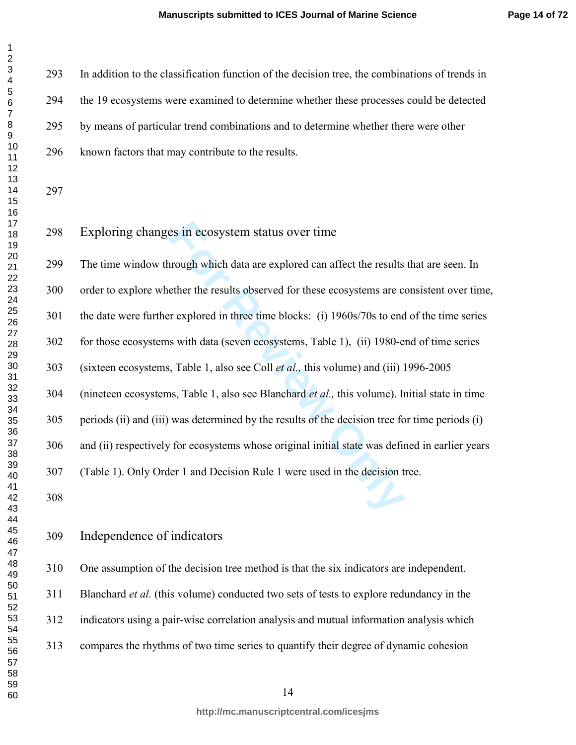| 1                                                   |  |
|-----------------------------------------------------|--|
| 2                                                   |  |
| $\mathbf{\hat{z}}$                                  |  |
|                                                     |  |
| 34567.                                              |  |
|                                                     |  |
|                                                     |  |
|                                                     |  |
|                                                     |  |
|                                                     |  |
|                                                     |  |
|                                                     |  |
|                                                     |  |
|                                                     |  |
|                                                     |  |
|                                                     |  |
|                                                     |  |
|                                                     |  |
|                                                     |  |
|                                                     |  |
| 8910112131416178<br>18<br>19<br>20                  |  |
|                                                     |  |
|                                                     |  |
| 1                                                   |  |
|                                                     |  |
|                                                     |  |
| 22<br>23<br>24<br>25<br>28<br>28                    |  |
|                                                     |  |
|                                                     |  |
|                                                     |  |
|                                                     |  |
|                                                     |  |
|                                                     |  |
| $^{29}$                                             |  |
| 30<br>31<br>32<br>334<br>34<br>35<br>36<br>37<br>38 |  |
|                                                     |  |
|                                                     |  |
|                                                     |  |
|                                                     |  |
|                                                     |  |
|                                                     |  |
|                                                     |  |
|                                                     |  |
|                                                     |  |
|                                                     |  |
| 40                                                  |  |
| 41                                                  |  |
|                                                     |  |
| 4                                                   |  |
| 43                                                  |  |
| 44                                                  |  |
| 45                                                  |  |
| 46                                                  |  |
| 47                                                  |  |
| 48                                                  |  |
|                                                     |  |
| 49                                                  |  |
| 50                                                  |  |
| 51                                                  |  |
| $\frac{3}{5}$<br>$\overline{ }$                     |  |
| E<br>3<br>×                                         |  |
| 54                                                  |  |
|                                                     |  |
| 55                                                  |  |
| 56<br>ì                                             |  |
| 57                                                  |  |
| 58                                                  |  |
| 59                                                  |  |
| 60                                                  |  |
|                                                     |  |

293 In addition to the classification function of the decision tree, the combinations of trends in 294 the 19 ecosystems were examined to determine whether these processes could be detected 295 by means of particular trend combinations and to determine whether there were other

296 known factors that may contribute to the results.

 $\mathbf{1}$  $\overline{2}$ 

# Exploring changes in ecosystem status over time

Example 1 and Decision Rule 1 were used in the decision Rule 1 and Decision Rule 1 and Decision Rule 1 and Decision Rule 1 and Decision Rule 1 and Decision Rule 1 and Decision Rule 1 and Decision Rule 1 and Decision Rule 1 299 The time window through which data are explored can affect the results that are seen. In 300 order to explore whether the results observed for these ecosystems are consistent over time, 301 the date were further explored in three time blocks: (i) 1960s/70s to end of the time series 302 for those ecosystems with data (seven ecosystems, Table 1), (ii) 1980-end of time series 303 (sixteen ecosystems, Table 1, also see Coll *et al.,* this volume) and (iii) 1996-2005 304 (nineteen ecosystems, Table 1, also see Blanchard *et al.,* this volume). Initial state in time 305 periods (ii) and (iii) was determined by the results of the decision tree for time periods (i) 306 and (ii) respectively for ecosystems whose original initial state was defined in earlier years 307 (Table 1). Only Order 1 and Decision Rule 1 were used in the decision tree.

# Independence of indicators

310 One assumption of the decision tree method is that the six indicators are independent.

311 Blanchard *et al.* (this volume) conducted two sets of tests to explore redundancy in the

312 indicators using a pair-wise correlation analysis and mutual information analysis which

313 compares the rhythms of two time series to quantify their degree of dynamic cohesion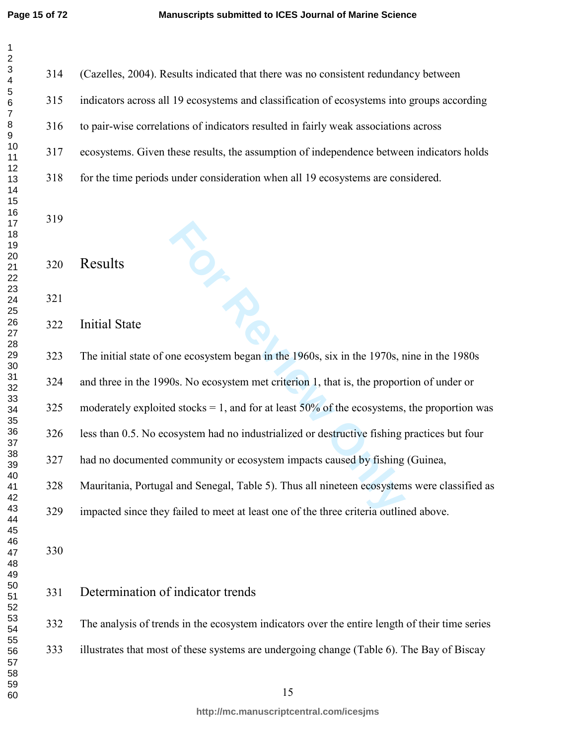$\mathbf{1}$  $\overline{2}$  $\overline{\mathbf{4}}$  $\overline{7}$  $\,8\,$ 

| $\overline{\mathbf{c}}$                   |     |                                                                                                |
|-------------------------------------------|-----|------------------------------------------------------------------------------------------------|
| $\mathsf 3$<br>$\overline{\mathbf{4}}$    | 314 | (Cazelles, 2004). Results indicated that there was no consistent redundancy between            |
| 5<br>$\,6$                                | 315 | indicators across all 19 ecosystems and classification of ecosystems into groups according     |
| $\boldsymbol{7}$<br>8<br>$\boldsymbol{9}$ | 316 | to pair-wise correlations of indicators resulted in fairly weak associations across            |
| 10<br>11                                  | 317 | ecosystems. Given these results, the assumption of independence between indicators holds       |
| 12<br>13                                  | 318 | for the time periods under consideration when all 19 ecosystems are considered.                |
| 14<br>15                                  |     |                                                                                                |
| 16<br>17<br>18                            | 319 |                                                                                                |
| 19<br>20                                  |     |                                                                                                |
| 21<br>22                                  | 320 | Results                                                                                        |
| 23<br>24                                  | 321 |                                                                                                |
| 25<br>26<br>27                            | 322 | <b>Initial State</b>                                                                           |
| 28<br>29                                  | 323 | The initial state of one ecosystem began in the 1960s, six in the 1970s, nine in the 1980s     |
| $30\,$<br>31<br>32                        | 324 | and three in the 1990s. No ecosystem met criterion 1, that is, the proportion of under or      |
| 33<br>34                                  | 325 | moderately exploited stocks = 1, and for at least $50\%$ of the ecosystems, the proportion was |
| 35<br>36                                  | 326 | less than 0.5. No ecosystem had no industrialized or destructive fishing practices but four    |
| 37<br>38<br>39                            | 327 | had no documented community or ecosystem impacts caused by fishing (Guinea,                    |
| 40<br>41                                  | 328 | Mauritania, Portugal and Senegal, Table 5). Thus all nineteen ecosystems were classified as    |
| 42<br>43                                  | 329 | impacted since they failed to meet at least one of the three criteria outlined above.          |
| 44<br>45<br>46                            |     |                                                                                                |
| 47<br>48                                  | 330 |                                                                                                |
| 49<br>50                                  | 331 | Determination of indicator trends                                                              |
| 51<br>52<br>53                            |     |                                                                                                |
| 54<br>55                                  | 332 | The analysis of trends in the ecosystem indicators over the entire length of their time series |
| 56<br>57                                  | 333 | illustrates that most of these systems are undergoing change (Table 6). The Bay of Biscay      |
| 58<br>59                                  |     | 15                                                                                             |
| 60                                        |     |                                                                                                |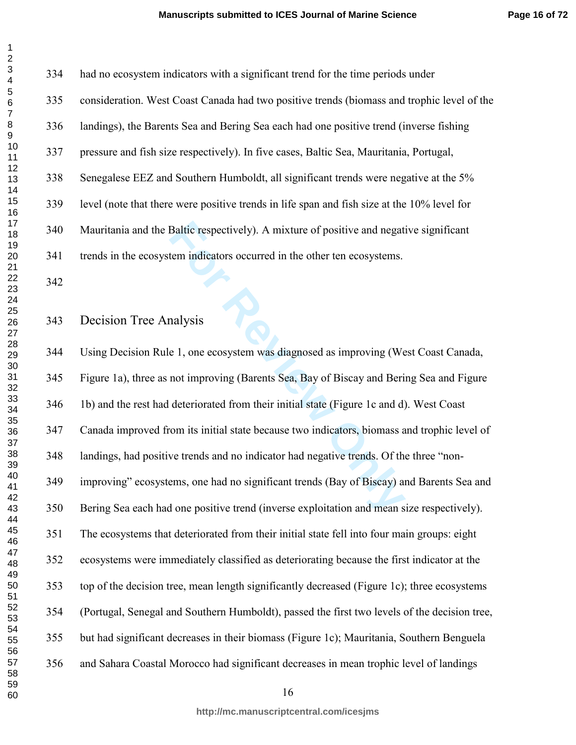| 1                                                        |
|----------------------------------------------------------|
| 2                                                        |
|                                                          |
| 34567                                                    |
|                                                          |
|                                                          |
|                                                          |
|                                                          |
|                                                          |
|                                                          |
|                                                          |
|                                                          |
|                                                          |
|                                                          |
|                                                          |
|                                                          |
|                                                          |
|                                                          |
|                                                          |
| . 891111111111122222222223333                            |
|                                                          |
|                                                          |
|                                                          |
|                                                          |
|                                                          |
|                                                          |
|                                                          |
|                                                          |
|                                                          |
|                                                          |
|                                                          |
|                                                          |
|                                                          |
|                                                          |
| 30<br>31<br>32<br>33<br>34<br>35<br>36<br>37<br>38<br>39 |
|                                                          |
|                                                          |
|                                                          |
|                                                          |
|                                                          |
|                                                          |
|                                                          |
|                                                          |
| 40                                                       |
| 41                                                       |
| 4                                                        |
| 43<br>ś                                                  |
| 44                                                       |
| 45                                                       |
|                                                          |
| 46                                                       |
| 47                                                       |
| 48                                                       |
| 49                                                       |
| 50                                                       |
|                                                          |
| 51<br>52<br>$\overline{ }$                               |
| 53                                                       |
| 54                                                       |
|                                                          |
| 55                                                       |
| 56<br>ć                                                  |
| 57                                                       |
| 58                                                       |
| 59                                                       |
| 60                                                       |

| 334 | had no ecosystem indicators with a significant trend for the time periods under             |
|-----|---------------------------------------------------------------------------------------------|
| 335 | consideration. West Coast Canada had two positive trends (biomass and trophic level of the  |
| 336 | landings), the Barents Sea and Bering Sea each had one positive trend (inverse fishing      |
| 337 | pressure and fish size respectively). In five cases, Baltic Sea, Mauritania, Portugal,      |
| 338 | Senegalese EEZ and Southern Humboldt, all significant trends were negative at the 5%        |
| 339 | level (note that there were positive trends in life span and fish size at the 10% level for |
| 340 | Mauritania and the Baltic respectively). A mixture of positive and negative significant     |
| 341 | trends in the ecosystem indicators occurred in the other ten ecosystems.                    |

### Decision Tree Analysis

Baltic respectively). A mixture of positive and negat<br>tem indicators occurred in the other ten ecosystems.<br>allysis<br>e 1, one ecosystem was diagnosed as improving (We<br>not improving (Barents Sea, Bay of Biscay and Beri<br>deteri 344 Using Decision Rule 1, one ecosystem was diagnosed as improving (West Coast Canada, 345 Figure 1a), three as not improving (Barents Sea, Bay of Biscay and Bering Sea and Figure 346 1b) and the rest had deteriorated from their initial state (Figure 1c and d). West Coast 347 Canada improved from its initial state because two indicators, biomass and trophic level of 348 landings, had positive trends and no indicator had negative trends. Of the three "non-349 improving" ecosystems, one had no significant trends (Bay of Biscay) and Barents Sea and 350 Bering Sea each had one positive trend (inverse exploitation and mean size respectively). 351 The ecosystems that deteriorated from their initial state fell into four main groups: eight 352 ecosystems were immediately classified as deteriorating because the first indicator at the 353 top of the decision tree, mean length significantly decreased (Figure 1c); three ecosystems 354 (Portugal, Senegal and Southern Humboldt), passed the first two levels of the decision tree, 355 but had significant decreases in their biomass (Figure 1c); Mauritania, Southern Benguela 356 and Sahara Coastal Morocco had significant decreases in mean trophic level of landings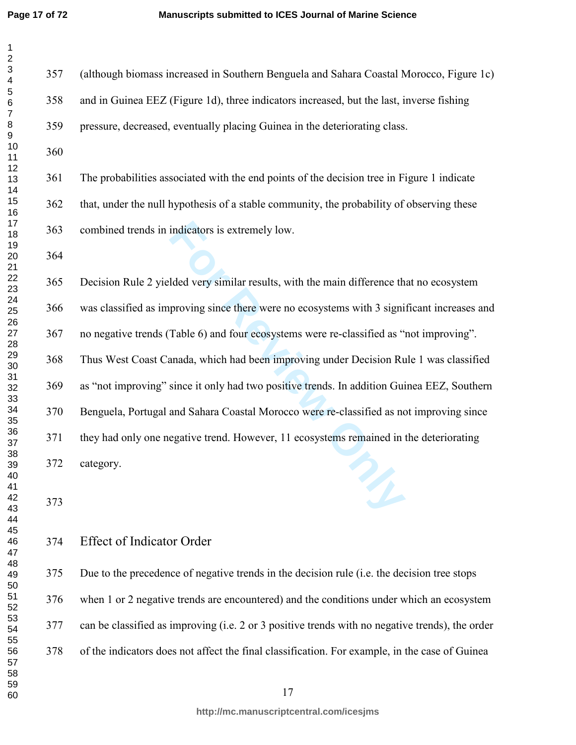| 1                                                        |  |
|----------------------------------------------------------|--|
| 2                                                        |  |
|                                                          |  |
|                                                          |  |
|                                                          |  |
|                                                          |  |
|                                                          |  |
|                                                          |  |
|                                                          |  |
|                                                          |  |
|                                                          |  |
|                                                          |  |
|                                                          |  |
|                                                          |  |
|                                                          |  |
|                                                          |  |
|                                                          |  |
|                                                          |  |
|                                                          |  |
|                                                          |  |
|                                                          |  |
|                                                          |  |
|                                                          |  |
| 345678911111111112222222222333333                        |  |
|                                                          |  |
|                                                          |  |
|                                                          |  |
|                                                          |  |
|                                                          |  |
|                                                          |  |
|                                                          |  |
|                                                          |  |
|                                                          |  |
|                                                          |  |
|                                                          |  |
|                                                          |  |
|                                                          |  |
|                                                          |  |
|                                                          |  |
| 30<br>31<br>32<br>33<br>34<br>35<br>36<br>37<br>38<br>39 |  |
|                                                          |  |
|                                                          |  |
|                                                          |  |
|                                                          |  |
|                                                          |  |
|                                                          |  |
| 40                                                       |  |
| 41                                                       |  |
| $\ddot{a}$                                               |  |
| $4\overset{^4}{\scriptstyle \sim}$                       |  |
| 44                                                       |  |
| 45                                                       |  |
|                                                          |  |
| 46                                                       |  |
| 47                                                       |  |
| 48                                                       |  |
| 49                                                       |  |
|                                                          |  |
|                                                          |  |
|                                                          |  |
|                                                          |  |
| 50<br>51<br>52<br>53                                     |  |
| 54                                                       |  |
| 55                                                       |  |
| 56<br>ì                                                  |  |
| 57                                                       |  |
|                                                          |  |
| 58                                                       |  |
| 59                                                       |  |

indicators is extremely low.<br>
Ided very similar results, with the main difference th<br>
proving since there were no ecosystems with 3 signi<br>
Table 6) and four ecosystems were re-classified as "<br>
anada, which had been improvi 357 (although biomass increased in Southern Benguela and Sahara Coastal Morocco, Figure 1c) 358 and in Guinea EEZ (Figure 1d), three indicators increased, but the last, inverse fishing 359 pressure, decreased, eventually placing Guinea in the deteriorating class. 361 The probabilities associated with the end points of the decision tree in Figure 1 indicate 362 that, under the null hypothesis of a stable community, the probability of observing these 363 combined trends in indicators is extremely low. 365 Decision Rule 2 yielded very similar results, with the main difference that no ecosystem 366 was classified as improving since there were no ecosystems with 3 significant increases and 367 no negative trends (Table 6) and four ecosystems were re-classified as "not improving". 368 Thus West Coast Canada, which had been improving under Decision Rule 1 was classified 369 as "not improving" since it only had two positive trends. In addition Guinea EEZ, Southern 370 Benguela, Portugal and Sahara Coastal Morocco were re-classified as not improving since 371 they had only one negative trend. However, 11 ecosystems remained in the deteriorating 372 category.

#### Effect of Indicator Order

375 Due to the precedence of negative trends in the decision rule (i.e. the decision tree stops 376 when 1 or 2 negative trends are encountered) and the conditions under which an ecosystem 377 can be classified as improving (i.e. 2 or 3 positive trends with no negative trends), the order 378 of the indicators does not affect the final classification. For example, in the case of Guinea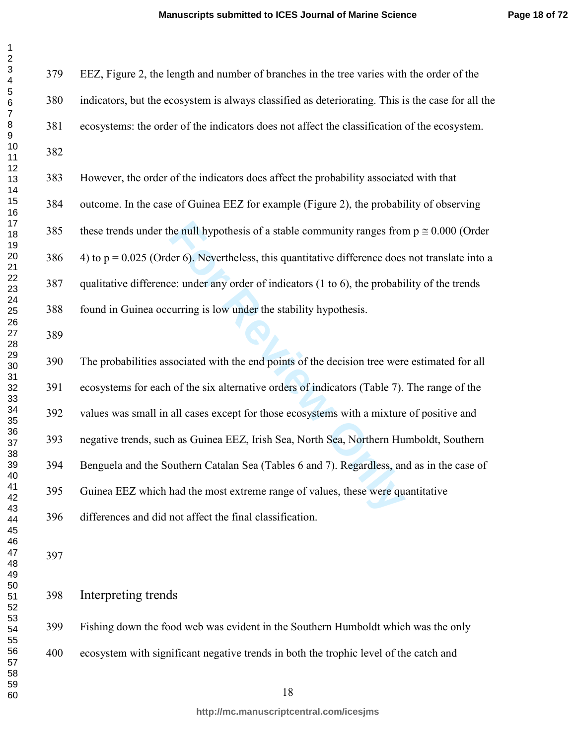| 1                                      |
|----------------------------------------|
| 2                                      |
|                                        |
|                                        |
|                                        |
| 34567                                  |
|                                        |
|                                        |
|                                        |
|                                        |
|                                        |
|                                        |
|                                        |
|                                        |
|                                        |
|                                        |
|                                        |
|                                        |
| 8910112131416178                       |
| ں<br>19<br>20                          |
|                                        |
|                                        |
|                                        |
|                                        |
|                                        |
|                                        |
|                                        |
|                                        |
|                                        |
|                                        |
|                                        |
|                                        |
| 31<br>32<br>33<br>34<br>35<br>36<br>37 |
|                                        |
|                                        |
|                                        |
|                                        |
|                                        |
|                                        |
| 38                                     |
| -<br>39                                |
| 40                                     |
| 41                                     |
| $\overline{4}$                         |
| 43<br>Ŝ                                |
| 44                                     |
|                                        |
| 45                                     |
| 46                                     |
| 47                                     |
| 48                                     |
| 49                                     |
| 50                                     |
| 51                                     |
| $\frac{5}{2}$<br>$\overline{ }$        |
| 5.<br>3                                |
| 54                                     |
| 55                                     |
| 56<br>ì                                |
| 57                                     |
| 58                                     |
| 59                                     |
| 60                                     |
|                                        |

379 EEZ, Figure 2, the length and number of branches in the tree varies with the order of the 380 indicators, but the ecosystem is always classified as deteriorating. This is the case for all the 381 ecosystems: the order of the indicators does not affect the classification of the ecosystem. 

383 However, the order of the indicators does affect the probability associated with that 384 outcome. In the case of Guinea EEZ for example (Figure 2), the probability of observing 385 these trends under the null hypothesis of a stable community ranges from  $p \approx 0.000$  (Order 4) to p = 0.025 (Order 6). Nevertheless, this quantitative difference does not translate into a 387 qualitative difference: under any order of indicators (1 to 6), the probability of the trends

388 found in Guinea occurring is low under the stability hypothesis.

the null hypothesis of a stable community ranges from<br>
For 6). Nevertheless, this quantitative difference does<br>
For Equality and the stability hypothesis.<br>
Equality in the probabic curring is low under the stability hypoth 390 The probabilities associated with the end points of the decision tree were estimated for all 391 ecosystems for each of the six alternative orders of indicators (Table 7). The range of the 392 values was small in all cases except for those ecosystems with a mixture of positive and 393 negative trends, such as Guinea EEZ, Irish Sea, North Sea, Northern Humboldt, Southern 394 Benguela and the Southern Catalan Sea (Tables 6 and 7). Regardless, and as in the case of 395 Guinea EEZ which had the most extreme range of values, these were quantitative 396 differences and did not affect the final classification.

Interpreting trends

399 Fishing down the food web was evident in the Southern Humboldt which was the only 400 ecosystem with significant negative trends in both the trophic level of the catch and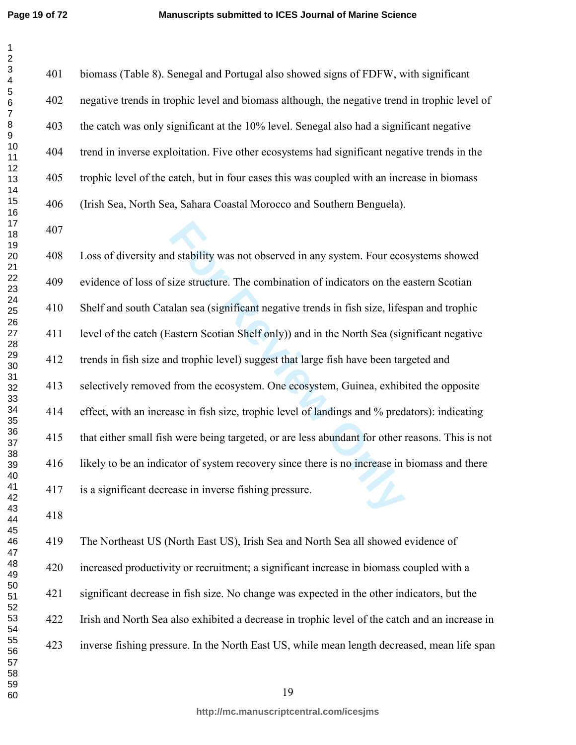401 biomass (Table 8). Senegal and Portugal also showed signs of FDFW, with significant 402 negative trends in trophic level and biomass although, the negative trend in trophic level of 403 the catch was only significant at the 10% level. Senegal also had a significant negative 404 trend in inverse exploitation. Five other ecosystems had significant negative trends in the 405 trophic level of the catch, but in four cases this was coupled with an increase in biomass 406 (Irish Sea, North Sea, Sahara Coastal Morocco and Southern Benguela).

d stability was not observed in any system. Four eco<br>size structure. The combination of indicators on the e<br>alan sea (significant negative trends in fish size, lifes<br>astern Scotian Shelf only)) and in the North Sea (sig<br>nd 408 Loss of diversity and stability was not observed in any system. Four ecosystems showed 409 evidence of loss of size structure. The combination of indicators on the eastern Scotian 410 Shelf and south Catalan sea (significant negative trends in fish size, lifespan and trophic 411 level of the catch (Eastern Scotian Shelf only)) and in the North Sea (significant negative 412 trends in fish size and trophic level) suggest that large fish have been targeted and 413 selectively removed from the ecosystem. One ecosystem, Guinea, exhibited the opposite 414 effect, with an increase in fish size, trophic level of landings and % predators): indicating 415 that either small fish were being targeted, or are less abundant for other reasons. This is not 416 likely to be an indicator of system recovery since there is no increase in biomass and there 417 is a significant decrease in inverse fishing pressure.

419 The Northeast US (North East US), Irish Sea and North Sea all showed evidence of 420 increased productivity or recruitment; a significant increase in biomass coupled with a 421 significant decrease in fish size. No change was expected in the other indicators, but the 422 Irish and North Sea also exhibited a decrease in trophic level of the catch and an increase in 423 inverse fishing pressure. In the North East US, while mean length decreased, mean life span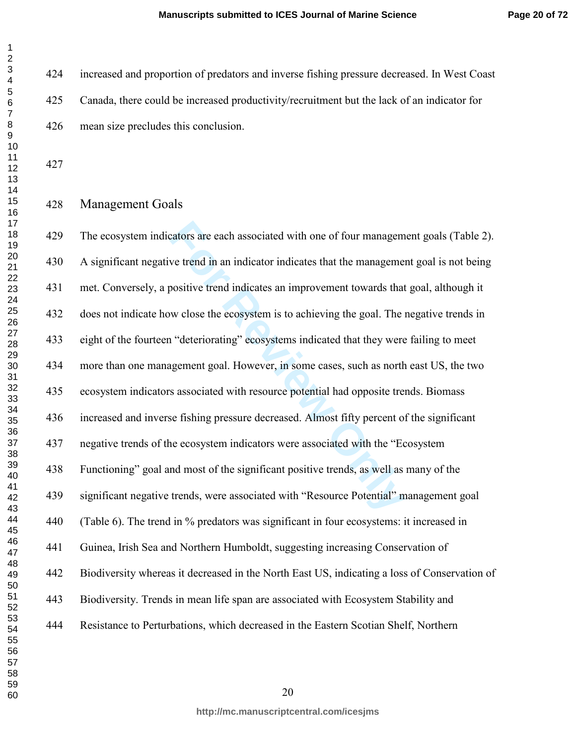424 increased and proportion of predators and inverse fishing pressure decreased. In West Coast 425 Canada, there could be increased productivity/recruitment but the lack of an indicator for 426 mean size precludes this conclusion.

 $\mathbf{1}$  $\overline{2}$ 

### Management Goals

cators are each associated with one of four managem<br>we trend in an indicator indicates that the manageme<br>positive trend indicates an improvement towards that<br>we close the ecosystem is to achieving the goal. The<br>if "deterio 429 The ecosystem indicators are each associated with one of four management goals (Table 2). 430 A significant negative trend in an indicator indicates that the management goal is not being 431 met. Conversely, a positive trend indicates an improvement towards that goal, although it 432 does not indicate how close the ecosystem is to achieving the goal. The negative trends in 433 eight of the fourteen "deteriorating" ecosystems indicated that they were failing to meet 434 more than one management goal. However, in some cases, such as north east US, the two 435 ecosystem indicators associated with resource potential had opposite trends. Biomass 436 increased and inverse fishing pressure decreased. Almost fifty percent of the significant 437 negative trends of the ecosystem indicators were associated with the "Ecosystem 438 Functioning" goal and most of the significant positive trends, as well as many of the 439 significant negative trends, were associated with "Resource Potential" management goal 440 (Table 6). The trend in % predators was significant in four ecosystems: it increased in 441 Guinea, Irish Sea and Northern Humboldt, suggesting increasing Conservation of 442 Biodiversity whereas it decreased in the North East US, indicating a loss of Conservation of 443 Biodiversity. Trends in mean life span are associated with Ecosystem Stability and 444 Resistance to Perturbations, which decreased in the Eastern Scotian Shelf, Northern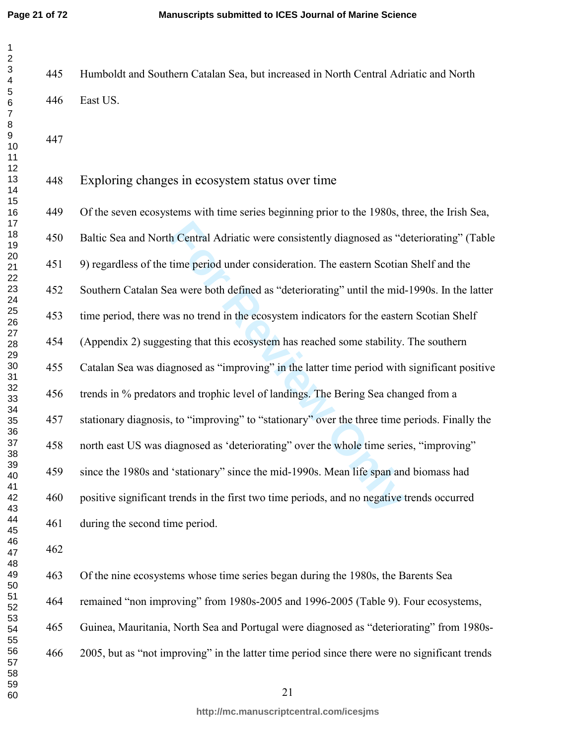445 Humboldt and Southern Catalan Sea, but increased in North Central Adriatic and North 446 East US.

## Exploring changes in ecosystem status over time

In Central Adriatic were consistently diagnosed as "domestive time period under consideration. The eastern Scotian can were both defined as "deteriorating" until the mid-<br>as no trend in the ecosystem indicators for the eas 449 Of the seven ecosystems with time series beginning prior to the 1980s, three, the Irish Sea, 450 Baltic Sea and North Central Adriatic were consistently diagnosed as "deteriorating" (Table 451 9) regardless of the time period under consideration. The eastern Scotian Shelf and the 452 Southern Catalan Sea were both defined as "deteriorating" until the mid-1990s. In the latter 453 time period, there was no trend in the ecosystem indicators for the eastern Scotian Shelf 454 (Appendix 2) suggesting that this ecosystem has reached some stability. The southern 455 Catalan Sea was diagnosed as "improving" in the latter time period with significant positive 456 trends in % predators and trophic level of landings. The Bering Sea changed from a 457 stationary diagnosis, to "improving" to "stationary" over the three time periods. Finally the 458 north east US was diagnosed as 'deteriorating" over the whole time series, "improving" 459 since the 1980s and 'stationary" since the mid-1990s. Mean life span and biomass had 460 positive significant trends in the first two time periods, and no negative trends occurred 461 during the second time period.

463 Of the nine ecosystems whose time series began during the 1980s, the Barents Sea 464 remained "non improving" from 1980s-2005 and 1996-2005 (Table 9). Four ecosystems, 465 Guinea, Mauritania, North Sea and Portugal were diagnosed as "deteriorating" from 1980s-466 2005, but as "not improving" in the latter time period since there were no significant trends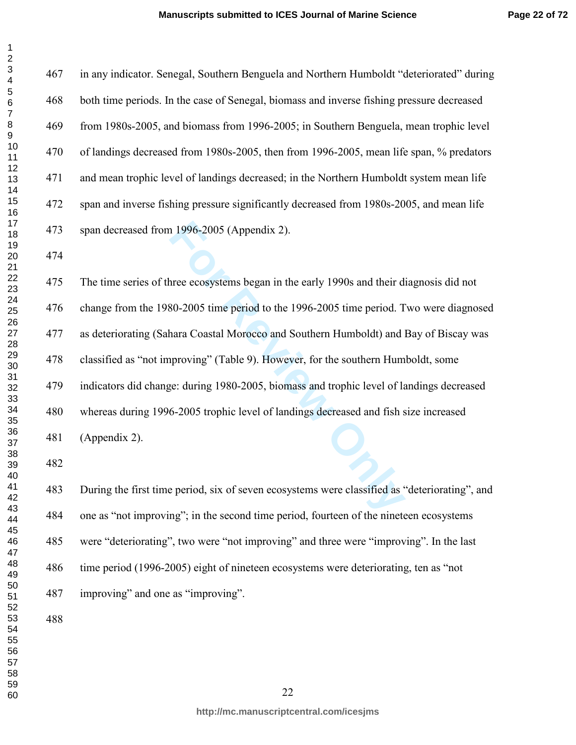$\mathbf 1$ 

467 in any indicator. Senegal, Southern Benguela and Northern Humboldt "deteriorated" during 468 both time periods. In the case of Senegal, biomass and inverse fishing pressure decreased 469 from 1980s-2005, and biomass from 1996-2005; in Southern Benguela, mean trophic level 470 of landings decreased from 1980s-2005, then from 1996-2005, mean life span, % predators 471 and mean trophic level of landings decreased; in the Northern Humboldt system mean life 472 span and inverse fishing pressure significantly decreased from 1980s-2005, and mean life 473 span decreased from 1996-2005 (Appendix 2).

1996-2005 (Appendix 2).<br>
The ecosystems began in the early 1990s and their d<br> **For Review Only Concernant Solution** Humboldt) and interact Constal Morocco and Southern Humboldt) and interving" (Table 9). However, for the s 475 The time series of three ecosystems began in the early 1990s and their diagnosis did not 476 change from the 1980-2005 time period to the 1996-2005 time period. Two were diagnosed 477 as deteriorating (Sahara Coastal Morocco and Southern Humboldt) and Bay of Biscay was 478 classified as "not improving" (Table 9). However, for the southern Humboldt, some 479 indicators did change: during 1980-2005, biomass and trophic level of landings decreased 480 whereas during 1996-2005 trophic level of landings decreased and fish size increased 481 (Appendix 2).

483 During the first time period, six of seven ecosystems were classified as "deteriorating", and 484 one as "not improving"; in the second time period, fourteen of the nineteen ecosystems 485 were "deteriorating", two were "not improving" and three were "improving". In the last 486 time period (1996-2005) eight of nineteen ecosystems were deteriorating, ten as "not 487 improving" and one as "improving".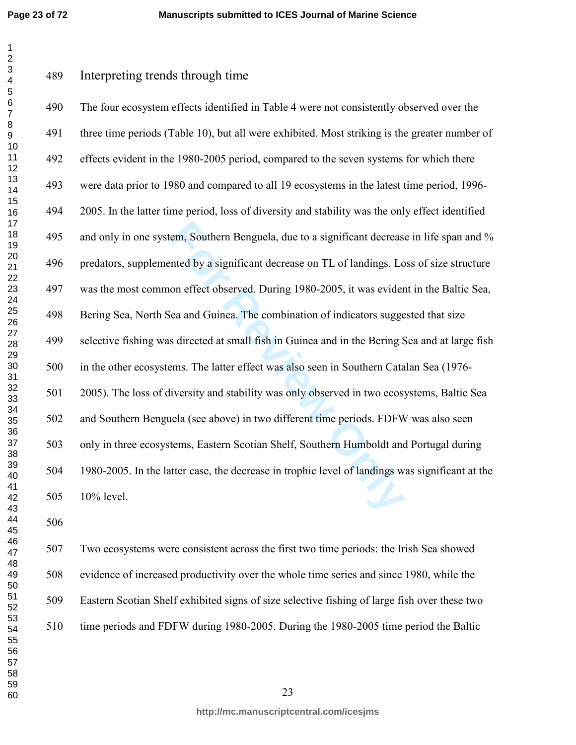**Page 23 of 72**

Interpreting trends through time

rem, Southern Benguela, due to a significant decrease<br>
Inted by a significant decrease on TL of landings. Lo<br>
on effect observed. During 1980-2005, it was evider<br>
lea and Guinea. The combination of indicators sugge<br>
s dire 490 The four ecosystem effects identified in Table 4 were not consistently observed over the 491 three time periods (Table 10), but all were exhibited. Most striking is the greater number of 492 effects evident in the 1980-2005 period, compared to the seven systems for which there 493 were data prior to 1980 and compared to all 19 ecosystems in the latest time period, 1996- 494 2005. In the latter time period, loss of diversity and stability was the only effect identified 495 and only in one system, Southern Benguela, due to a significant decrease in life span and % 496 predators, supplemented by a significant decrease on TL of landings. Loss of size structure 497 was the most common effect observed. During 1980-2005, it was evident in the Baltic Sea, 498 Bering Sea, North Sea and Guinea. The combination of indicators suggested that size 499 selective fishing was directed at small fish in Guinea and in the Bering Sea and at large fish 500 in the other ecosystems. The latter effect was also seen in Southern Catalan Sea (1976- 501 2005). The loss of diversity and stability was only observed in two ecosystems, Baltic Sea 502 and Southern Benguela (see above) in two different time periods. FDFW was also seen 503 only in three ecosystems, Eastern Scotian Shelf, Southern Humboldt and Portugal during 504 1980-2005. In the latter case, the decrease in trophic level of landings was significant at the 505 10% level.

507 Two ecosystems were consistent across the first two time periods: the Irish Sea showed 508 evidence of increased productivity over the whole time series and since 1980, while the 509 Eastern Scotian Shelf exhibited signs of size selective fishing of large fish over these two 510 time periods and FDFW during 1980-2005. During the 1980-2005 time period the Baltic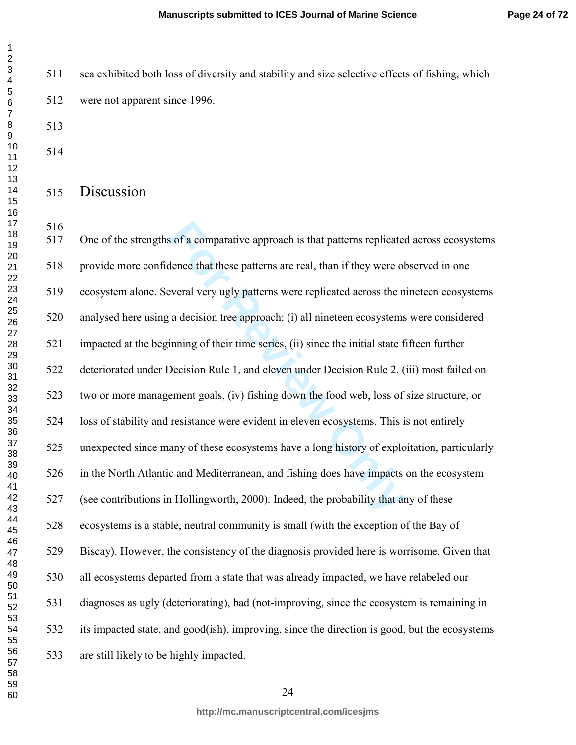511 sea exhibited both loss of diversity and stability and size selective effects of fishing, which 512 were not apparent since 1996.

 $\mathbf 1$ 

# Discussion

is of a comparative approach is that patterns replicated lence that these patterns are real, than if they were of everal very ugly patterns were replicated across the n a decision tree approach: (i) all nineteen ecosystems 517 One of the strengths of a comparative approach is that patterns replicated across ecosystems 518 provide more confidence that these patterns are real, than if they were observed in one 519 ecosystem alone. Several very ugly patterns were replicated across the nineteen ecosystems 520 analysed here using a decision tree approach: (i) all nineteen ecosystems were considered 521 impacted at the beginning of their time series, (ii) since the initial state fifteen further 522 deteriorated under Decision Rule 1, and eleven under Decision Rule 2, (iii) most failed on 523 two or more management goals, (iv) fishing down the food web, loss of size structure, or 524 loss of stability and resistance were evident in eleven ecosystems. This is not entirely 525 unexpected since many of these ecosystems have a long history of exploitation, particularly 526 in the North Atlantic and Mediterranean, and fishing does have impacts on the ecosystem 527 (see contributions in Hollingworth, 2000). Indeed, the probability that any of these 528 ecosystems is a stable, neutral community is small (with the exception of the Bay of 529 Biscay). However, the consistency of the diagnosis provided here is worrisome. Given that 530 all ecosystems departed from a state that was already impacted, we have relabeled our 531 diagnoses as ugly (deteriorating), bad (not-improving, since the ecosystem is remaining in 532 its impacted state, and good(ish), improving, since the direction is good, but the ecosystems 533 are still likely to be highly impacted.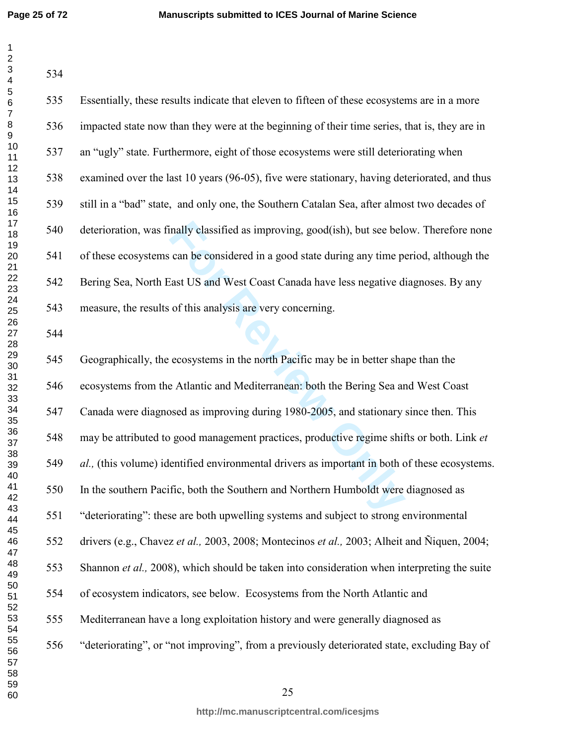| 1                          |
|----------------------------|
|                            |
|                            |
|                            |
|                            |
|                            |
|                            |
|                            |
|                            |
|                            |
|                            |
|                            |
|                            |
|                            |
|                            |
|                            |
|                            |
|                            |
|                            |
|                            |
|                            |
|                            |
|                            |
|                            |
|                            |
|                            |
|                            |
|                            |
|                            |
|                            |
|                            |
|                            |
|                            |
|                            |
|                            |
|                            |
|                            |
|                            |
|                            |
| 39                         |
| 40                         |
| 41                         |
| 42                         |
| 43                         |
| 44                         |
| 45                         |
| 46                         |
| 47                         |
| 48                         |
| 49                         |
| 50                         |
| $\overline{5}$<br>1        |
|                            |
|                            |
|                            |
| 52<br>53<br>54<br>55<br>56 |
|                            |
| 57                         |
| 58                         |
|                            |

| 535 | Essentially, these results indicate that eleven to fifteen of these ecosystems are in a more  |
|-----|-----------------------------------------------------------------------------------------------|
| 536 | impacted state now than they were at the beginning of their time series, that is, they are in |
| 537 | an "ugly" state. Furthermore, eight of those ecosystems were still deteriorating when         |
| 538 | examined over the last 10 years (96-05), five were stationary, having deteriorated, and thus  |
| 539 | still in a "bad" state, and only one, the Southern Catalan Sea, after almost two decades of   |
| 540 | deterioration, was finally classified as improving, good(ish), but see below. Therefore none  |
| 541 | of these ecosystems can be considered in a good state during any time period, although the    |
| 542 | Bering Sea, North East US and West Coast Canada have less negative diagnoses. By any          |
| 543 | measure, the results of this analysis are very concerning.                                    |
| 544 |                                                                                               |
| 545 | Geographically, the ecosystems in the north Pacific may be in better shape than the           |
| 546 | ecosystems from the Atlantic and Mediterranean: both the Bering Sea and West Coast            |
| 547 | Canada were diagnosed as improving during 1980-2005, and stationary since then. This          |
| 548 | may be attributed to good management practices, productive regime shifts or both. Link et     |
| 549 | al., (this volume) identified environmental drivers as important in both of these ecosystems. |
| 550 | In the southern Pacific, both the Southern and Northern Humboldt were diagnosed as            |
| 551 | "deteriorating": these are both upwelling systems and subject to strong environmental         |
| 552 | drivers (e.g., Chavez et al., 2003, 2008; Montecinos et al., 2003; Alheit and Ñiquen, 2004;   |

553 Shannon *et al.,* 2008), which should be taken into consideration when interpreting the suite

554 of ecosystem indicators, see below. Ecosystems from the North Atlantic and

555 Mediterranean have a long exploitation history and were generally diagnosed as

556 "deteriorating", or "not improving", from a previously deteriorated state, excluding Bay of

 

**http://mc.manuscriptcentral.com/icesjms**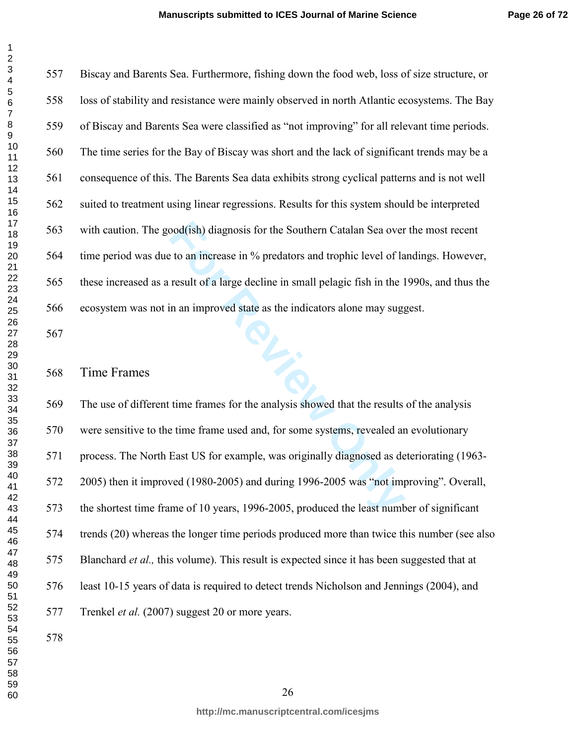557 Biscay and Barents Sea. Furthermore, fishing down the food web, loss of size structure, or 558 loss of stability and resistance were mainly observed in north Atlantic ecosystems. The Bay 559 of Biscay and Barents Sea were classified as "not improving" for all relevant time periods. 560 The time series for the Bay of Biscay was short and the lack of significant trends may be a 561 consequence of this. The Barents Sea data exhibits strong cyclical patterns and is not well 562 suited to treatment using linear regressions. Results for this system should be interpreted 563 with caution. The good(ish) diagnosis for the Southern Catalan Sea over the most recent 564 time period was due to an increase in % predators and trophic level of landings. However, 565 these increased as a result of a large decline in small pelagic fish in the 1990s, and thus the 566 ecosystem was not in an improved state as the indicators alone may suggest.

### Time Frames

bood(ish) diagnosis for the Southern Catalan Sea over<br>to an increase in % predators and trophic level of la<br>result of a large decline in small pelagic fish in the 1<br>in an improved state as the indicators alone may sugg<br>tim 569 The use of different time frames for the analysis showed that the results of the analysis 570 were sensitive to the time frame used and, for some systems, revealed an evolutionary 571 process. The North East US for example, was originally diagnosed as deteriorating (1963- 572 2005) then it improved (1980-2005) and during 1996-2005 was "not improving". Overall, 573 the shortest time frame of 10 years, 1996-2005, produced the least number of significant 574 trends (20) whereas the longer time periods produced more than twice this number (see also 575 Blanchard *et al.,* this volume). This result is expected since it has been suggested that at 576 least 10-15 years of data is required to detect trends Nicholson and Jennings (2004), and 577 Trenkel *et al.* (2007) suggest 20 or more years.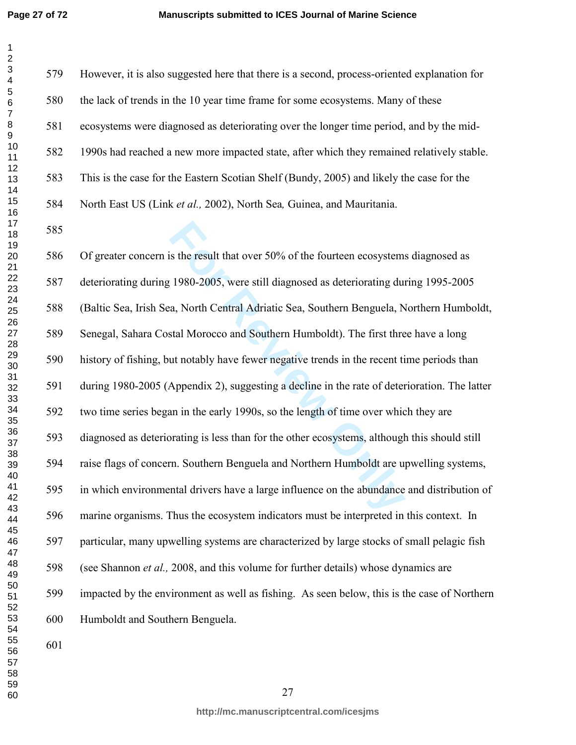is the result that over 50% of the fourteen ecosystem:<br>1980-2005, were still diagnosed as deteriorating dura, North Central Adriatic Sea, Southern Benguela, North Central Adriatic Sea, Southern Benguela, North Central Adri 579 However, it is also suggested here that there is a second, process-oriented explanation for 580 the lack of trends in the 10 year time frame for some ecosystems. Many of these 581 ecosystems were diagnosed as deteriorating over the longer time period, and by the mid-582 1990s had reached a new more impacted state, after which they remained relatively stable. 583 This is the case for the Eastern Scotian Shelf (Bundy, 2005) and likely the case for the 584 North East US (Link *et al.,* 2002), North Sea*,* Guinea, and Mauritania. 586 Of greater concern is the result that over 50% of the fourteen ecosystems diagnosed as 587 deteriorating during 1980-2005, were still diagnosed as deteriorating during 1995-2005 588 (Baltic Sea, Irish Sea, North Central Adriatic Sea, Southern Benguela, Northern Humboldt, 589 Senegal, Sahara Costal Morocco and Southern Humboldt). The first three have a long 590 history of fishing, but notably have fewer negative trends in the recent time periods than 591 during 1980-2005 (Appendix 2), suggesting a decline in the rate of deterioration. The latter 592 two time series began in the early 1990s, so the length of time over which they are 593 diagnosed as deteriorating is less than for the other ecosystems, although this should still 594 raise flags of concern. Southern Benguela and Northern Humboldt are upwelling systems, 595 in which environmental drivers have a large influence on the abundance and distribution of 596 marine organisms. Thus the ecosystem indicators must be interpreted in this context. In 597 particular, many upwelling systems are characterized by large stocks of small pelagic fish 598 (see Shannon *et al.,* 2008, and this volume for further details) whose dynamics are 599 impacted by the environment as well as fishing. As seen below, this is the case of Northern 600 Humboldt and Southern Benguela.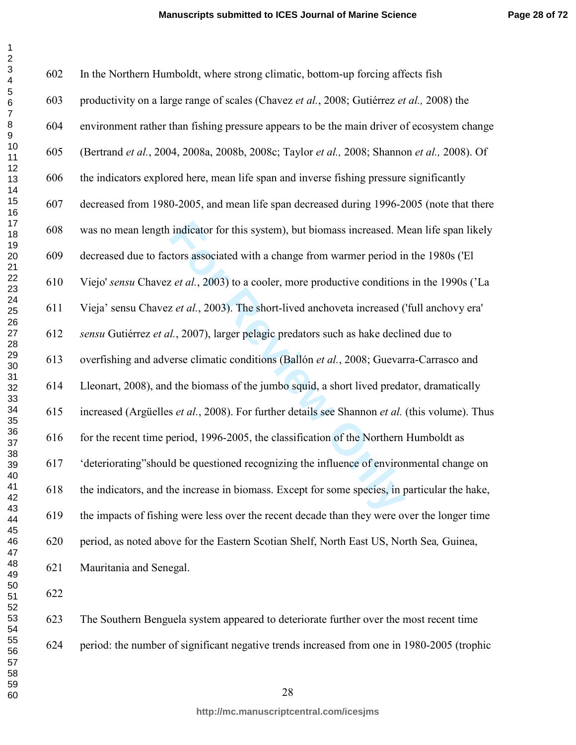**Page 28 of 72**

| 602 | In the Northern Humboldt, where strong climatic, bottom-up forcing affects fish                |
|-----|------------------------------------------------------------------------------------------------|
| 603 | productivity on a large range of scales (Chavez et al., 2008; Gutiérrez et al., 2008) the      |
| 604 | environment rather than fishing pressure appears to be the main driver of ecosystem change     |
| 605 | (Bertrand et al., 2004, 2008a, 2008b, 2008c; Taylor et al., 2008; Shannon et al., 2008). Of    |
| 606 | the indicators explored here, mean life span and inverse fishing pressure significantly        |
| 607 | decreased from 1980-2005, and mean life span decreased during 1996-2005 (note that there       |
| 608 | was no mean length indicator for this system), but biomass increased. Mean life span likely    |
| 609 | decreased due to factors associated with a change from warmer period in the 1980s ('El         |
| 610 | Viejo' sensu Chavez et al., 2003) to a cooler, more productive conditions in the 1990s ('La    |
| 611 | Vieja' sensu Chavez et al., 2003). The short-lived anchoveta increased ('full anchovy era'     |
| 612 | sensu Gutiérrez et al., 2007), larger pelagic predators such as hake declined due to           |
| 613 | overfishing and adverse climatic conditions (Ballón et al., 2008; Guevarra-Carrasco and        |
| 614 | Lleonart, 2008), and the biomass of the jumbo squid, a short lived predator, dramatically      |
| 615 | increased (Argüelles et al., 2008). For further details see Shannon et al. (this volume). Thus |
| 616 | for the recent time period, 1996-2005, the classification of the Northern Humboldt as          |
| 617 | 'deteriorating''should be questioned recognizing the influence of environmental change on      |
| 618 | the indicators, and the increase in biomass. Except for some species, in particular the hake,  |
| 619 | the impacts of fishing were less over the recent decade than they were over the longer time    |
| 620 | period, as noted above for the Eastern Scotian Shelf, North East US, North Sea, Guinea,        |
| 621 | Mauritania and Senegal.                                                                        |
| 622 |                                                                                                |
| 623 | The Southern Benguela system appeared to deteriorate further over the most recent time         |

624 period: the number of significant negative trends increased from one in 1980-2005 (trophic

 $\mathbf 1$  $\overline{2}$  $\overline{\mathbf{4}}$  $\overline{5}$  $\,6$  $\overline{7}$  $\bf 8$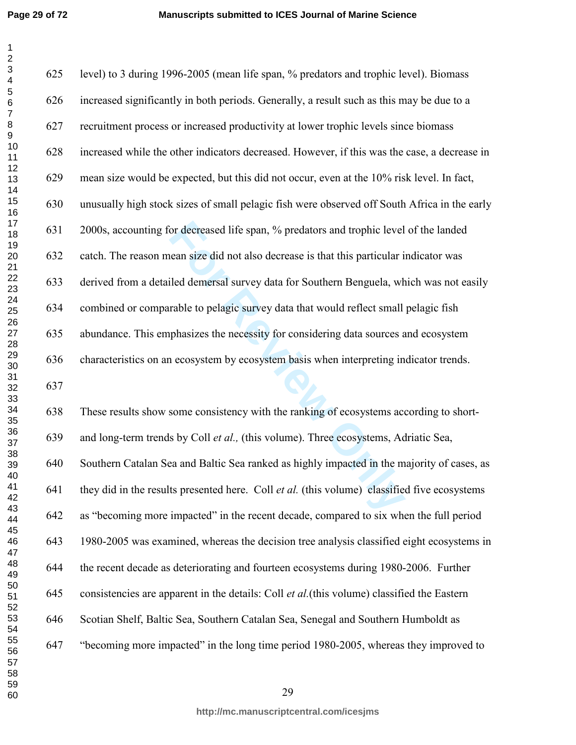for decreased life span, % predators and trophic level<br>tean size did not also decrease is that this particular i<br>iled demersal survey data for Southern Benguela, wh<br>rable to pelagic survey data that would reflect small<br>pha 625 level) to 3 during 1996-2005 (mean life span, % predators and trophic level). Biomass 626 increased significantly in both periods. Generally, a result such as this may be due to a 627 recruitment process or increased productivity at lower trophic levels since biomass 628 increased while the other indicators decreased. However, if this was the case, a decrease in 629 mean size would be expected, but this did not occur, even at the 10% risk level. In fact, 630 unusually high stock sizes of small pelagic fish were observed off South Africa in the early 631 2000s, accounting for decreased life span, % predators and trophic level of the landed 632 catch. The reason mean size did not also decrease is that this particular indicator was 633 derived from a detailed demersal survey data for Southern Benguela, which was not easily 634 combined or comparable to pelagic survey data that would reflect small pelagic fish 635 abundance. This emphasizes the necessity for considering data sources and ecosystem 636 characteristics on an ecosystem by ecosystem basis when interpreting indicator trends. 638 These results show some consistency with the ranking of ecosystems according to short-639 and long-term trends by Coll *et al.,* (this volume). Three ecosystems, Adriatic Sea, 640 Southern Catalan Sea and Baltic Sea ranked as highly impacted in the majority of cases, as 641 they did in the results presented here. Coll *et al.* (this volume) classified five ecosystems 642 as "becoming more impacted" in the recent decade, compared to six when the full period 643 1980-2005 was examined, whereas the decision tree analysis classified eight ecosystems in 644 the recent decade as deteriorating and fourteen ecosystems during 1980-2006. Further 645 consistencies are apparent in the details: Coll *et al.*(this volume) classified the Eastern 646 Scotian Shelf, Baltic Sea, Southern Catalan Sea, Senegal and Southern Humboldt as

- 647 "becoming more impacted" in the long time period 1980-2005, whereas they improved to
-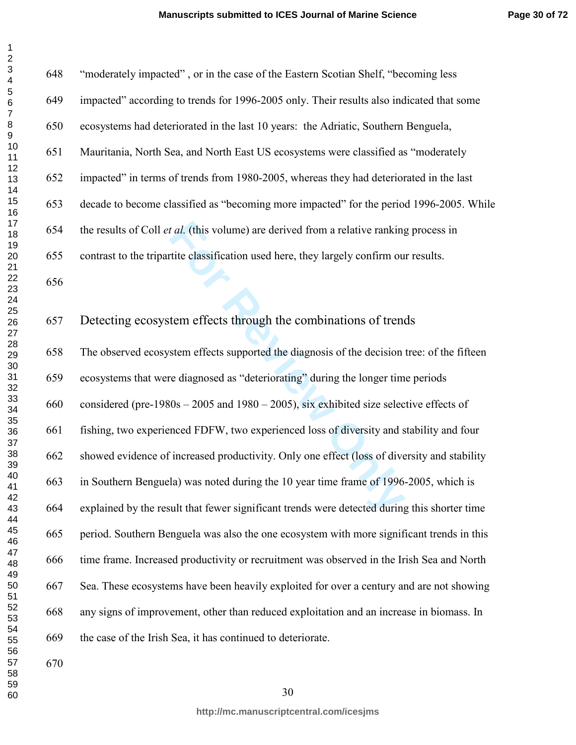648 "moderately impacted" , or in the case of the Eastern Scotian Shelf, "becoming less

| 1         |  |
|-----------|--|
|           |  |
|           |  |
|           |  |
|           |  |
|           |  |
|           |  |
|           |  |
|           |  |
|           |  |
|           |  |
|           |  |
|           |  |
|           |  |
|           |  |
|           |  |
|           |  |
|           |  |
|           |  |
|           |  |
|           |  |
|           |  |
|           |  |
|           |  |
|           |  |
|           |  |
|           |  |
|           |  |
|           |  |
|           |  |
|           |  |
|           |  |
|           |  |
|           |  |
|           |  |
|           |  |
|           |  |
|           |  |
|           |  |
|           |  |
|           |  |
| 40        |  |
| 41        |  |
| 42        |  |
| 43        |  |
| 44        |  |
| 45        |  |
|           |  |
| 46        |  |
| 47        |  |
| 48        |  |
| 49        |  |
| 50        |  |
| 51        |  |
| - .<br>52 |  |
| 53        |  |
| 54        |  |
| 55        |  |
| 56<br>ć   |  |
| 57        |  |
| 58        |  |
| 59        |  |
| 60        |  |
|           |  |

 $\mathbf{1}$ 

| 649 | impacted" according to trends for 1996-2005 only. Their results also indicated that some       |
|-----|------------------------------------------------------------------------------------------------|
| 650 | ecosystems had deteriorated in the last 10 years: the Adriatic, Southern Benguela,             |
| 651 | Mauritania, North Sea, and North East US ecosystems were classified as "moderately             |
| 652 | impacted" in terms of trends from 1980-2005, whereas they had deteriorated in the last         |
| 653 | decade to become classified as "becoming more impacted" for the period 1996-2005. While        |
| 654 | the results of Coll <i>et al.</i> (this volume) are derived from a relative ranking process in |
| 655 | contrast to the tripartite classification used here, they largely confirm our results.         |
| 656 |                                                                                                |
|     |                                                                                                |
| 657 | Detecting ecosystem effects through the combinations of trends                                 |
| 658 | The observed ecosystem effects supported the diagnosis of the decision tree: of the fifteen    |
| 659 | ecosystems that were diagnosed as "deteriorating" during the longer time periods               |
| 660 | considered (pre-1980s - 2005 and 1980 - 2005), six exhibited size selective effects of         |
| 661 | fishing, two experienced FDFW, two experienced loss of diversity and stability and four        |
| 662 | showed evidence of increased productivity. Only one effect (loss of diversity and stability    |
| 663 | in Southern Benguela) was noted during the 10 year time frame of 1996-2005, which is           |
| 664 | explained by the result that fewer significant trends were detected during this shorter time   |
| 665 | period. Southern Benguela was also the one ecosystem with more significant trends in this      |
| 666 | time frame. Increased productivity or recruitment was observed in the Irish Sea and North      |
| 667 | Sea. These ecosystems have been heavily exploited for over a century and are not showing       |
| 668 | any signs of improvement, other than reduced exploitation and an increase in biomass. In       |
| 669 | the case of the Irish Sea, it has continued to deteriorate.                                    |
| 670 |                                                                                                |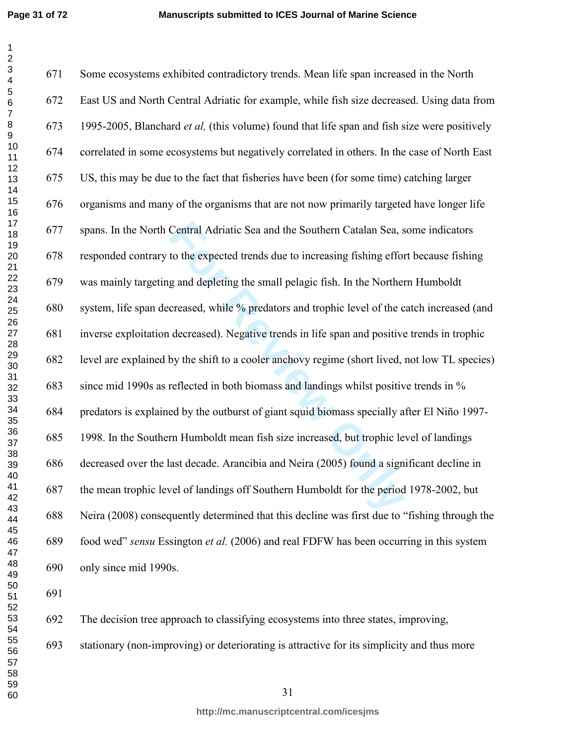Central Adriatic Sea and the Southern Catalan Sea, s<br>to the expected trends due to increasing fishing effor<br>g and depleting the small pelagic fish. In the Norther<br>creased, while % predators and trophic level of the c<br>decre 671 Some ecosystems exhibited contradictory trends. Mean life span increased in the North 672 East US and North Central Adriatic for example, while fish size decreased. Using data from 673 1995-2005, Blanchard *et al,* (this volume) found that life span and fish size were positively 674 correlated in some ecosystems but negatively correlated in others. In the case of North East 675 US, this may be due to the fact that fisheries have been (for some time) catching larger 676 organisms and many of the organisms that are not now primarily targeted have longer life 677 spans. In the North Central Adriatic Sea and the Southern Catalan Sea, some indicators 678 responded contrary to the expected trends due to increasing fishing effort because fishing 679 was mainly targeting and depleting the small pelagic fish. In the Northern Humboldt 680 system, life span decreased, while % predators and trophic level of the catch increased (and 681 inverse exploitation decreased). Negative trends in life span and positive trends in trophic 682 level are explained by the shift to a cooler anchovy regime (short lived, not low TL species) 683 since mid 1990s as reflected in both biomass and landings whilst positive trends in % 684 predators is explained by the outburst of giant squid biomass specially after El Niño 1997- 685 1998. In the Southern Humboldt mean fish size increased, but trophic level of landings 686 decreased over the last decade. Arancibia and Neira (2005) found a significant decline in 687 the mean trophic level of landings off Southern Humboldt for the period 1978-2002, but 688 Neira (2008) consequently determined that this decline was first due to "fishing through the 689 food wed" *sensu* Essington *et al.* (2006) and real FDFW has been occurring in this system 690 only since mid 1990s. 

692 The decision tree approach to classifying ecosystems into three states, improving,

693 stationary (non-improving) or deteriorating is attractive for its simplicity and thus more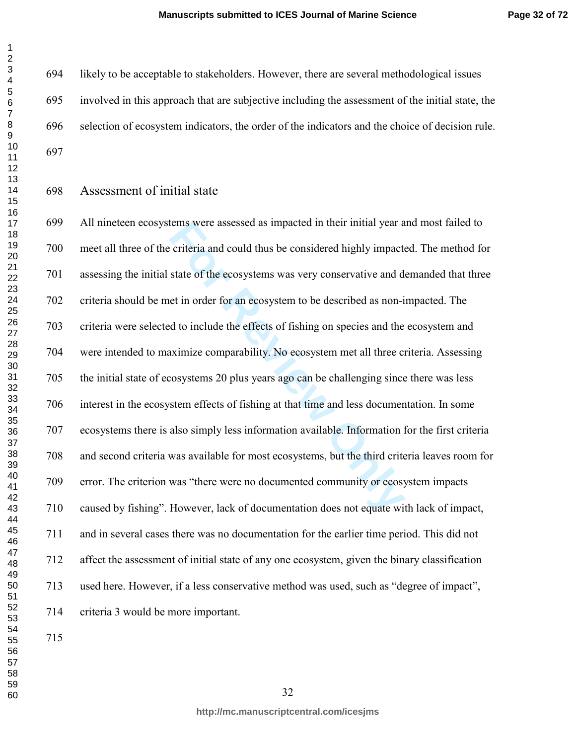694 likely to be acceptable to stakeholders. However, there are several methodological issues 695 involved in this approach that are subjective including the assessment of the initial state, the 696 selection of ecosystem indicators, the order of the indicators and the choice of decision rule. 

Assessment of initial state

tems were assessed as impacted in their initial year a<br>criteria and could thus be considered highly impact<br>state of the ecosystems was very conservative and d<br>et in order for an ecosystem to be described as non-i<br>d to incl 699 All nineteen ecosystems were assessed as impacted in their initial year and most failed to 700 meet all three of the criteria and could thus be considered highly impacted. The method for 701 assessing the initial state of the ecosystems was very conservative and demanded that three 702 criteria should be met in order for an ecosystem to be described as non-impacted. The 703 criteria were selected to include the effects of fishing on species and the ecosystem and 704 were intended to maximize comparability. No ecosystem met all three criteria. Assessing 705 the initial state of ecosystems 20 plus years ago can be challenging since there was less 706 interest in the ecosystem effects of fishing at that time and less documentation. In some 707 ecosystems there is also simply less information available. Information for the first criteria 708 and second criteria was available for most ecosystems, but the third criteria leaves room for 709 error. The criterion was "there were no documented community or ecosystem impacts 710 caused by fishing". However, lack of documentation does not equate with lack of impact, 711 and in several cases there was no documentation for the earlier time period. This did not 712 affect the assessment of initial state of any one ecosystem, given the binary classification 713 used here. However, if a less conservative method was used, such as "degree of impact", 714 criteria 3 would be more important.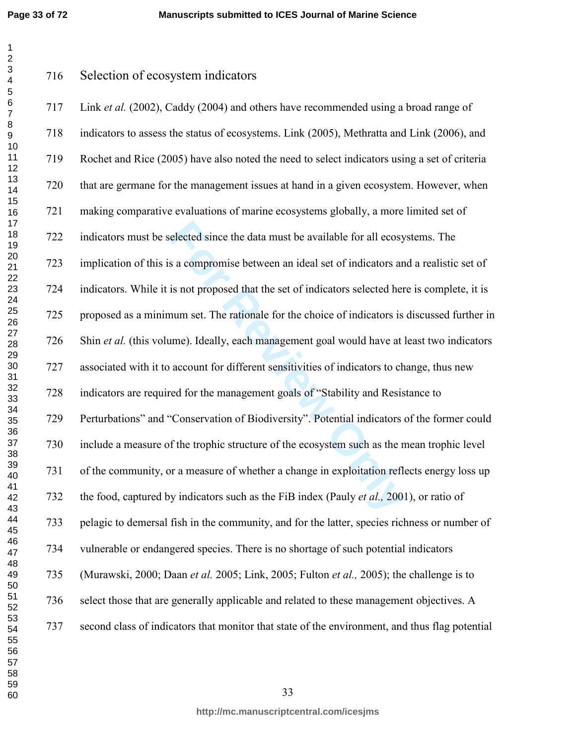**Page 33 of 72**

Selection of ecosystem indicators

elected since the data must be available for all ecosy<br>s a compromise between an ideal set of indicators an<br>is not proposed that the set of indicators selected her<br>num set. The rationale for the choice of indicators is<br>ime 717 Link *et al.* (2002), Caddy (2004) and others have recommended using a broad range of 718 indicators to assess the status of ecosystems. Link (2005), Methratta and Link (2006), and 719 Rochet and Rice (2005) have also noted the need to select indicators using a set of criteria 720 that are germane for the management issues at hand in a given ecosystem. However, when 721 making comparative evaluations of marine ecosystems globally, a more limited set of 722 indicators must be selected since the data must be available for all ecosystems. The 723 implication of this is a compromise between an ideal set of indicators and a realistic set of 724 indicators. While it is not proposed that the set of indicators selected here is complete, it is 725 proposed as a minimum set. The rationale for the choice of indicators is discussed further in 726 Shin *et al.* (this volume). Ideally, each management goal would have at least two indicators 727 associated with it to account for different sensitivities of indicators to change, thus new 728 indicators are required for the management goals of "Stability and Resistance to 729 Perturbations" and "Conservation of Biodiversity". Potential indicators of the former could 730 include a measure of the trophic structure of the ecosystem such as the mean trophic level 731 of the community, or a measure of whether a change in exploitation reflects energy loss up 732 the food, captured by indicators such as the FiB index (Pauly *et al.,* 2001), or ratio of 733 pelagic to demersal fish in the community, and for the latter, species richness or number of 734 vulnerable or endangered species. There is no shortage of such potential indicators 735 (Murawski, 2000; Daan *et al.* 2005; Link, 2005; Fulton *et al.,* 2005); the challenge is to 736 select those that are generally applicable and related to these management objectives. A 737 second class of indicators that monitor that state of the environment, and thus flag potential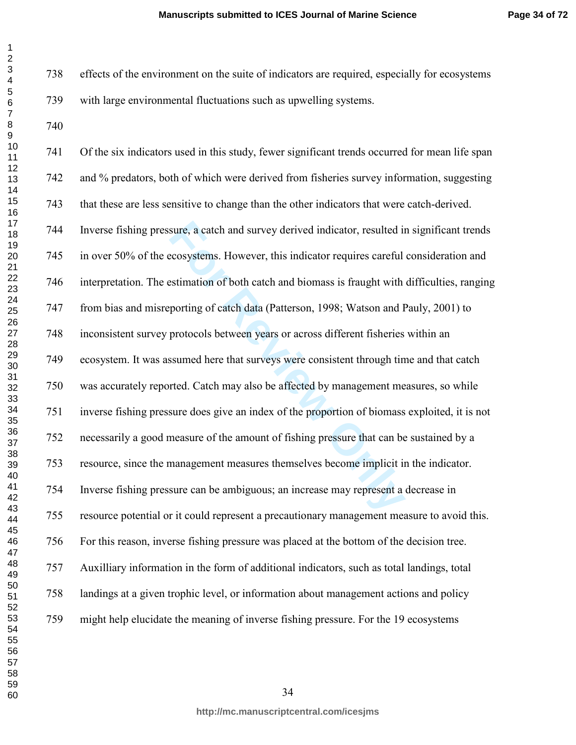738 effects of the environment on the suite of indicators are required, especially for ecosystems 739 with large environmental fluctuations such as upwelling systems.

 $\mathbf{1}$ 

sure, a catch and survey derived indicator, resulted in<br>ecosystems. However, this indicator requires careful<br>stimation of both catch and biomass is fraught with<br>porting of catch data (Patterson, 1998; Watson and H<br>protocol 741 Of the six indicators used in this study, fewer significant trends occurred for mean life span 742 and % predators, both of which were derived from fisheries survey information, suggesting 743 that these are less sensitive to change than the other indicators that were catch-derived. 744 Inverse fishing pressure, a catch and survey derived indicator, resulted in significant trends 745 in over 50% of the ecosystems. However, this indicator requires careful consideration and 746 interpretation. The estimation of both catch and biomass is fraught with difficulties, ranging 747 from bias and misreporting of catch data (Patterson, 1998; Watson and Pauly, 2001) to 748 inconsistent survey protocols between years or across different fisheries within an 749 ecosystem. It was assumed here that surveys were consistent through time and that catch 750 was accurately reported. Catch may also be affected by management measures, so while 751 inverse fishing pressure does give an index of the proportion of biomass exploited, it is not 752 necessarily a good measure of the amount of fishing pressure that can be sustained by a 753 resource, since the management measures themselves become implicit in the indicator. 754 Inverse fishing pressure can be ambiguous; an increase may represent a decrease in 755 resource potential or it could represent a precautionary management measure to avoid this. 756 For this reason, inverse fishing pressure was placed at the bottom of the decision tree. 757 Auxilliary information in the form of additional indicators, such as total landings, total 758 landings at a given trophic level, or information about management actions and policy 759 might help elucidate the meaning of inverse fishing pressure. For the 19 ecosystems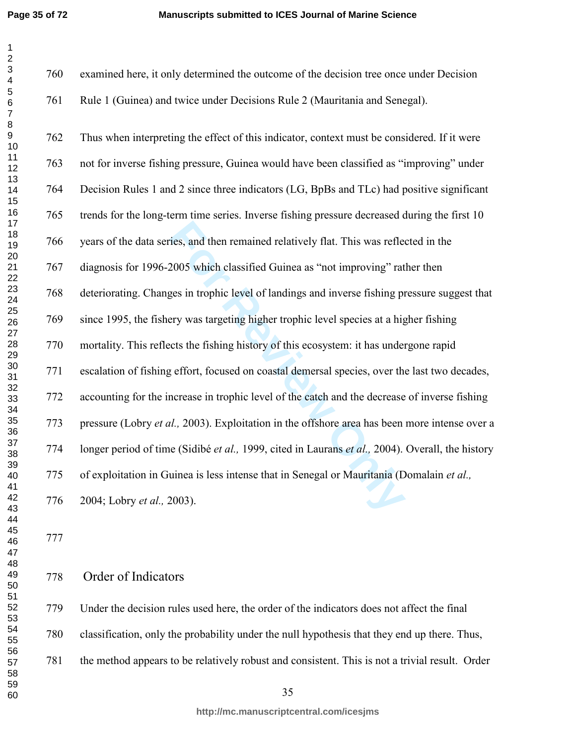For the set and then remained relatively flat. This was reflered 2005 which classified Guinea as "not improving" rat ges in trophic level of landings and inverse fishing prery was targeting higher trophic level species at 760 examined here, it only determined the outcome of the decision tree once under Decision 761 Rule 1 (Guinea) and twice under Decisions Rule 2 (Mauritania and Senegal). 762 Thus when interpreting the effect of this indicator, context must be considered. If it were 763 not for inverse fishing pressure, Guinea would have been classified as "improving" under 764 Decision Rules 1 and 2 since three indicators (LG, BpBs and TLc) had positive significant 765 trends for the long-term time series. Inverse fishing pressure decreased during the first 10 766 years of the data series, and then remained relatively flat. This was reflected in the 767 diagnosis for 1996-2005 which classified Guinea as "not improving" rather then 768 deteriorating. Changes in trophic level of landings and inverse fishing pressure suggest that 769 since 1995, the fishery was targeting higher trophic level species at a higher fishing 770 mortality. This reflects the fishing history of this ecosystem: it has undergone rapid 771 escalation of fishing effort, focused on coastal demersal species, over the last two decades, 772 accounting for the increase in trophic level of the catch and the decrease of inverse fishing 773 pressure (Lobry *et al.,* 2003). Exploitation in the offshore area has been more intense over a 774 longer period of time (Sidibé *et al.,* 1999, cited in Laurans *et al.,* 2004). Overall, the history 775 of exploitation in Guinea is less intense that in Senegal or Mauritania (Domalain *et al.,* 776 2004; Lobry *et al.,* 2003).

# Order of Indicators

779 Under the decision rules used here, the order of the indicators does not affect the final 780 classification, only the probability under the null hypothesis that they end up there. Thus, 781 the method appears to be relatively robust and consistent. This is not a trivial result. Order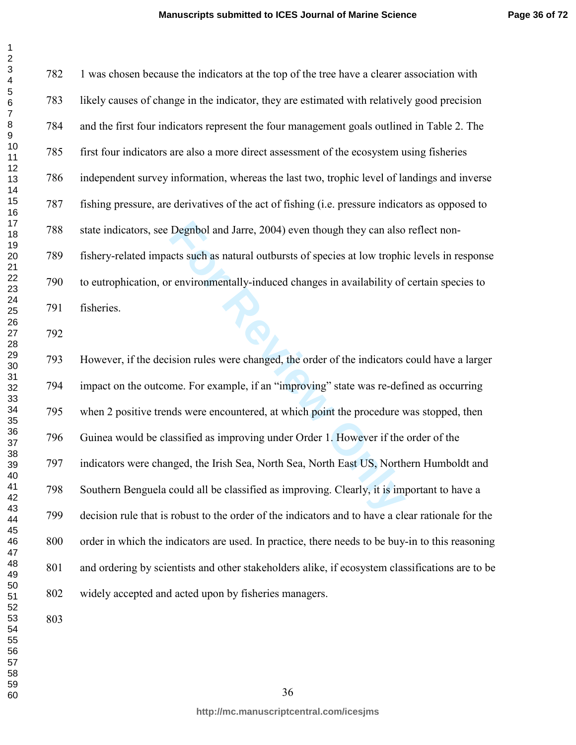**Page 36 of 72**

782 1 was chosen because the indicators at the top of the tree have a clearer association with 783 likely causes of change in the indicator, they are estimated with relatively good precision 784 and the first four indicators represent the four management goals outlined in Table 2. The 785 first four indicators are also a more direct assessment of the ecosystem using fisheries 786 independent survey information, whereas the last two, trophic level of landings and inverse 787 fishing pressure, are derivatives of the act of fishing (i.e. pressure indicators as opposed to 788 state indicators, see Degnbol and Jarre, 2004) even though they can also reflect non-789 fishery-related impacts such as natural outbursts of species at low trophic levels in response 790 to eutrophication, or environmentally-induced changes in availability of certain species to<br>
791 fisheries. 791 fisheries.

Degnbol and Jarre, 2004) even though they can also<br>tets such as natural outbursts of species at low trophi<br>r environmentally-induced changes in availability of<br>ision rules were changed, the order of the indicators<br>me. For 793 However, if the decision rules were changed, the order of the indicators could have a larger 794 impact on the outcome. For example, if an "improving" state was re-defined as occurring 795 when 2 positive trends were encountered, at which point the procedure was stopped, then 796 Guinea would be classified as improving under Order 1. However if the order of the 797 indicators were changed, the Irish Sea, North Sea, North East US, Northern Humboldt and 798 Southern Benguela could all be classified as improving. Clearly, it is important to have a 799 decision rule that is robust to the order of the indicators and to have a clear rationale for the 800 order in which the indicators are used. In practice, there needs to be buy-in to this reasoning 801 and ordering by scientists and other stakeholders alike, if ecosystem classifications are to be 802 widely accepted and acted upon by fisheries managers.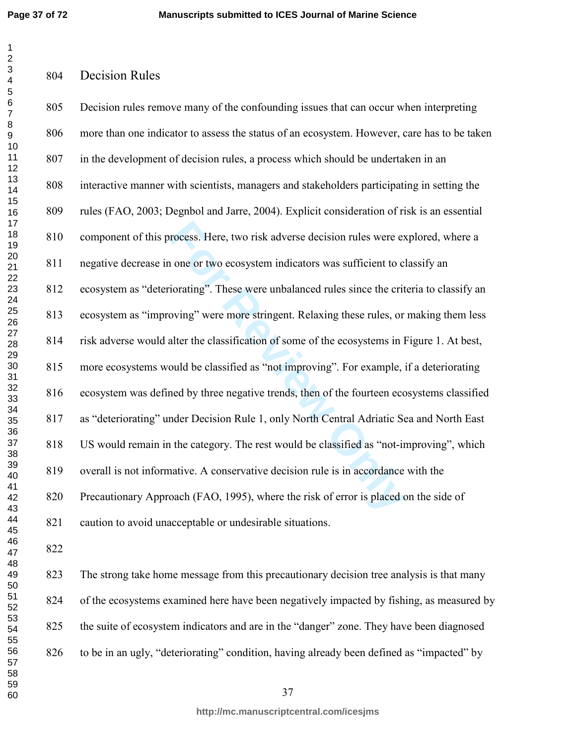**Page 37 of 72**

Decision Rules

### $\mathbf{1}$   $\overline{2}$  $\overline{\mathbf{4}}$  $\overline{7}$

| 805 | Decision rules remove many of the confounding issues that can occur when interpreting       |
|-----|---------------------------------------------------------------------------------------------|
| 806 | more than one indicator to assess the status of an ecosystem. However, care has to be taken |
| 807 | in the development of decision rules, a process which should be undertaken in an            |
| 808 | interactive manner with scientists, managers and stakeholders participating in setting the  |
| 809 | rules (FAO, 2003; Degnbol and Jarre, 2004). Explicit consideration of risk is an essential  |
| 810 | component of this process. Here, two risk adverse decision rules were explored, where a     |
| 811 | negative decrease in one or two ecosystem indicators was sufficient to classify an          |
| 812 | ecosystem as "deteriorating". These were unbalanced rules since the criteria to classify an |
| 813 | ecosystem as "improving" were more stringent. Relaxing these rules, or making them less     |
| 814 | risk adverse would alter the classification of some of the ecosystems in Figure 1. At best, |
| 815 | more ecosystems would be classified as "not improving". For example, if a deteriorating     |
| 816 | ecosystem was defined by three negative trends, then of the fourteen ecosystems classified  |
| 817 | as "deteriorating" under Decision Rule 1, only North Central Adriatic Sea and North East    |
| 818 | US would remain in the category. The rest would be classified as "not-improving", which     |
| 819 | overall is not informative. A conservative decision rule is in accordance with the          |
| 820 | Precautionary Approach (FAO, 1995), where the risk of error is placed on the side of        |
| 821 | caution to avoid unacceptable or undesirable situations.                                    |
| 822 |                                                                                             |

823 The strong take home message from this precautionary decision tree analysis is that many 824 of the ecosystems examined here have been negatively impacted by fishing, as measured by 825 the suite of ecosystem indicators and are in the "danger" zone. They have been diagnosed 826 to be in an ugly, "deteriorating" condition, having already been defined as "impacted" by

**http://mc.manuscriptcentral.com/icesjms**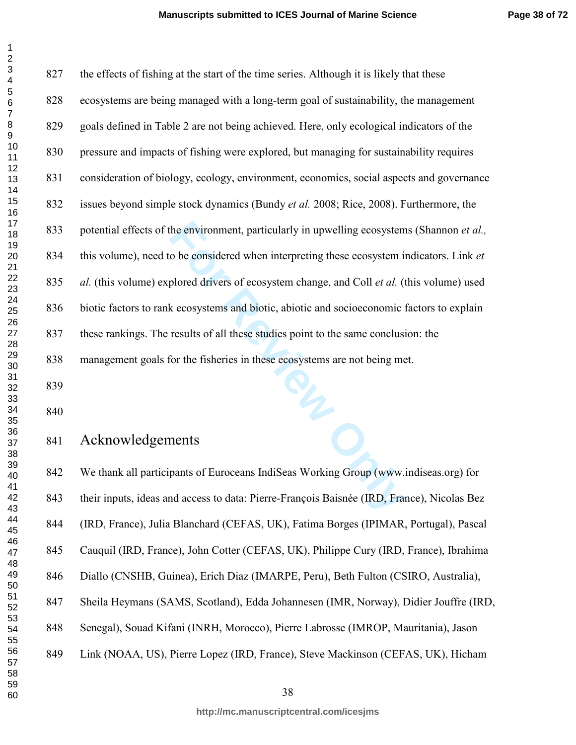| 1                                                  |
|----------------------------------------------------|
| $\overline{2}$                                     |
|                                                    |
|                                                    |
|                                                    |
|                                                    |
|                                                    |
|                                                    |
|                                                    |
|                                                    |
|                                                    |
|                                                    |
|                                                    |
|                                                    |
|                                                    |
|                                                    |
|                                                    |
|                                                    |
|                                                    |
|                                                    |
|                                                    |
|                                                    |
|                                                    |
|                                                    |
|                                                    |
|                                                    |
|                                                    |
|                                                    |
|                                                    |
|                                                    |
|                                                    |
|                                                    |
|                                                    |
| 30<br>31<br>32<br>33<br>34<br>35<br>36<br>37<br>38 |
|                                                    |
|                                                    |
|                                                    |
|                                                    |
|                                                    |
|                                                    |
| .<br>39                                            |
|                                                    |
| 40                                                 |
| 41                                                 |
| 42                                                 |
| 43                                                 |
| 44                                                 |
| 45                                                 |
| 46                                                 |
| 47                                                 |
| 48                                                 |
| 49                                                 |
| 50                                                 |
| 51                                                 |
| -<br>52                                            |
|                                                    |
| E<br>$\overline{3}$                                |
| 54                                                 |
| 55                                                 |
| 56<br>ć                                            |
| 57                                                 |
| 58                                                 |
| 59                                                 |
| 60                                                 |

| 827 | the effects of fishing at the start of the time series. Although it is likely that these    |
|-----|---------------------------------------------------------------------------------------------|
| 828 | ecosystems are being managed with a long-term goal of sustainability, the management        |
| 829 | goals defined in Table 2 are not being achieved. Here, only ecological indicators of the    |
| 830 | pressure and impacts of fishing were explored, but managing for sustainability requires     |
| 831 | consideration of biology, ecology, environment, economics, social aspects and governance    |
| 832 | issues beyond simple stock dynamics (Bundy et al. 2008; Rice, 2008). Furthermore, the       |
| 833 | potential effects of the environment, particularly in upwelling ecosystems (Shannon et al., |
| 834 | this volume), need to be considered when interpreting these ecosystem indicators. Link et   |
| 835 | al. (this volume) explored drivers of ecosystem change, and Coll et al. (this volume) used  |
| 836 | biotic factors to rank ecosystems and biotic, abiotic and socioeconomic factors to explain  |
| 837 | these rankings. The results of all these studies point to the same conclusion: the          |
| 838 | management goals for the fisheries in these ecosystems are not being met.                   |
| 839 |                                                                                             |
| 840 | THE STATES                                                                                  |
| 841 | Acknowledgements                                                                            |
| 842 | We thank all participants of Euroceans IndiSeas Working Group (www.indiseas.org) for        |
| 843 | their inputs, ideas and access to data: Pierre-François Baisnée (IRD, France), Nicolas Bez  |
|     |                                                                                             |

# Acknowledgements

842 We thank all participants of Euroceans IndiSeas Working Group (www.indiseas.org) for 843 their inputs, ideas and access to data: Pierre-François Baisnée (IRD, France), Nicolas Bez 844 (IRD, France), Julia Blanchard (CEFAS, UK), Fatima Borges (IPIMAR, Portugal), Pascal 845 Cauquil (IRD, France), John Cotter (CEFAS, UK), Philippe Cury (IRD, France), Ibrahima 846 Diallo (CNSHB, Guinea), Erich Diaz (IMARPE, Peru), Beth Fulton (CSIRO, Australia), 847 Sheila Heymans (SAMS, Scotland), Edda Johannesen (IMR, Norway), Didier Jouffre (IRD, 848 Senegal), Souad Kifani (INRH, Morocco), Pierre Labrosse (IMROP, Mauritania), Jason 849 Link (NOAA, US), Pierre Lopez (IRD, France), Steve Mackinson (CEFAS, UK), Hicham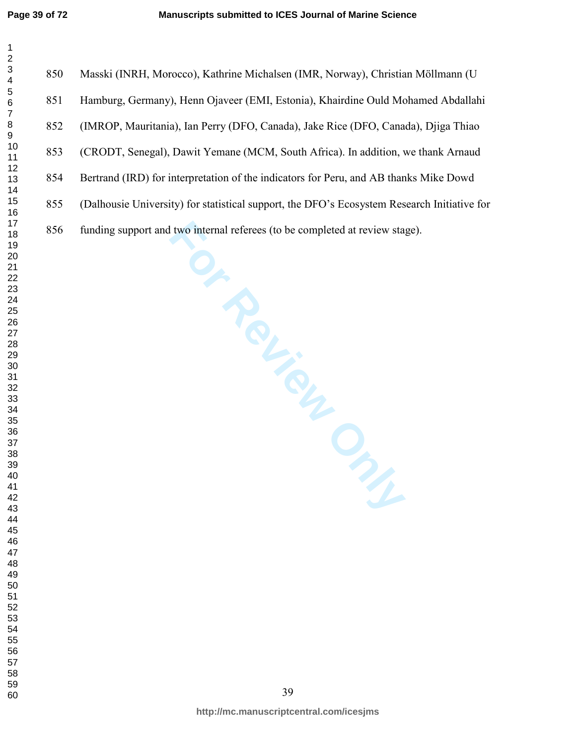850 Masski (INRH, Morocco), Kathrine Michalsen (IMR, Norway), Christian Möllmann (U 851 Hamburg, Germany), Henn Ojaveer (EMI, Estonia), Khairdine Ould Mohamed Abdallahi 852 (IMROP, Mauritania), Ian Perry (DFO, Canada), Jake Rice (DFO, Canada), Djiga Thiao 853 (CRODT, Senegal), Dawit Yemane (MCM, South Africa). In addition, we thank Arnaud 854 Bertrand (IRD) for interpretation of the indicators for Peru, and AB thanks Mike Dowd 855 (Dalhousie University) for statistical support, the DFO's Ecosystem Research Initiative for 856 funding support and two internal referees (to be completed at review stage).

I two internal referees (to be completed at review state)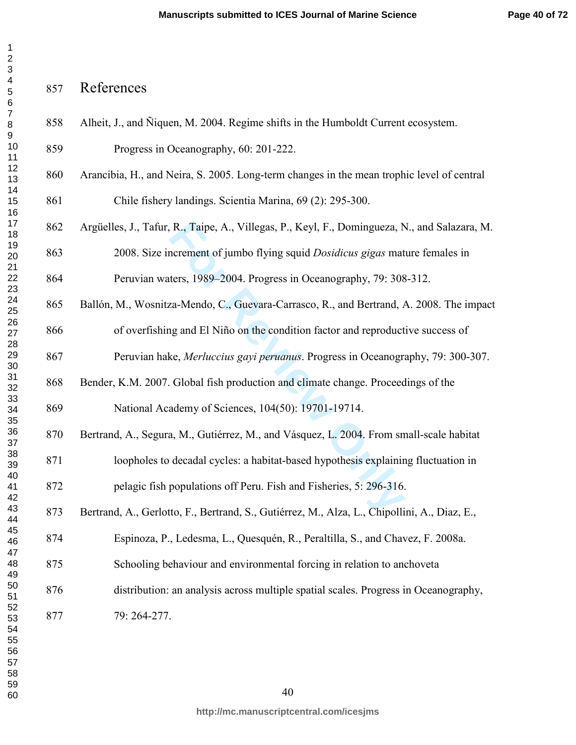858 Alheit, J., and Ñiquen, M. 2004. Regime shifts in the Humboldt Current ecosystem.

# References

R., Taipe, A., Villegas, P., Keyl, F., Domingueza, N<br>
ncrement of jumbo flying squid *Dosidicus gigas* mat<br>
ters, 1989–2004. Progress in Oceanography, 79: 308<br>
za-Mendo, C., Guevara-Carrasco, R., and Bertrand, *A*<br>
ig and 859 Progress in Oceanography, 60: 201-222. 860 Arancibia, H., and Neira, S. 2005. Long-term changes in the mean trophic level of central 861 Chile fishery landings. Scientia Marina, 69 (2): 295-300. 862 Argüelles, J., Tafur, R., Taipe, A., Villegas, P., Keyl, F., Domingueza, N., and Salazara, M. 863 2008. Size increment of jumbo flying squid *Dosidicus gigas* mature females in 864 Peruvian waters, 1989–2004. Progress in Oceanography, 79: 308-312. 865 Ballón, M., Wosnitza-Mendo, C., Guevara-Carrasco, R., and Bertrand, A. 2008. The impact 866 of overfishing and El Niño on the condition factor and reproductive success of 867 Peruvian hake, *Merluccius gayi peruanus*. Progress in Oceanography, 79: 300-307. 868 Bender, K.M. 2007. Global fish production and climate change. Proceedings of the 869 National Academy of Sciences, 104(50): 19701-19714. 870 Bertrand, A., Segura, M., Gutiérrez, M., and Vásquez, L. 2004. From small-scale habitat 871 loopholes to decadal cycles: a habitat-based hypothesis explaining fluctuation in 872 pelagic fish populations off Peru. Fish and Fisheries, 5: 296-316. 873 Bertrand, A., Gerlotto, F., Bertrand, S., Gutiérrez, M., Alza, L., Chipollini, A., Diaz, E., 874 Espinoza, P., Ledesma, L., Quesquén, R., Peraltilla, S., and Chavez, F. 2008a. 875 Schooling behaviour and environmental forcing in relation to anchoveta 876 distribution: an analysis across multiple spatial scales. Progress in Oceanography, 877 79: 264-277.

 $\mathbf 1$  $\overline{2}$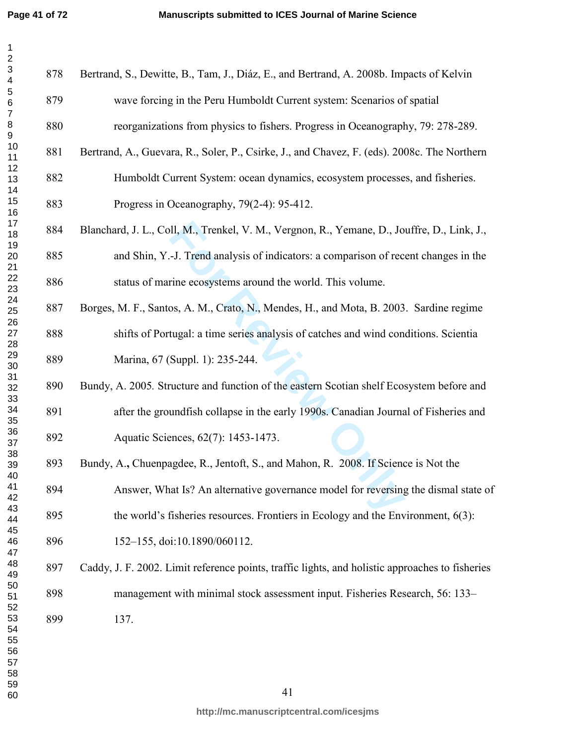| 1                                |  |
|----------------------------------|--|
|                                  |  |
| 3                                |  |
|                                  |  |
|                                  |  |
| 45678                            |  |
|                                  |  |
|                                  |  |
| 9                                |  |
|                                  |  |
|                                  |  |
|                                  |  |
|                                  |  |
| 101213456789012223456            |  |
|                                  |  |
|                                  |  |
|                                  |  |
|                                  |  |
|                                  |  |
|                                  |  |
|                                  |  |
|                                  |  |
|                                  |  |
|                                  |  |
|                                  |  |
|                                  |  |
| 1<br>26<br>27<br>28<br>29<br>30  |  |
|                                  |  |
|                                  |  |
|                                  |  |
| 31                               |  |
|                                  |  |
|                                  |  |
|                                  |  |
|                                  |  |
|                                  |  |
| 33<br>34<br>35<br>36<br>37<br>38 |  |
|                                  |  |
| 39                               |  |
| 40                               |  |
| 41                               |  |
| 42                               |  |
| 43                               |  |
| 44                               |  |
| 45                               |  |
| 46                               |  |
| 47                               |  |
| 48                               |  |
| 49                               |  |
| 50                               |  |
| 51                               |  |
| 52                               |  |
| 53                               |  |
| 54                               |  |
| 55                               |  |
| 56                               |  |
| 57                               |  |
| ۔<br>58<br>3                     |  |
| 59                               |  |
| 60                               |  |
|                                  |  |

| 878 | Bertrand, S., Dewitte, B., Tam, J., Diáz, E., and Bertrand, A. 2008b. Impacts of Kelvin         |
|-----|-------------------------------------------------------------------------------------------------|
| 879 | wave forcing in the Peru Humboldt Current system: Scenarios of spatial                          |
| 880 | reorganizations from physics to fishers. Progress in Oceanography, 79: 278-289.                 |
| 881 | Bertrand, A., Guevara, R., Soler, P., Csirke, J., and Chavez, F. (eds). 2008c. The Northern     |
| 882 | Humboldt Current System: ocean dynamics, ecosystem processes, and fisheries.                    |
| 883 | Progress in Oceanography, 79(2-4): 95-412.                                                      |
| 884 | Blanchard, J. L., Coll, M., Trenkel, V. M., Vergnon, R., Yemane, D., Jouffre, D., Link, J.,     |
| 885 | and Shin, Y.-J. Trend analysis of indicators: a comparison of recent changes in the             |
| 886 | status of marine ecosystems around the world. This volume.                                      |
| 887 | Borges, M. F., Santos, A. M., Crato, N., Mendes, H., and Mota, B. 2003. Sardine regime          |
| 888 | shifts of Portugal: a time series analysis of catches and wind conditions. Scientia             |
| 889 | Marina, 67 (Suppl. 1): 235-244.                                                                 |
| 890 | Bundy, A. 2005. Structure and function of the eastern Scotian shelf Ecosystem before and        |
| 891 | after the groundfish collapse in the early 1990s. Canadian Journal of Fisheries and             |
| 892 | Aquatic Sciences, 62(7): 1453-1473.                                                             |
| 893 | Bundy, A., Chuenpagdee, R., Jentoft, S., and Mahon, R. 2008. If Science is Not the              |
| 894 | Answer, What Is? An alternative governance model for reversing the dismal state of              |
| 895 | the world's fisheries resources. Frontiers in Ecology and the Environment, $6(3)$ :             |
| 896 | 152-155, doi:10.1890/060112.                                                                    |
| 897 | Caddy, J. F. 2002. Limit reference points, traffic lights, and holistic approaches to fisheries |
| 898 | management with minimal stock assessment input. Fisheries Research, 56: 133–                    |
| 899 | 137.                                                                                            |
|     |                                                                                                 |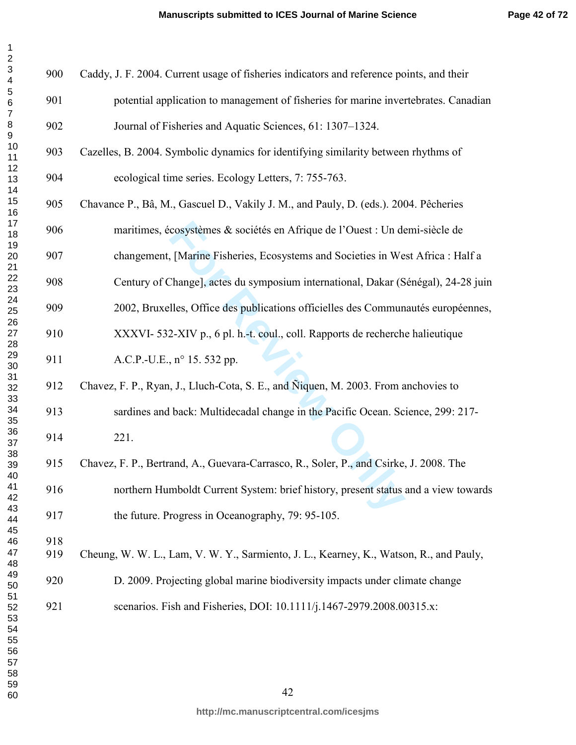| 1<br>$\overline{c}$ |  |
|---------------------|--|
|                     |  |
|                     |  |
| 3456<br>56          |  |
|                     |  |
|                     |  |
|                     |  |
|                     |  |
|                     |  |
|                     |  |
|                     |  |
|                     |  |
|                     |  |
|                     |  |
|                     |  |
|                     |  |
|                     |  |
|                     |  |
|                     |  |
|                     |  |
|                     |  |
|                     |  |
|                     |  |
|                     |  |
|                     |  |
|                     |  |
| 38                  |  |
| 39                  |  |
| 40<br>41            |  |
| 42                  |  |
| 43<br>44            |  |
| 45                  |  |
| 46<br>47            |  |
| 48                  |  |
| 49                  |  |
| 50<br>51            |  |
| .<br>52             |  |
| 53<br>54            |  |
| 55                  |  |
| 56                  |  |
| 57<br>58            |  |
| 59                  |  |
| 60                  |  |

| 900        | Caddy, J. F. 2004. Current usage of fisheries indicators and reference points, and their |
|------------|------------------------------------------------------------------------------------------|
| 901        | potential application to management of fisheries for marine invertebrates. Canadian      |
| 902        | Journal of Fisheries and Aquatic Sciences, 61: 1307–1324.                                |
| 903        | Cazelles, B. 2004. Symbolic dynamics for identifying similarity between rhythms of       |
| 904        | ecological time series. Ecology Letters, 7: 755-763.                                     |
| 905        | Chavance P., Bâ, M., Gascuel D., Vakily J. M., and Pauly, D. (eds.). 2004. Pêcheries     |
| 906        | maritimes, écosystèmes & sociétés en Afrique de l'Ouest : Un demi-siècle de              |
| 907        | changement, [Marine Fisheries, Ecosystems and Societies in West Africa : Half a          |
| 908        | Century of Change], actes du symposium international, Dakar (Sénégal), 24-28 juin        |
| 909        | 2002, Bruxelles, Office des publications officielles des Communautés européennes,        |
| 910        | XXXVI-532-XIV p., 6 pl. h.-t. coul., coll. Rapports de recherche halieutique             |
| 911        | A.C.P.-U.E., n° 15. 532 pp.                                                              |
| 912        | Chavez, F. P., Ryan, J., Lluch-Cota, S. E., and Niquen, M. 2003. From anchovies to       |
| 913        | sardines and back: Multidecadal change in the Pacific Ocean. Science, 299: 217-          |
| 914        | 221.                                                                                     |
| 915        | Chavez, F. P., Bertrand, A., Guevara-Carrasco, R., Soler, P., and Csirke, J. 2008. The   |
| 916        | northern Humboldt Current System: brief history, present status and a view towards       |
| 917        | the future. Progress in Oceanography, 79: 95-105.                                        |
| 918<br>919 | Cheung, W. W. L., Lam, V. W. Y., Sarmiento, J. L., Kearney, K., Watson, R., and Pauly,   |
| 920        | D. 2009. Projecting global marine biodiversity impacts under climate change              |
| 921        | scenarios. Fish and Fisheries, DOI: 10.1111/j.1467-2979.2008.00315.x:                    |
|            |                                                                                          |
|            |                                                                                          |
|            |                                                                                          |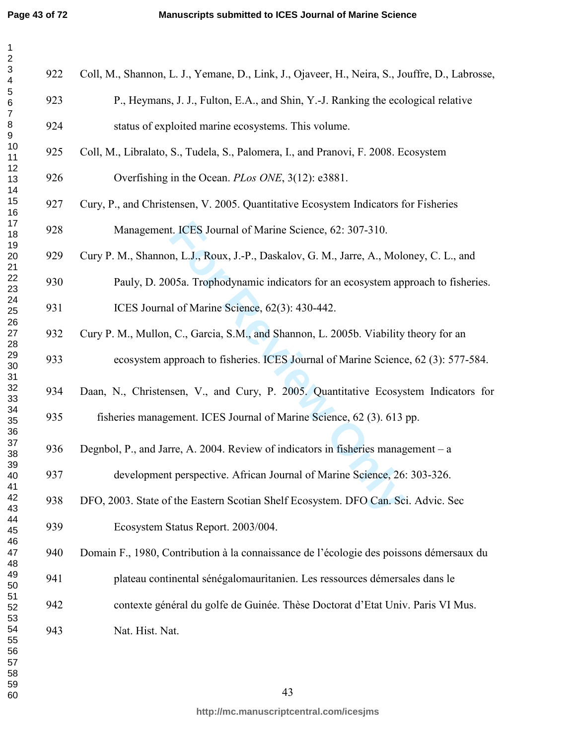$\mathbf 1$ 

| $\overline{\mathbf{c}}$                              |     |                                                                                                |
|------------------------------------------------------|-----|------------------------------------------------------------------------------------------------|
| $\ensuremath{\mathsf{3}}$<br>$\overline{\mathbf{4}}$ | 922 | Coll, M., Shannon, L. J., Yemane, D., Link, J., Ojaveer, H., Neira, S., Jouffre, D., Labrosse, |
| 5<br>$\,6$                                           | 923 | P., Heymans, J. J., Fulton, E.A., and Shin, Y.-J. Ranking the ecological relative              |
| $\boldsymbol{7}$<br>8<br>9                           | 924 | status of exploited marine ecosystems. This volume.                                            |
| 10<br>11                                             | 925 | Coll, M., Libralato, S., Tudela, S., Palomera, I., and Pranovi, F. 2008. Ecosystem             |
| 12<br>13                                             | 926 | Overfishing in the Ocean. <i>PLos ONE</i> , 3(12): e3881.                                      |
| 14<br>15<br>16                                       | 927 | Cury, P., and Christensen, V. 2005. Quantitative Ecosystem Indicators for Fisheries            |
| 17<br>18                                             | 928 | Management. ICES Journal of Marine Science, 62: 307-310.                                       |
| 19<br>20                                             | 929 | Cury P. M., Shannon, L.J., Roux, J.-P., Daskalov, G. M., Jarre, A., Moloney, C. L., and        |
| 21<br>22<br>23                                       | 930 | Pauly, D. 2005a. Trophodynamic indicators for an ecosystem approach to fisheries.              |
| 24<br>25                                             | 931 | ICES Journal of Marine Science, 62(3): 430-442.                                                |
| 26<br>27                                             | 932 | Cury P. M., Mullon, C., Garcia, S.M., and Shannon, L. 2005b. Viability theory for an           |
| 28<br>29<br>30                                       | 933 | ecosystem approach to fisheries. ICES Journal of Marine Science, 62 (3): 577-584.              |
| 31<br>32<br>33                                       | 934 | Daan, N., Christensen, V., and Cury, P. 2005. Quantitative Ecosystem Indicators for            |
| 34<br>35                                             | 935 | fisheries management. ICES Journal of Marine Science, 62 (3). 613 pp.                          |
| 36<br>37<br>38                                       | 936 | Degnbol, P., and Jarre, A. 2004. Review of indicators in fisheries management – a              |
| 39<br>40                                             | 937 | development perspective. African Journal of Marine Science, 26: 303-326.                       |
| 41<br>42<br>43                                       | 938 | DFO, 2003. State of the Eastern Scotian Shelf Ecosystem. DFO Can. Sci. Advic. Sec              |
| 44<br>45                                             | 939 | Ecosystem Status Report. 2003/004.                                                             |
| 46<br>47                                             | 940 | Domain F., 1980, Contribution à la connaissance de l'écologie des poissons démersaux du        |
| 48<br>49<br>50                                       | 941 | plateau continental sénégalomauritanien. Les ressources démersales dans le                     |
| 51<br>52                                             | 942 | contexte général du golfe de Guinée. Thèse Doctorat d'Etat Univ. Paris VI Mus.                 |
| 53<br>54                                             | 943 | Nat. Hist. Nat.                                                                                |
| 55<br>56<br>57                                       |     |                                                                                                |
| 58<br>59                                             |     |                                                                                                |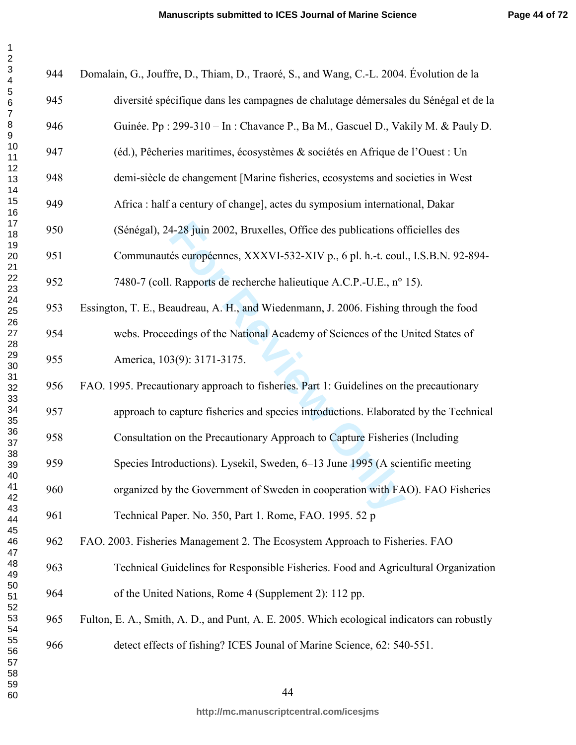$\mathbf 1$  $\overline{2}$ 

| $\mathbf{1}$                              |     |                                                                                             |
|-------------------------------------------|-----|---------------------------------------------------------------------------------------------|
| $\frac{2}{3}$<br>$\overline{\mathcal{L}}$ | 944 | Domalain, G., Jouffre, D., Thiam, D., Traoré, S., and Wang, C.-L. 2004. Évolution de la     |
| 5<br>6<br>7                               | 945 | diversité spécifique dans les campagnes de chalutage démersales du Sénégal et de la         |
| $\begin{array}{c} 8 \\ 9 \end{array}$     | 946 | Guinée. Pp : 299-310 - In : Chavance P., Ba M., Gascuel D., Vakily M. & Pauly D.            |
| 10<br>11                                  | 947 | (éd.), Pêcheries maritimes, écosystèmes & sociétés en Afrique de l'Ouest : Un               |
| 12<br>13<br>14                            | 948 | demi-siècle de changement [Marine fisheries, ecosystems and societies in West               |
| 15<br>16                                  | 949 | Africa : half a century of change], actes du symposium international, Dakar                 |
| 17<br>18                                  | 950 | (Sénégal), 24-28 juin 2002, Bruxelles, Office des publications officielles des              |
| 19<br>20<br>21                            | 951 | Communautés européennes, XXXVI-532-XIV p., 6 pl. h.-t. coul., I.S.B.N. 92-894-              |
| 22<br>23                                  | 952 | 7480-7 (coll. Rapports de recherche halieutique A.C.P.-U.E., n° 15).                        |
| 24<br>25                                  | 953 | Essington, T. E., Beaudreau, A. H., and Wiedenmann, J. 2006. Fishing through the food       |
| 26<br>27<br>28                            | 954 | webs. Proceedings of the National Academy of Sciences of the United States of               |
| 29<br>$30\,$                              | 955 | America, 103(9): 3171-3175.                                                                 |
| 31<br>32<br>33                            | 956 | FAO. 1995. Precautionary approach to fisheries. Part 1: Guidelines on the precautionary     |
| 34<br>35                                  | 957 | approach to capture fisheries and species introductions. Elaborated by the Technical        |
| 36<br>37                                  | 958 | Consultation on the Precautionary Approach to Capture Fisheries (Including                  |
| 38<br>39<br>40                            | 959 | Species Introductions). Lysekil, Sweden, 6–13 June 1995 (A scientific meeting               |
| 41<br>42                                  | 960 | organized by the Government of Sweden in cooperation with FAO). FAO Fisheries               |
| 43<br>44                                  | 961 | Technical Paper. No. 350, Part 1. Rome, FAO. 1995. 52 p                                     |
| 45<br>46<br>47                            | 962 | FAO. 2003. Fisheries Management 2. The Ecosystem Approach to Fisheries. FAO                 |
| 48<br>49                                  | 963 | Technical Guidelines for Responsible Fisheries. Food and Agricultural Organization          |
| 50<br>51                                  | 964 | of the United Nations, Rome 4 (Supplement 2): 112 pp.                                       |
| 52<br>53<br>54                            | 965 | Fulton, E. A., Smith, A. D., and Punt, A. E. 2005. Which ecological indicators can robustly |
| 55<br>56                                  | 966 | detect effects of fishing? ICES Jounal of Marine Science, 62: 540-551.                      |
| 57<br>58<br>59                            |     |                                                                                             |
| 60                                        |     | 44                                                                                          |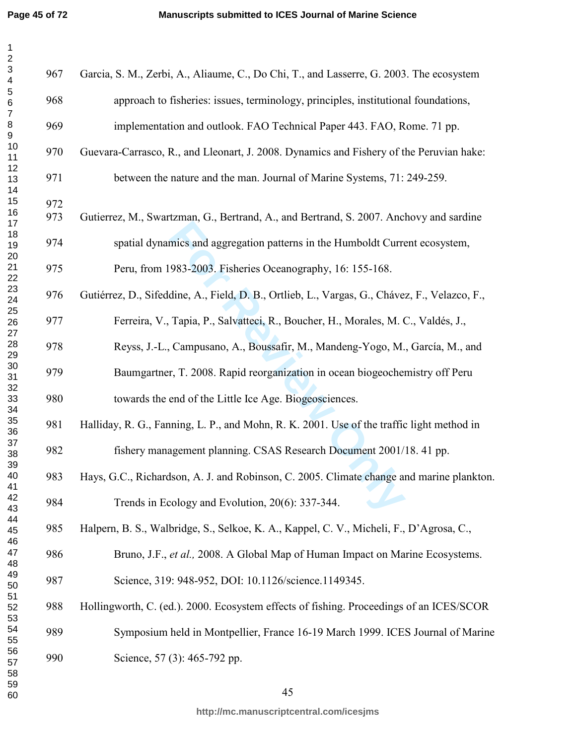$\mathbf 1$ 

| $\mathbf{1}$<br>$\overline{\mathbf{c}}$              |            |                                                                                               |
|------------------------------------------------------|------------|-----------------------------------------------------------------------------------------------|
| $\ensuremath{\mathsf{3}}$<br>$\overline{\mathbf{4}}$ | 967        | Garcia, S. M., Zerbi, A., Aliaume, C., Do Chi, T., and Lasserre, G. 2003. The ecosystem       |
| $\sqrt{5}$<br>$\,6\,$<br>$\boldsymbol{7}$            | 968        | approach to fisheries: issues, terminology, principles, institutional foundations,            |
| $\bf 8$<br>$\mathsf g$                               | 969        | implementation and outlook. FAO Technical Paper 443. FAO, Rome. 71 pp.                        |
| 10<br>11                                             | 970        | Guevara-Carrasco, R., and Lleonart, J. 2008. Dynamics and Fishery of the Peruvian hake:       |
| 12<br>13                                             | 971        | between the nature and the man. Journal of Marine Systems, 71: 249-259.                       |
| 14<br>15                                             |            |                                                                                               |
| 16<br>17                                             | 972<br>973 | Gutierrez, M., Swartzman, G., Bertrand, A., and Bertrand, S. 2007. Anchovy and sardine        |
| 18<br>19                                             | 974        | spatial dynamics and aggregation patterns in the Humboldt Current ecosystem,                  |
| 20<br>21                                             | 975        | Peru, from 1983-2003. Fisheries Oceanography, 16: 155-168.                                    |
| 22<br>23<br>24                                       | 976        | Gutiérrez, D., Sifeddine, A., Field, D. B., Ortlieb, L., Vargas, G., Chávez, F., Velazco, F., |
| 25<br>26                                             | 977        | Ferreira, V., Tapia, P., Salvatteci, R., Boucher, H., Morales, M. C., Valdés, J.,             |
| 27<br>28<br>29                                       | 978        | Reyss, J.-L., Campusano, A., Boussafir, M., Mandeng-Yogo, M., García, M., and                 |
| 30<br>31                                             | 979        | Baumgartner, T. 2008. Rapid reorganization in ocean biogeochemistry off Peru                  |
| 32<br>33                                             | 980        | towards the end of the Little Ice Age. Biogeosciences.                                        |
| 34<br>35<br>36                                       | 981        | Halliday, R. G., Fanning, L. P., and Mohn, R. K. 2001. Use of the traffic light method in     |
| 37<br>38                                             | 982        | fishery management planning. CSAS Research Document 2001/18. 41 pp.                           |
| 39<br>40<br>41                                       | 983        | Hays, G.C., Richardson, A. J. and Robinson, C. 2005. Climate change and marine plankton.      |
| 42<br>43                                             | 984        | Trends in Ecology and Evolution, 20(6): 337-344.                                              |
| 44<br>45                                             | 985        | Halpern, B. S., Walbridge, S., Selkoe, K. A., Kappel, C. V., Micheli, F., D'Agrosa, C.,       |
| 46<br>47<br>48                                       | 986        | Bruno, J.F., et al., 2008. A Global Map of Human Impact on Marine Ecosystems.                 |
| 49<br>50                                             | 987        | Science, 319: 948-952, DOI: 10.1126/science.1149345.                                          |
| 51<br>52                                             | 988        | Hollingworth, C. (ed.). 2000. Ecosystem effects of fishing. Proceedings of an ICES/SCOR       |
| 53<br>54<br>55                                       | 989        | Symposium held in Montpellier, France 16-19 March 1999. ICES Journal of Marine                |
| 56<br>57                                             | 990        | Science, 57 (3): 465-792 pp.                                                                  |
| 58<br>59<br>60                                       |            | 45                                                                                            |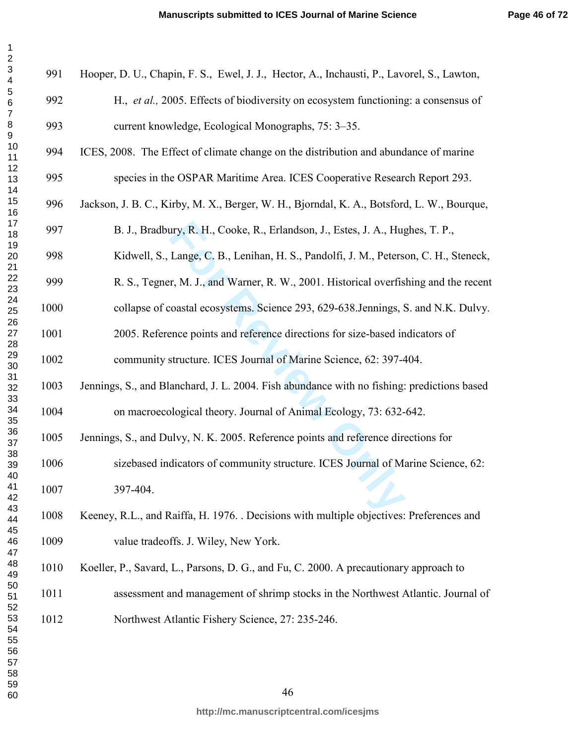| 1              |  |
|----------------|--|
| $\overline{c}$ |  |
|                |  |
|                |  |
|                |  |
|                |  |
|                |  |
|                |  |
|                |  |
|                |  |
|                |  |
|                |  |
|                |  |
|                |  |
|                |  |
|                |  |
|                |  |
|                |  |
|                |  |
|                |  |
|                |  |
|                |  |
|                |  |
|                |  |
|                |  |
|                |  |
|                |  |
|                |  |
|                |  |
|                |  |
|                |  |
|                |  |
|                |  |
|                |  |
|                |  |
|                |  |
|                |  |
|                |  |
| 39             |  |
|                |  |
| 40             |  |
| 41             |  |
| 42             |  |
| 43<br>44       |  |
| 45             |  |
| 46             |  |
| 47             |  |
| 48             |  |
|                |  |
| 49<br>50       |  |
| 51             |  |
| - .<br>52      |  |
| .<br>53        |  |
| 54             |  |
| 55             |  |
| 56             |  |
| 57             |  |
| 58             |  |
| 59             |  |
| 60             |  |
|                |  |

> ary, R. H., Cooke, R., Erlandson, J., Estes, J. A., Hug<br>Lange, C. B., Lenihan, H. S., Pandolfi, J. M., Peters<br>r, M. J., and Warner, R. W., 2001. Historical overfis<br>coastal ecosystems. Science 293, 629-638.Jennings, s<br>ence 991 Hooper, D. U., Chapin, F. S., Ewel, J. J., Hector, A., Inchausti, P., Lavorel, S., Lawton, 992 H., *et al.,* 2005. Effects of biodiversity on ecosystem functioning: a consensus of 993 current knowledge, Ecological Monographs, 75: 3–35. 994 ICES, 2008. The Effect of climate change on the distribution and abundance of marine 995 species in the OSPAR Maritime Area. ICES Cooperative Research Report 293. 996 Jackson, J. B. C., Kirby, M. X., Berger, W. H., Bjorndal, K. A., Botsford, L. W., Bourque, 997 B. J., Bradbury, R. H., Cooke, R., Erlandson, J., Estes, J. A., Hughes, T. P., 998 Kidwell, S., Lange, C. B., Lenihan, H. S., Pandolfi, J. M., Peterson, C. H., Steneck, 999 R. S., Tegner, M. J., and Warner, R. W., 2001. Historical overfishing and the recent 1000 collapse of coastal ecosystems. Science 293, 629-638.Jennings, S. and N.K. Dulvy. 1001 2005. Reference points and reference directions for size-based indicators of 1002 community structure. ICES Journal of Marine Science, 62: 397-404. 1003 Jennings, S., and Blanchard, J. L. 2004. Fish abundance with no fishing: predictions based 1004 on macroecological theory. Journal of Animal Ecology, 73: 632-642. 1005 Jennings, S., and Dulvy, N. K. 2005. Reference points and reference directions for 1006 sizebased indicators of community structure. ICES Journal of Marine Science, 62: 1007 397-404. [Keeney,](http://www.lamsade.dauphine.fr/mcda/biblio/Author/KEENEY-RL.html) R.L., and [Raiffa](http://www.lamsade.dauphine.fr/mcda/biblio/Author/RAIFFA-H.html), H. 1976. . Decisions with multiple objectives: Preferences and 1009 value tradeoffs. J. Wiley, New York. 1010 Koeller, P., Savard, L., Parsons, D. G., and Fu, C. 2000. A precautionary approach to 1011 assessment and management of shrimp stocks in the Northwest Atlantic. Journal of 1012 Northwest Atlantic Fishery Science, 27: 235-246.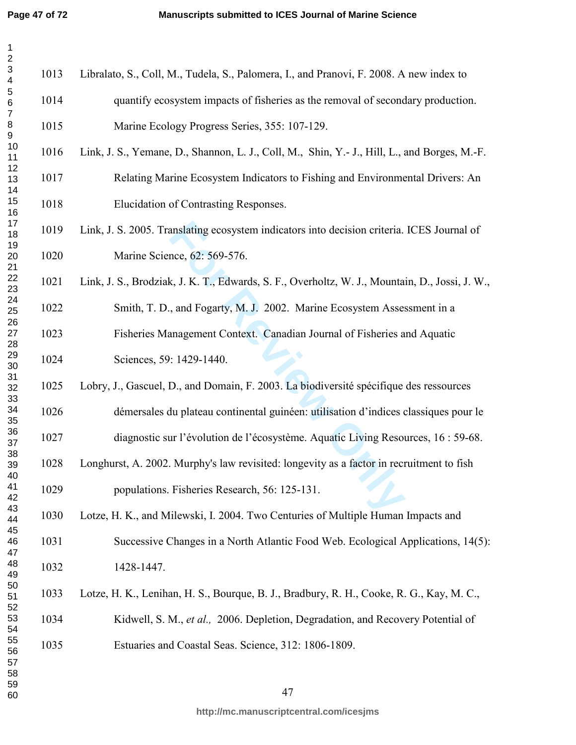| $\mathbf{1}$<br>$\overline{\mathbf{c}}$ |      |                                                                                                |
|-----------------------------------------|------|------------------------------------------------------------------------------------------------|
| 3<br>$\overline{\mathbf{4}}$            | 1013 | Libralato, S., Coll, M., Tudela, S., Palomera, I., and Pranovi, F. 2008. A new index to        |
| 5<br>$\,$ 6 $\,$<br>$\overline{7}$      | 1014 | quantify ecosystem impacts of fisheries as the removal of secondary production.                |
| $\begin{array}{c} 8 \\ 9 \end{array}$   | 1015 | Marine Ecology Progress Series, 355: 107-129.                                                  |
| 10<br>11                                | 1016 | Link, J. S., Yemane, D., Shannon, L. J., Coll, M., Shin, Y.- J., Hill, L., and Borges, M.-F.   |
| 12<br>13<br>14                          | 1017 | Relating Marine Ecosystem Indicators to Fishing and Environmental Drivers: An                  |
| 15<br>16                                | 1018 | Elucidation of Contrasting Responses.                                                          |
| 17<br>18                                | 1019 | Link, J. S. 2005. Translating ecosystem indicators into decision criteria. ICES Journal of     |
| 19<br>20<br>21                          | 1020 | Marine Science, 62: 569-576.                                                                   |
| 22<br>23                                | 1021 | Link, J. S., Brodziak, J. K. T., Edwards, S. F., Overholtz, W. J., Mountain, D., Jossi, J. W., |
| 24<br>25                                | 1022 | Smith, T. D., and Fogarty, M. J. 2002. Marine Ecosystem Assessment in a                        |
| 26<br>27<br>28                          | 1023 | Fisheries Management Context. Canadian Journal of Fisheries and Aquatic                        |
| 29<br>$30\,$                            | 1024 | Sciences, 59: 1429-1440.                                                                       |
| 31<br>32                                | 1025 | Lobry, J., Gascuel, D., and Domain, F. 2003. La biodiversité spécifique des ressources         |
| 33<br>34<br>35                          | 1026 | démersales du plateau continental guinéen: utilisation d'indices classiques pour le            |
| 36<br>37                                | 1027 | diagnostic sur l'évolution de l'écosystème. Aquatic Living Resources, 16 : 59-68.              |
| 38<br>39<br>40                          | 1028 | Longhurst, A. 2002. Murphy's law revisited: longevity as a factor in recruitment to fish       |
| 41<br>42                                | 1029 | populations. Fisheries Research, 56: 125-131.                                                  |
| 43<br>44                                | 1030 | Lotze, H. K., and Milewski, I. 2004. Two Centuries of Multiple Human Impacts and               |
| 45<br>46<br>47                          | 1031 | Successive Changes in a North Atlantic Food Web. Ecological Applications, 14(5):               |
| 48<br>49                                | 1032 | 1428-1447.                                                                                     |
| 50<br>51                                | 1033 | Lotze, H. K., Lenihan, H. S., Bourque, B. J., Bradbury, R. H., Cooke, R. G., Kay, M. C.,       |
| 52<br>53<br>54                          | 1034 | Kidwell, S. M., et al., 2006. Depletion, Degradation, and Recovery Potential of                |
| 55<br>56                                | 1035 | Estuaries and Coastal Seas. Science, 312: 1806-1809.                                           |
| 57<br>58                                |      |                                                                                                |
| 59<br>60                                |      | 47                                                                                             |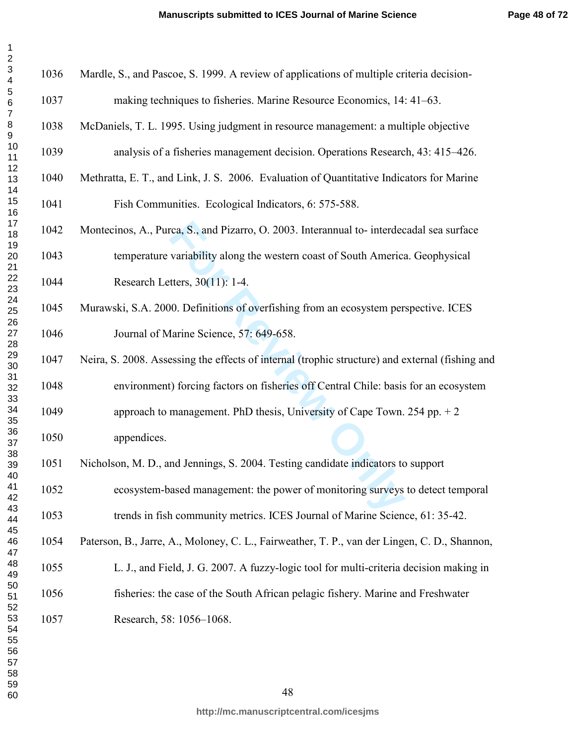| 1                    |
|----------------------|
| $\overline{c}$       |
| 3<br>4<br>5<br>6     |
|                      |
|                      |
|                      |
| 7                    |
| 8                    |
|                      |
|                      |
|                      |
|                      |
|                      |
|                      |
|                      |
|                      |
|                      |
|                      |
|                      |
|                      |
|                      |
|                      |
|                      |
|                      |
|                      |
|                      |
|                      |
|                      |
|                      |
|                      |
|                      |
|                      |
|                      |
| 32<br>33<br>34<br>35 |
|                      |
|                      |
|                      |
| 00<br>36<br>37       |
|                      |
| 38                   |
| 39                   |
|                      |
| 40                   |
| 41                   |
| 42                   |
| 43                   |
| 44                   |
| 45                   |
| 46                   |
| 47                   |
| 48                   |
| $\frac{49}{2}$       |
| 50                   |
| 51                   |
| - .<br>52            |
| 53                   |
| 54                   |
|                      |
| 55                   |
| 56                   |
| 57                   |
| 58                   |
| 59                   |
| 60                   |

| 1036 | Mardle, S., and Pascoe, S. 1999. A review of applications of multiple criteria decision-        |
|------|-------------------------------------------------------------------------------------------------|
| 1037 | making techniques to fisheries. Marine Resource Economics, 14: 41–63.                           |
| 1038 | McDaniels, T. L. 1995. Using judgment in resource management: a multiple objective              |
| 1039 | analysis of a fisheries management decision. Operations Research, 43: 415–426.                  |
| 1040 | Methratta, E. T., and Link, J. S. 2006. Evaluation of Quantitative Indicators for Marine        |
| 1041 | Fish Communities. Ecological Indicators, 6: 575-588.                                            |
| 1042 | Montecinos, A., Purca, S., and Pizarro, O. 2003. Interannual to-interdecadal sea surface        |
| 1043 | temperature variability along the western coast of South America. Geophysical                   |
| 1044 | Research Letters, 30(11): 1-4.                                                                  |
| 1045 | Murawski, S.A. 2000. Definitions of overfishing from an ecosystem perspective. ICES             |
| 1046 | Journal of Marine Science, 57: 649-658.                                                         |
| 1047 | Neira, S. 2008. Assessing the effects of internal (trophic structure) and external (fishing and |
| 1048 | environment) forcing factors on fisheries off Central Chile: basis for an ecosystem             |
| 1049 | approach to management. PhD thesis, University of Cape Town. 254 pp. $+2$                       |
| 1050 | appendices.                                                                                     |
| 1051 | Nicholson, M. D., and Jennings, S. 2004. Testing candidate indicators to support                |
| 1052 | ecosystem-based management: the power of monitoring surveys to detect temporal                  |
| 1053 | trends in fish community metrics. ICES Journal of Marine Science, 61: 35-42.                    |
| 1054 | Paterson, B., Jarre, A., Moloney, C. L., Fairweather, T. P., van der Lingen, C. D., Shannon,    |
| 1055 | L. J., and Field, J. G. 2007. A fuzzy-logic tool for multi-criteria decision making in          |
| 1056 | fisheries: the case of the South African pelagic fishery. Marine and Freshwater                 |
| 1057 | Research, 58: 1056-1068.                                                                        |
|      |                                                                                                 |
|      |                                                                                                 |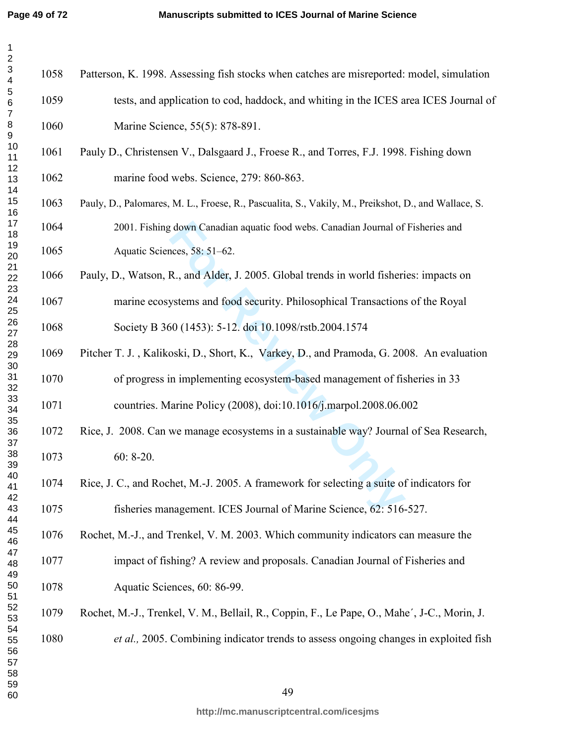| $\mathbf{1}$<br>$\boldsymbol{2}$                     |      |                                                                                                     |
|------------------------------------------------------|------|-----------------------------------------------------------------------------------------------------|
| $\ensuremath{\mathsf{3}}$<br>$\overline{\mathbf{4}}$ | 1058 | Patterson, K. 1998. Assessing fish stocks when catches are misreported: model, simulation           |
| 5<br>$\,$ 6 $\,$<br>$\boldsymbol{7}$                 | 1059 | tests, and application to cod, haddock, and whiting in the ICES area ICES Journal of                |
| 8<br>$\boldsymbol{9}$                                | 1060 | Marine Science, 55(5): 878-891.                                                                     |
| 10<br>11                                             | 1061 | Pauly D., Christensen V., Dalsgaard J., Froese R., and Torres, F.J. 1998. Fishing down              |
| 12<br>13<br>14                                       | 1062 | marine food webs. Science, 279: 860-863.                                                            |
| 15<br>16                                             | 1063 | Pauly, D., Palomares, M. L., Froese, R., Pascualita, S., Vakily, M., Preikshot, D., and Wallace, S. |
| 17<br>18                                             | 1064 | 2001. Fishing down Canadian aquatic food webs. Canadian Journal of Fisheries and                    |
| 19<br>20                                             | 1065 | Aquatic Sciences, 58: 51-62.                                                                        |
| 21<br>22<br>23                                       | 1066 | Pauly, D., Watson, R., and Alder, J. 2005. Global trends in world fisheries: impacts on             |
| 24<br>25                                             | 1067 | marine ecosystems and food security. Philosophical Transactions of the Royal                        |
| 26<br>27                                             | 1068 | Society B 360 (1453): 5-12. doi 10.1098/rstb.2004.1574                                              |
| 28<br>29<br>30                                       | 1069 | Pitcher T. J., Kalikoski, D., Short, K., Varkey, D., and Pramoda, G. 2008. An evaluation            |
| 31<br>32                                             | 1070 | of progress in implementing ecosystem-based management of fisheries in 33                           |
| 33<br>34<br>35                                       | 1071 | countries. Marine Policy (2008), doi:10.1016/j.marpol.2008.06.002                                   |
| 36<br>37                                             | 1072 | Rice, J. 2008. Can we manage ecosystems in a sustainable way? Journal of Sea Research,              |
| 38<br>39                                             | 1073 | $60: 8-20.$                                                                                         |
| 40<br>41<br>42                                       | 1074 | Rice, J. C., and Rochet, M.-J. 2005. A framework for selecting a suite of indicators for            |
| 43<br>44                                             | 1075 | fisheries management. ICES Journal of Marine Science, 62: 516-527.                                  |
| 45<br>46                                             | 1076 | Rochet, M.-J., and Trenkel, V. M. 2003. Which community indicators can measure the                  |
| 47<br>48<br>49                                       | 1077 | impact of fishing? A review and proposals. Canadian Journal of Fisheries and                        |
| 50<br>51                                             | 1078 | Aquatic Sciences, 60: 86-99.                                                                        |
| 52<br>53                                             | 1079 | Rochet, M.-J., Trenkel, V. M., Bellail, R., Coppin, F., Le Pape, O., Mahe', J-C., Morin, J.         |
| 54<br>55<br>56<br>57<br>58<br>59                     | 1080 | et al., 2005. Combining indicator trends to assess ongoing changes in exploited fish                |
| 60                                                   |      | 49                                                                                                  |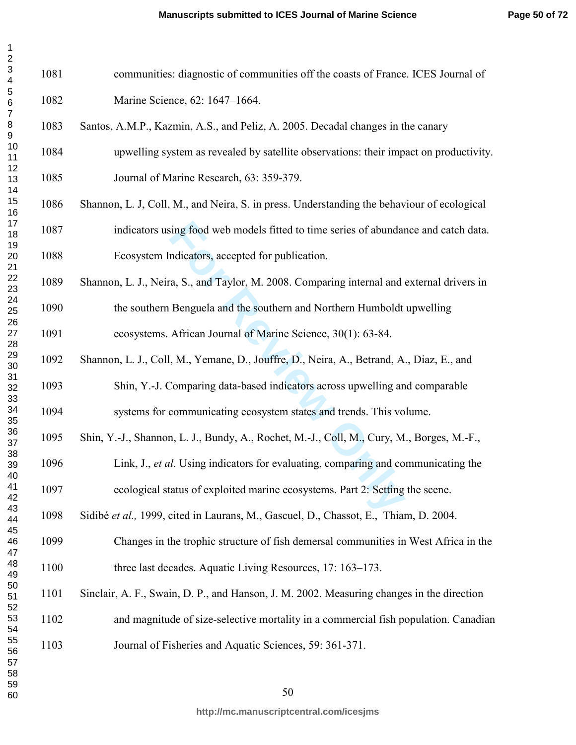| 1              |  |
|----------------|--|
| $\overline{c}$ |  |
|                |  |
|                |  |
|                |  |
|                |  |
|                |  |
|                |  |
|                |  |
|                |  |
|                |  |
|                |  |
|                |  |
|                |  |
|                |  |
|                |  |
|                |  |
|                |  |
|                |  |
|                |  |
|                |  |
|                |  |
|                |  |
|                |  |
|                |  |
|                |  |
|                |  |
|                |  |
|                |  |
|                |  |
|                |  |
|                |  |
|                |  |
|                |  |
|                |  |
|                |  |
|                |  |
| 40             |  |
| 41             |  |
| 42             |  |
| 43             |  |
| 44             |  |
| 45             |  |
| 46             |  |
| 47             |  |
| 48             |  |
| 49<br>50       |  |
| 51             |  |
| 52             |  |
| 53             |  |
| 54             |  |
| 55             |  |
| 56             |  |
| 57             |  |
| 58             |  |
| 59             |  |
| 60             |  |

1081 communities: diagnostic of communities off the coasts of France. ICES Journal of 1082 Marine Science, 62: 1647–1664.

- 1083 Santos, A.M.P., Kazmin, A.S., and Peliz, A. 2005. Decadal changes in the canary
- 1084 upwelling system as revealed by satellite observations: their impact on productivity. 1085 Journal of Marine Research, 63: 359-379.
- 1086 Shannon, L. J, Coll, M., and Neira, S. in press. Understanding the behaviour of ecological 1087 indicators using food web models fitted to time series of abundance and catch data.
- 1088 Ecosystem Indicators, accepted for publication.
- sing food web models fitted to time series of abundar<br>ndicators, accepted for publication.<br>a, S., and Taylor, M. 2008. Comparing internal and<br>Benguela and the southern and Northern Humboldt<br>African Journal of Marine Scienc 1089 Shannon, L. J., Neira, S., and Taylor, M. 2008. Comparing internal and external drivers in 1090 the southern Benguela and the southern and Northern Humboldt upwelling 1091 ecosystems. African Journal of Marine Science, 30(1): 63-84.
- 1092 Shannon, L. J., Coll, M., Yemane, D., Jouffre, D., Neira, A., Betrand, A., Diaz, E., and
- 1093 Shin, Y.-J. Comparing data-based indicators across upwelling and comparable 1094 systems for communicating ecosystem states and trends. This volume.
- 1095 Shin, Y.-J., Shannon, L. J., Bundy, A., Rochet, M.-J., Coll, M., Cury, M., Borges, M.-F.,
	- 1096 Link, J., *et al.* Using indicators for evaluating, comparing and communicating the
- 1097 ecological status of exploited marine ecosystems. Part 2: Setting the scene.
- 1098 Sidibé *et al.,* 1999, cited in Laurans, M., Gascuel, D., Chassot, E., Thiam, D. 2004.
- 1099 Changes in the trophic structure of fish demersal communities in West Africa in the 1100 three last decades. Aquatic Living Resources, 17: 163–173.
- 1101 Sinclair, A. F., Swain, D. P., and Hanson, J. M. 2002. Measuring changes in the direction 1102 and magnitude of size-selective mortality in a commercial fish population. Canadian 1103 Journal of Fisheries and Aquatic Sciences, 59: 361-371.
	-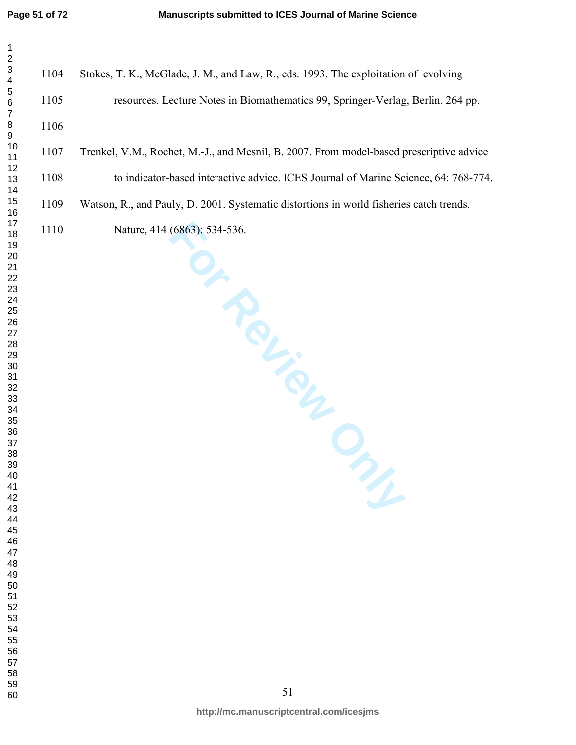| $\mathbf 1$<br>$\sqrt{2}$              |      |                                                                                        |
|----------------------------------------|------|----------------------------------------------------------------------------------------|
| 3<br>$\overline{\mathbf{4}}$           | 1104 | Stokes, T. K., McGlade, J. M., and Law, R., eds. 1993. The exploitation of evolving    |
| $\mathbf 5$<br>$\,6$<br>$\overline{7}$ | 1105 | resources. Lecture Notes in Biomathematics 99, Springer-Verlag, Berlin. 264            |
| $\bf 8$<br>9                           | 1106 |                                                                                        |
| 10<br>11                               | 1107 | Trenkel, V.M., Rochet, M.-J., and Mesnil, B. 2007. From model-based prescriptive a     |
| 12<br>13<br>14                         | 1108 | to indicator-based interactive advice. ICES Journal of Marine Science, 64: 76          |
| 15<br>16                               | 1109 | Watson, R., and Pauly, D. 2001. Systematic distortions in world fisheries catch trends |
| 17<br>18                               | 1110 | Nature, 414 (6863): 534-536.                                                           |
| 19<br>20<br>21                         |      | <b>PROLL</b>                                                                           |
| 22                                     |      |                                                                                        |
| 23<br>24                               |      |                                                                                        |
| 25<br>26                               |      |                                                                                        |
| 27<br>28                               |      |                                                                                        |
| 29                                     |      |                                                                                        |
| $30\,$<br>31                           |      |                                                                                        |
| 32<br>33                               |      |                                                                                        |
| 34<br>35                               |      |                                                                                        |
| $36\,$                                 |      |                                                                                        |
| $37\,$<br>38                           |      |                                                                                        |
| 39<br>40                               |      |                                                                                        |
| 41                                     |      |                                                                                        |
| 42<br>43                               |      |                                                                                        |
| 44<br>45                               |      |                                                                                        |
| 46                                     |      |                                                                                        |
| 47<br>48                               |      |                                                                                        |
| 49<br>50                               |      |                                                                                        |
| 51                                     |      |                                                                                        |
| 52<br>53                               |      |                                                                                        |
| 54<br>55                               |      |                                                                                        |
| 56                                     |      |                                                                                        |
| 57<br>58                               |      |                                                                                        |
| 59                                     |      | 51                                                                                     |
| 60                                     |      |                                                                                        |

**FOR THE CALLED STATE** 1105 resources. Lecture Notes in Biomathematics 99, Springer-Verlag, Berlin. 264 pp. 1107 Trenkel, V.M., Rochet, M.-J., and Mesnil, B. 2007. From model-based prescriptive advice 108 to indicator-based interactive advice. ICES Journal of Marine Science, 64: 768-774. 1109 Watson, R., and Pauly, D. 2001. Systematic distortions in world fisheries catch trends. 110 Nature, 414 (6863): 534-536.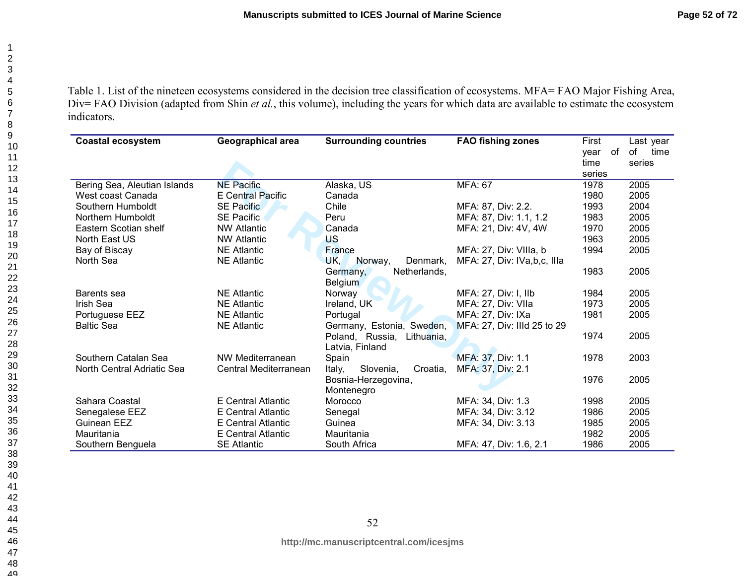Table 1. List of the nineteen ecosystems considered in the decision tree classification of ecosystems. MFA= FAO Major Fishing Area, Div= FAO Division (adapted from Shin *et al.*, this volume), including the years for which data are available to estimate the ecosystem indicators.

| <b>Coastal ecosystem</b>     | Geographical area        | <b>Surrounding countries</b>    | <b>FAO fishing zones</b>    | First<br>of<br>vear | Last year<br>of<br>time |
|------------------------------|--------------------------|---------------------------------|-----------------------------|---------------------|-------------------------|
|                              |                          |                                 |                             | time                | series                  |
|                              |                          |                                 |                             | series              |                         |
| Bering Sea, Aleutian Islands | <b>NE Pacific</b>        | Alaska, US                      | <b>MFA: 67</b>              | 1978                | 2005                    |
| West coast Canada            | <b>E</b> Central Pacific | Canada                          |                             | 1980                | 2005                    |
| Southern Humboldt            | <b>SE Pacific</b>        | Chile                           | MFA: 87, Div: 2.2.          | 1993                | 2004                    |
| Northern Humboldt            | <b>SE Pacific</b>        | Peru                            | MFA: 87, Div: 1.1, 1.2      | 1983                | 2005                    |
| Eastern Scotian shelf        | <b>NW Atlantic</b>       | Canada                          | MFA: 21, Div: 4V, 4W        | 1970                | 2005                    |
| North East US                | <b>NW Atlantic</b>       | US                              |                             | 1963                | 2005                    |
| Bay of Biscay                | <b>NE Atlantic</b>       | France                          | MFA: 27, Div: VIIIa, b      | 1994                | 2005                    |
| North Sea                    | <b>NE Atlantic</b>       | UK,<br>Norway,<br>Denmark,      | MFA: 27, Div: IVa,b,c, Illa |                     |                         |
|                              |                          | Netherlands,<br>Germany,        |                             | 1983                | 2005                    |
|                              |                          | <b>Belgium</b>                  |                             |                     |                         |
| Barents sea                  | <b>NE Atlantic</b>       | Norway                          | MFA: 27, Div: I, IIb        | 1984                | 2005                    |
| Irish Sea                    | <b>NE Atlantic</b>       | Ireland, UK                     | MFA: 27, Div: VIIa          | 1973                | 2005                    |
| Portuguese EEZ               | <b>NE Atlantic</b>       | Portugal                        | MFA: 27, Div: IXa           | 1981                | 2005                    |
| <b>Baltic Sea</b>            | <b>NE Atlantic</b>       | Germany, Estonia, Sweden,       | MFA: 27, Div: IIId 25 to 29 |                     |                         |
|                              |                          | Poland, Russia,<br>Lithuania.   |                             | 1974                | 2005                    |
|                              |                          | Latvia, Finland                 |                             |                     |                         |
| Southern Catalan Sea         | NW Mediterranean         | Spain                           | MFA: 37, Div: 1.1           | 1978                | 2003                    |
| North Central Adriatic Sea   | Central Mediterranean    | Italy,<br>Slovenia,<br>Croatia, | MFA: 37, Div: 2.1           |                     |                         |
|                              |                          | Bosnia-Herzegovina,             |                             | 1976                | 2005                    |
|                              |                          | Montenegro                      |                             |                     |                         |
| Sahara Coastal               | E Central Atlantic       | Morocco                         | MFA: 34, Div: 1.3           | 1998                | 2005                    |
| Senegalese EEZ               | E Central Atlantic       | Senegal                         | MFA: 34, Div: 3.12          | 1986                | 2005                    |
| Guinean EEZ                  | E Central Atlantic       | Guinea                          | MFA: 34, Div: 3.13          | 1985                | 2005                    |
| Mauritania                   | E Central Atlantic       | Mauritania                      |                             | 1982                | 2005                    |
| Southern Benguela            | <b>SE Atlantic</b>       | South Africa                    | MFA: 47, Div: 1.6, 2.1      | 1986                | 2005                    |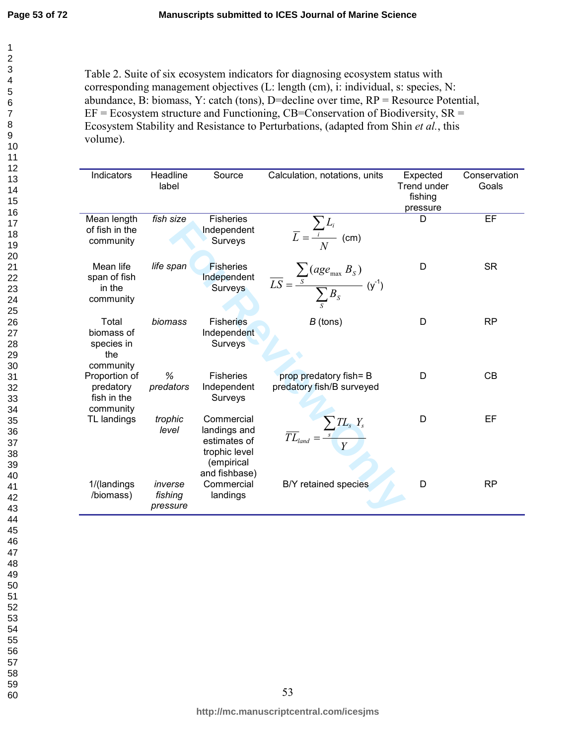Table 2. Suite of six ecosystem indicators for diagnosing ecosystem status with corresponding management objectives (L: length (cm), i: individual, s: species, N: abundance, B: biomass, Y: catch (tons), D=decline over time, RP = Resource Potential,  $EF = E \cos y$  structure and Functioning, CB=Conservation of Biodiversity,  $SR =$ Ecosystem Stability and Resistance to Perturbations, (adapted from Shin *et al.*, this volume).

| Indicators               | Headline  | Source                      | Calculation, notations, units                                     | Expected           | Conservation |
|--------------------------|-----------|-----------------------------|-------------------------------------------------------------------|--------------------|--------------|
|                          | label     |                             |                                                                   | <b>Trend under</b> | Goals        |
|                          |           |                             |                                                                   | fishing            |              |
|                          |           |                             |                                                                   | pressure           |              |
| Mean length              | fish size | <b>Fisheries</b>            |                                                                   | D                  | EF           |
| of fish in the           |           | Independent                 |                                                                   |                    |              |
| community                |           | Surveys                     | $\overline{L} = \frac{\sum_i L_i}{N}$ (cm)                        |                    |              |
|                          |           |                             |                                                                   |                    |              |
| Mean life                | life span | <b>Fisheries</b>            |                                                                   | D                  | <b>SR</b>    |
| span of fish             |           | Independent                 | $\overline{LS} = \frac{\sum_{S} (age_{max} B_S)}{\sum B_S} (y^1)$ |                    |              |
| in the                   |           | Surveys                     |                                                                   |                    |              |
| community                |           |                             |                                                                   |                    |              |
| Total                    | biomass   | <b>Fisheries</b>            | $B$ (tons)                                                        | D                  | <b>RP</b>    |
| biomass of               |           | Independent                 |                                                                   |                    |              |
| species in               |           | Surveys                     |                                                                   |                    |              |
| the                      |           |                             |                                                                   |                    |              |
| community                |           |                             |                                                                   |                    |              |
| Proportion of            | %         | <b>Fisheries</b>            | prop predatory fish= B                                            | D                  | <b>CB</b>    |
| predatory<br>fish in the | predators | Independent<br>Surveys      | predatory fish/B surveyed                                         |                    |              |
| community                |           |                             |                                                                   |                    |              |
| TL landings              | trophic   | Commercial                  |                                                                   | D                  | EF           |
|                          | level     | landings and                | $\overline{TL}_{land} = \frac{\sum_{s} TL_{s} Y_{s}}{Y}$          |                    |              |
|                          |           | estimates of                |                                                                   |                    |              |
|                          |           | trophic level               |                                                                   |                    |              |
|                          |           | (empirical<br>and fishbase) |                                                                   |                    |              |
| 1/(landings              | inverse   | Commercial                  | B/Y retained species                                              | D                  | <b>RP</b>    |
| /biomass)                | fishing   | landings                    |                                                                   |                    |              |
|                          | pressure  |                             |                                                                   |                    |              |
|                          |           |                             |                                                                   |                    |              |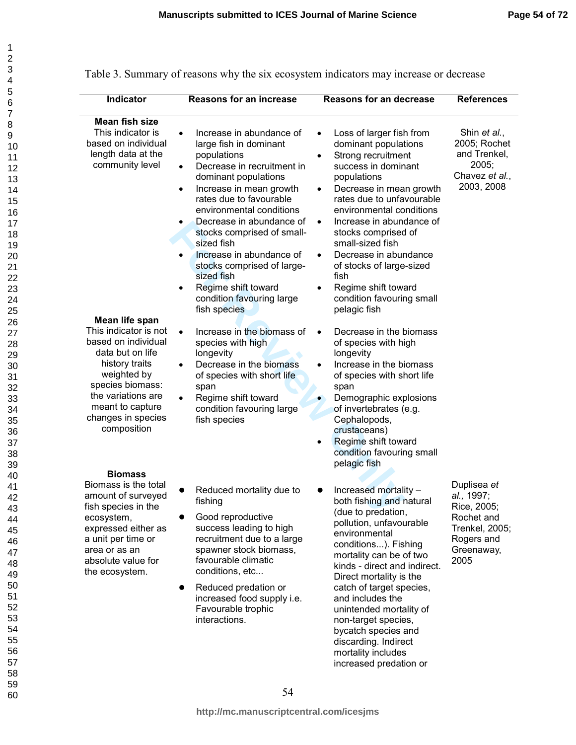| Indicator                                                                                                                                                                                                              | <b>Reasons for an increase</b>                                                                                                                                                                                                                                                                                                                                                                                                                                                                              | <b>Reasons for an decrease</b>                                                                                                                                                                                                                                                                                                                                                                                                                                            | <b>References</b>                                                                                            |
|------------------------------------------------------------------------------------------------------------------------------------------------------------------------------------------------------------------------|-------------------------------------------------------------------------------------------------------------------------------------------------------------------------------------------------------------------------------------------------------------------------------------------------------------------------------------------------------------------------------------------------------------------------------------------------------------------------------------------------------------|---------------------------------------------------------------------------------------------------------------------------------------------------------------------------------------------------------------------------------------------------------------------------------------------------------------------------------------------------------------------------------------------------------------------------------------------------------------------------|--------------------------------------------------------------------------------------------------------------|
| Mean fish size<br>This indicator is<br>based on individual<br>length data at the<br>community level                                                                                                                    | Increase in abundance of<br>$\bullet$<br>large fish in dominant<br>populations<br>Decrease in recruitment in<br>$\bullet$<br>dominant populations<br>Increase in mean growth<br>$\bullet$<br>rates due to favourable<br>environmental conditions<br>Decrease in abundance of<br>$\bullet$<br>stocks comprised of small-<br>sized fish<br>Increase in abundance of<br>$\bullet$<br>stocks comprised of large-<br>sized fish<br>Regime shift toward<br>$\bullet$<br>condition favouring large<br>fish species | Loss of larger fish from<br>$\bullet$<br>dominant populations<br>Strong recruitment<br>success in dominant<br>populations<br>Decrease in mean growth<br>$\bullet$<br>rates due to unfavourable<br>environmental conditions<br>Increase in abundance of<br>$\bullet$<br>stocks comprised of<br>small-sized fish<br>Decrease in abundance<br>$\bullet$<br>of stocks of large-sized<br>fish<br>Regime shift toward<br>$\bullet$<br>condition favouring small<br>pelagic fish | Shin et al.,<br>2005; Rochet<br>and Trenkel,<br>2005;<br>Chavez et al.,<br>2003, 2008                        |
| Mean life span<br>This indicator is not<br>based on individual<br>data but on life<br>history traits<br>weighted by<br>species biomass:<br>the variations are<br>meant to capture<br>changes in species<br>composition | Increase in the biomass of<br>$\bullet$<br>species with high<br>longevity<br>Decrease in the biomass<br>$\bullet$<br>of species with short life<br>span<br>Regime shift toward<br>$\bullet$<br>condition favouring large<br>fish species                                                                                                                                                                                                                                                                    | Decrease in the biomass<br>$\bullet$<br>of species with high<br>longevity<br>Increase in the biomass<br>$\bullet$<br>of species with short life<br>span<br>Demographic explosions<br>of invertebrates (e.g.<br>Cephalopods,<br>crustaceans)<br>Regime shift toward<br>condition favouring small<br>pelagic fish                                                                                                                                                           |                                                                                                              |
| <b>Biomass</b><br>Biomass is the total<br>amount of surveyed<br>fish species in the<br>ecosystem,<br>expressed either as<br>a unit per time or<br>area or as an<br>absolute value for<br>the ecosystem.                | Reduced mortality due to<br>fishing<br>Good reproductive<br>success leading to high<br>recruitment due to a large<br>spawner stock biomass,<br>favourable climatic<br>conditions, etc<br>Reduced predation or<br>$\bullet$<br>increased food supply i.e.<br>Favourable trophic<br>interactions.                                                                                                                                                                                                             | Increased mortality -<br>both fishing and natural<br>(due to predation,<br>pollution, unfavourable<br>environmental<br>conditions). Fishing<br>mortality can be of two<br>kinds - direct and indirect.<br>Direct mortality is the<br>catch of target species,<br>and includes the<br>unintended mortality of<br>non-target species,<br>bycatch species and<br>discarding. Indirect<br>mortality includes<br>increased predation or                                        | Duplisea et<br>al., 1997;<br>Rice, 2005;<br>Rochet and<br>Trenkel, 2005;<br>Rogers and<br>Greenaway,<br>2005 |

| Table 3. Summary of reasons why the six ecosystem indicators may increase or decrease |  |  |  |  |
|---------------------------------------------------------------------------------------|--|--|--|--|
|                                                                                       |  |  |  |  |
|                                                                                       |  |  |  |  |
|                                                                                       |  |  |  |  |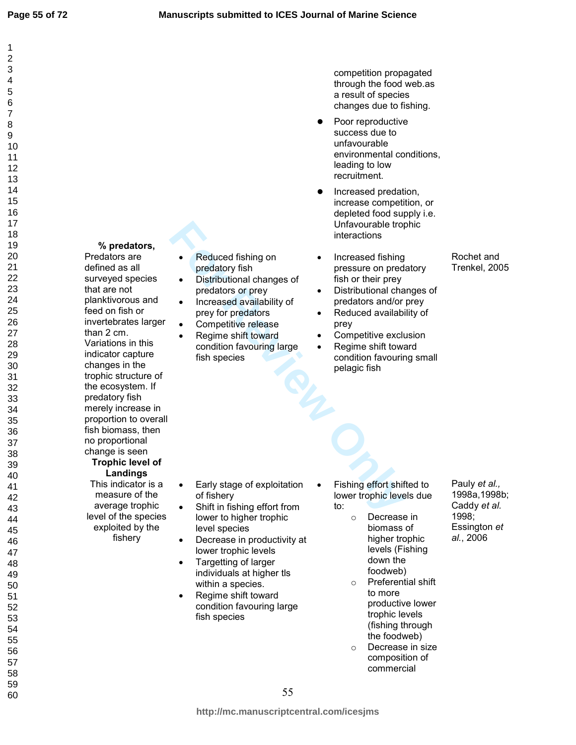60

% predators, Predators are defined as all surveyed species that are not planktivorous and feed on fish or invertebrates larger than 2 cm. Variations in this indicator capture changes in the trophic structure of the ecosystem. If predatory fish merely increase in proportion to overall fish biomass, then no proportional change is seen Trophic level of Landings This indicator is a measure of the average trophic level of the species exploited by the

fishery

- Reduced fishing on predatory fish • Distributional changes of
- predators or prey
- Increased availability of prey for predators
- Competitive release
- Unfavourable trop interactions<br> **Formulation** (Interactions<br> **Formulation** changes of<br>
Interactions or previous or previous or previous or previous interactors<br>
Interactors and/or<br>
Interactors<br> **Formulation and the Computi** • Regime shift toward condition favouring large fish species

competition propagated through the food web.as a result of species changes due to fishing.

- Poor reproductive success due to unfavourable environmental conditions, leading to low recruitment.
- Increased predation, increase competition, or depleted food supply i.e. Unfavourable trophic interactions
- Increased fishing pressure on predatory fish or their prey
- Distributional changes of predators and/or prey
- Reduced availability of prey
- Competitive exclusion
- Regime shift toward condition favouring small pelagic fish

- Early stage of exploitation of fishery
- Shift in fishing effort from lower to higher trophic level species
- Decrease in productivity at lower trophic levels
- Targetting of larger individuals at higher tls within a species.
- Regime shift toward condition favouring large fish species
- Fishing effort shifted to lower trophic levels due to:
	- o Decrease in biomass of higher trophic levels (Fishing down the foodweb)
	- o Preferential shift to more productive lower trophic levels (fishing through the foodweb)
	- o Decrease in size composition of commercial

Pauly et al., 1998a,1998b; Caddy et al. 1998; Essington et al., 2006

Rochet and Trenkel, 2005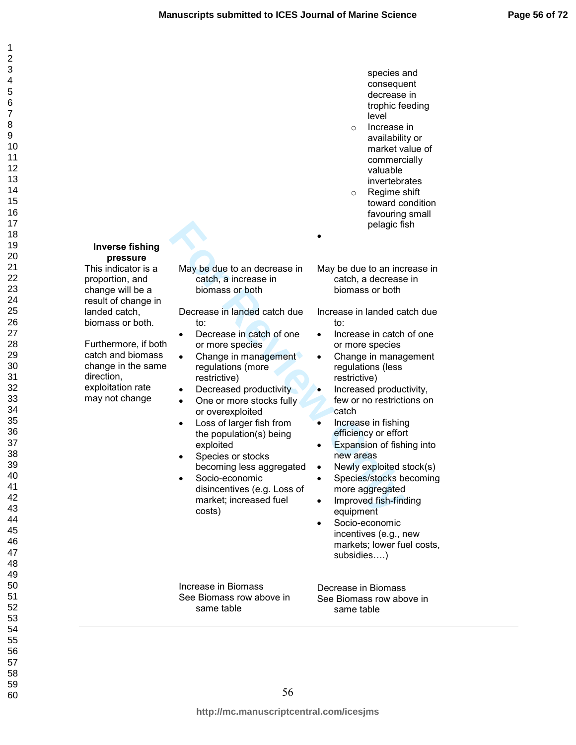species and

| 1                                         |
|-------------------------------------------|
| $\overline{c}$                            |
|                                           |
|                                           |
|                                           |
|                                           |
|                                           |
|                                           |
|                                           |
|                                           |
|                                           |
|                                           |
|                                           |
|                                           |
|                                           |
|                                           |
|                                           |
|                                           |
|                                           |
|                                           |
|                                           |
|                                           |
|                                           |
|                                           |
| ∠ 345678911111111112222222222333333333333 |
|                                           |
|                                           |
|                                           |
|                                           |
|                                           |
|                                           |
|                                           |
|                                           |
|                                           |
|                                           |
|                                           |
|                                           |
|                                           |
|                                           |
|                                           |
|                                           |
|                                           |
|                                           |
|                                           |
| 40                                        |
| $\ddot{4}$<br>1                           |
|                                           |
| 4                                         |
| $4\overset{^{\prime}}{_{\sim}}$<br>Š      |
| 44                                        |
| 45                                        |
| 46                                        |
| 47                                        |
| 48                                        |
| 49                                        |
|                                           |
| 50                                        |
| 5<br>1                                    |
| 52                                        |
| 53<br>3                                   |
| 54                                        |
| 55                                        |
| 56                                        |
| ć                                         |
| 57                                        |
| 58                                        |
| 59                                        |
| 60                                        |

 $\mathbf{1}$ 

| <b>Inverse fishing</b>                                                                                                                                                           |                                                                                                                                                                                                                                                                                                                                                                                                                                                                                              | consequent<br>decrease in<br>trophic feeding<br>level<br>Increase in<br>$\circ$<br>availability or<br>market value of<br>commercially<br>valuable<br>invertebrates<br>Regime shift<br>$\circ$<br>toward condition<br>favouring small<br>pelagic fish                                                                                                                                                                                                                                                                                                                                                |
|----------------------------------------------------------------------------------------------------------------------------------------------------------------------------------|----------------------------------------------------------------------------------------------------------------------------------------------------------------------------------------------------------------------------------------------------------------------------------------------------------------------------------------------------------------------------------------------------------------------------------------------------------------------------------------------|-----------------------------------------------------------------------------------------------------------------------------------------------------------------------------------------------------------------------------------------------------------------------------------------------------------------------------------------------------------------------------------------------------------------------------------------------------------------------------------------------------------------------------------------------------------------------------------------------------|
| pressure<br>This indicator is a<br>proportion, and<br>change will be a                                                                                                           | May be due to an decrease in<br>catch, a increase in<br>biomass or both                                                                                                                                                                                                                                                                                                                                                                                                                      | May be due to an increase in<br>catch, a decrease in<br>biomass or both                                                                                                                                                                                                                                                                                                                                                                                                                                                                                                                             |
| result of change in<br>landed catch,<br>biomass or both.<br>Furthermore, if both<br>catch and biomass<br>change in the same<br>direction,<br>exploitation rate<br>may not change | Decrease in landed catch due<br>to:<br>Decrease in catch of one<br>or more species<br>Change in management<br>regulations (more<br>restrictive)<br>Decreased productivity<br>$\bullet$<br>One or more stocks fully<br>$\bullet$<br>or overexploited<br>Loss of larger fish from<br>$\bullet$<br>the population(s) being<br>exploited<br>Species or stocks<br>٠<br>becoming less aggregated<br>Socio-economic<br>$\bullet$<br>disincentives (e.g. Loss of<br>market; increased fuel<br>costs) | Increase in landed catch due<br>to:<br>Increase in catch of one<br>$\bullet$<br>or more species<br>Change in management<br>$\bullet$<br>regulations (less<br>restrictive)<br>Increased productivity,<br>few or no restrictions on<br>catch<br>Increase in fishing<br>$\bullet$<br>efficiency or effort<br>Expansion of fishing into<br>$\bullet$<br>new areas<br>Newly exploited stock(s)<br>$\bullet$<br>Species/stocks becoming<br>$\bullet$<br>more aggregated<br>Improved fish-finding<br>٠<br>equipment<br>Socio-economic<br>incentives (e.g., new<br>markets; lower fuel costs,<br>subsidies) |
|                                                                                                                                                                                  | Increase in Biomass<br>See Biomass row above in<br>same table                                                                                                                                                                                                                                                                                                                                                                                                                                | Decrease in Biomass<br>See Biomass row above in<br>same table                                                                                                                                                                                                                                                                                                                                                                                                                                                                                                                                       |
|                                                                                                                                                                                  |                                                                                                                                                                                                                                                                                                                                                                                                                                                                                              |                                                                                                                                                                                                                                                                                                                                                                                                                                                                                                                                                                                                     |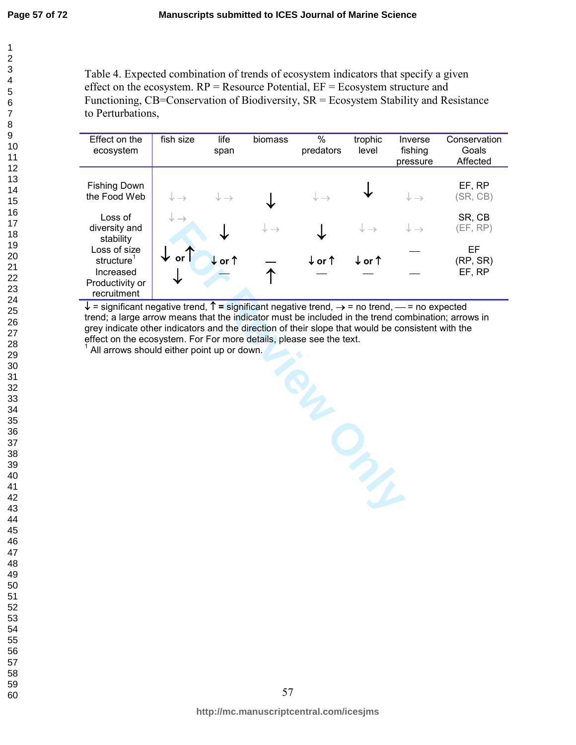Table 4. Expected combination of trends of ecosystem indicators that specify a given effect on the ecosystem.  $RP =$ Resource Potential,  $EF =$ Ecosystem structure and Functioning, CB=Conservation of Biodiversity, SR = Ecosystem Stability and Resistance to Perturbations,

| Effect on the<br>ecosystem                                             | fish size                  | life<br>span               | biomass                    | %<br>predators             | trophic<br>level           | Inverse<br>fishing<br>pressure | Conservation<br>Goals<br>Affected |
|------------------------------------------------------------------------|----------------------------|----------------------------|----------------------------|----------------------------|----------------------------|--------------------------------|-----------------------------------|
| <b>Fishing Down</b><br>the Food Web                                    | $\downarrow \rightarrow$   | $\downarrow$ $\rightarrow$ |                            | $\downarrow$ $\rightarrow$ |                            | $\downarrow \rightarrow$       | EF, RP<br>(SR, CB)                |
| Loss of<br>diversity and<br>stability                                  | $\downarrow$ $\rightarrow$ |                            | $\downarrow$ $\rightarrow$ |                            | $\downarrow$ $\rightarrow$ | $\downarrow \rightarrow$       | SR, CB<br>(EF, RP)                |
| Loss of size<br>structure <sup>1</sup><br>Increased<br>Productivity or | or<br>V                    | ↓or↑                       |                            | $\downarrow$ or $\uparrow$ | ↓or↑                       |                                | EF<br>(RP, SR)<br>EF, RP          |
| recruitment                                                            |                            |                            |                            |                            |                            |                                |                                   |

 $\downarrow$  = significant negative trend,  $\uparrow$  = significant negative trend,  $\rightarrow$  = no trend,  $\leftarrow$  = no expected trend; a large arrow means that the indicator must be included in the trend combination; arrows in grey indicate other indicators and the direction of their slope that would be consistent with the effect on the ecosystem. For For more details, please see the text.

 $^1$  All arrows should either point up or down.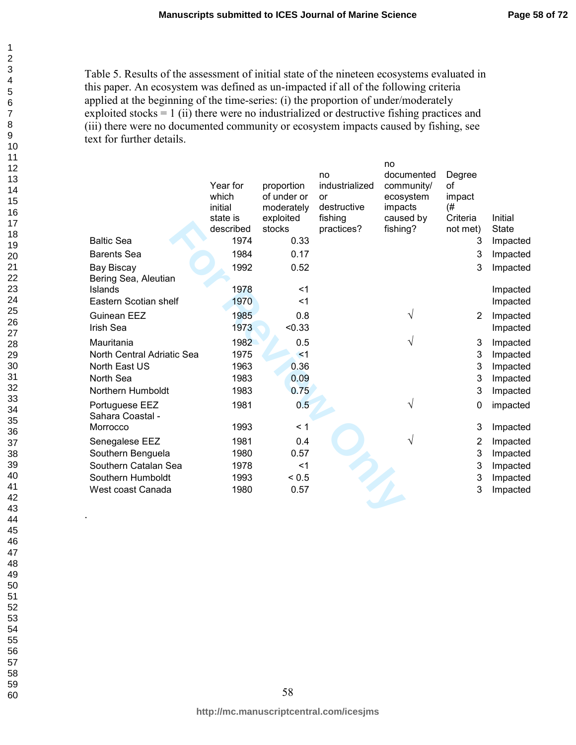Table 5. Results of the assessment of initial state of the nineteen ecosystems evaluated in this paper. An ecosystem was defined as un-impacted if all of the following criteria applied at the beginning of the time-series: (i) the proportion of under/moderately exploited stocks = 1 (ii) there were no industrialized or destructive fishing practices and (iii) there were no documented community or ecosystem impacts caused by fishing, see text for further details.

|                            |                   |                           | no                   | no<br>documented        | Degree       |              |
|----------------------------|-------------------|---------------------------|----------------------|-------------------------|--------------|--------------|
|                            | Year for<br>which | proportion<br>of under or | industrialized<br>or | community/<br>ecosystem | of<br>impact |              |
|                            | initial           | moderately                | destructive          | impacts                 | (#           |              |
|                            | state is          | exploited                 | fishing              | caused by               | Criteria     | Initial      |
|                            | described         | stocks                    | practices?           | fishing?                | not met)     | <b>State</b> |
| <b>Baltic Sea</b>          | 1974              | 0.33                      |                      |                         | 3            | Impacted     |
| <b>Barents Sea</b>         | 1984              | 0.17                      |                      |                         | 3            | Impacted     |
| <b>Bay Biscay</b>          | 1992              | 0.52                      |                      |                         | 3            | Impacted     |
| Bering Sea, Aleutian       |                   |                           |                      |                         |              |              |
| Islands                    | 1978              | $<$ 1                     |                      |                         |              | Impacted     |
| Eastern Scotian shelf      | 1970              | $<$ 1                     |                      |                         |              | Impacted     |
| Guinean EEZ                | 1985              | 0.8                       |                      | V                       | 2            | Impacted     |
| <b>Irish Sea</b>           | 1973              | < 0.33                    |                      |                         |              | Impacted     |
| Mauritania                 | 1982              | 0.5                       |                      | V                       | 3            | Impacted     |
| North Central Adriatic Sea | 1975              | $<$ 1                     |                      |                         | 3            | Impacted     |
| North East US              | 1963              | 0.36                      |                      |                         | 3            | Impacted     |
| North Sea                  | 1983              | 0.09                      |                      |                         | 3            | Impacted     |
| Northern Humboldt          | 1983              | 0.75                      |                      |                         | 3            | Impacted     |
| Portuguese EEZ             | 1981              | 0.5                       |                      | V                       | 0            | impacted     |
| Sahara Coastal -           |                   |                           |                      |                         |              |              |
| Morrocco                   | 1993              | < 1                       |                      |                         | 3            | Impacted     |
| Senegalese EEZ             | 1981              | 0.4                       |                      | V                       | 2            | Impacted     |
| Southern Benguela          | 1980              | 0.57                      |                      |                         | 3            | Impacted     |
| Southern Catalan Sea       | 1978              | $<$ 1                     |                      |                         | 3            | Impacted     |
| Southern Humboldt          | 1993              | < 0.5                     |                      |                         | 3            | Impacted     |
| West coast Canada          | 1980              | 0.57                      |                      |                         | 3            | Impacted     |
|                            |                   |                           |                      |                         |              |              |
|                            |                   |                           |                      |                         |              |              |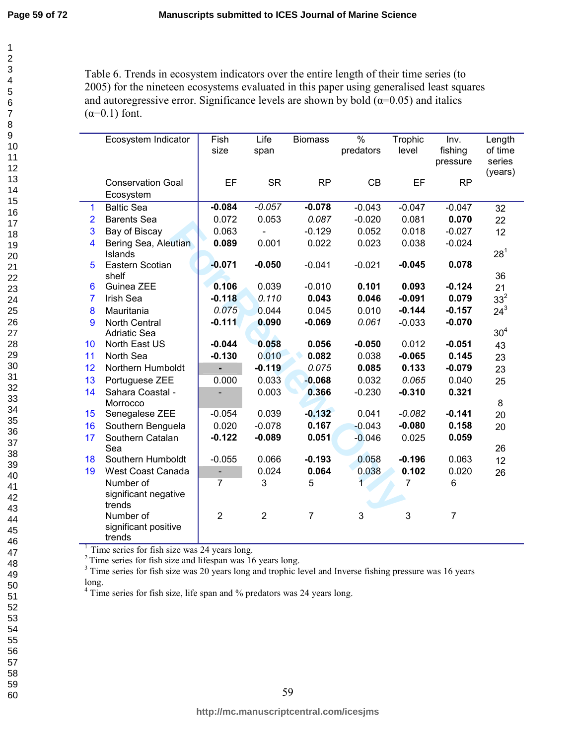$\mathbf{1}$  $\overline{2}$  $\overline{4}$ 

Table 6. Trends in ecosystem indicators over the entire length of their time series (to 2005) for the nineteen ecosystems evaluated in this paper using generalised least squares and autoregressive error. Significance levels are shown by bold  $(\alpha=0.05)$  and italics  $(\alpha=0.1)$  font.

|                | Ecosystem Indicator      | Fish                     | Life           | <b>Biomass</b> | $\%$      | Trophic  | Inv.           | Length          |
|----------------|--------------------------|--------------------------|----------------|----------------|-----------|----------|----------------|-----------------|
|                |                          | size                     | span           |                | predators | level    | fishing        | of time         |
|                |                          |                          |                |                |           |          | pressure       | series          |
|                |                          |                          |                |                |           |          |                | (years)         |
|                | <b>Conservation Goal</b> | EF                       | <b>SR</b>      | <b>RP</b>      | CB        | EF       | <b>RP</b>      |                 |
|                | Ecosystem                |                          |                |                |           |          |                |                 |
| $\mathbf 1$    | <b>Baltic Sea</b>        | $-0.084$                 | $-0.057$       | $-0.078$       | $-0.043$  | $-0.047$ | $-0.047$       | 32              |
| $\overline{2}$ | <b>Barents Sea</b>       | 0.072                    | 0.053          | 0.087          | $-0.020$  | 0.081    | 0.070          | 22              |
| 3              | Bay of Biscay            | 0.063                    |                | $-0.129$       | 0.052     | 0.018    | $-0.027$       | 12              |
| 4              | Bering Sea, Aleutian     | 0.089                    | 0.001          | 0.022          | 0.023     | 0.038    | $-0.024$       |                 |
|                | <b>Islands</b>           |                          |                |                |           |          |                | $28^{1}$        |
| 5              | Eastern Scotian<br>shelf | $-0.071$                 | $-0.050$       | $-0.041$       | $-0.021$  | $-0.045$ | 0.078          | 36              |
| 6              | Guinea ZEE               | 0.106                    | 0.039          | $-0.010$       | 0.101     | 0.093    | $-0.124$       | 21              |
| $\overline{7}$ | Irish Sea                | $-0.118$                 | 0.110          | 0.043          | 0.046     | $-0.091$ | 0.079          | 33 <sup>2</sup> |
| 8              | Mauritania               | 0.075                    | 0.044          | 0.045          | 0.010     | $-0.144$ | $-0.157$       | $24^{3}$        |
| 9              | <b>North Central</b>     | $-0.111$                 | 0.090          | $-0.069$       | 0.061     | $-0.033$ | $-0.070$       |                 |
|                | <b>Adriatic Sea</b>      |                          |                |                |           |          |                | 30 <sup>4</sup> |
| 10             | North East US            | $-0.044$                 | 0.058          | 0.056          | $-0.050$  | 0.012    | $-0.051$       | 43              |
| 11             | North Sea                | $-0.130$                 | 0.010          | 0.082          | 0.038     | $-0.065$ | 0.145          | 23              |
| 12             | Northern Humboldt        | $\overline{\phantom{0}}$ | $-0.119$       | 0.075          | 0.085     | 0.133    | $-0.079$       | 23              |
| 13             | Portuguese ZEE           | 0.000                    | 0.033          | $-0.068$       | 0.032     | 0.065    | 0.040          | 25              |
| 14             | Sahara Coastal -         |                          | 0.003          | 0.366          | $-0.230$  | $-0.310$ | 0.321          |                 |
|                | Morrocco                 |                          |                |                |           |          |                | $\bf 8$         |
| 15             | Senegalese ZEE           | $-0.054$                 | 0.039          | $-0.132$       | 0.041     | $-0.082$ | $-0.141$       | 20              |
| 16             | Southern Benguela        | 0.020                    | $-0.078$       | 0.167          | $-0.043$  | $-0.080$ | 0.158          | 20              |
| 17             | Southern Catalan         | $-0.122$                 | $-0.089$       | 0.051          | $-0.046$  | 0.025    | 0.059          |                 |
|                | Sea                      |                          |                |                |           |          |                | 26              |
| 18             | Southern Humboldt        | $-0.055$                 | 0.066          | $-0.193$       | 0.058     | $-0.196$ | 0.063          | 12              |
| 19             | West Coast Canada        | -                        | 0.024          | 0.064          | 0.038     | 0.102    | 0.020          | 26              |
|                | Number of                | 7                        | 3              | 5              | 1         | 7        | 6              |                 |
|                | significant negative     |                          |                |                |           |          |                |                 |
|                | trends                   |                          |                |                |           |          |                |                 |
|                | Number of                | $\overline{2}$           | $\overline{2}$ | 7              | 3         | 3        | $\overline{7}$ |                 |
|                | significant positive     |                          |                |                |           |          |                |                 |
|                | trends                   |                          |                |                |           |          |                |                 |

<sup>1</sup> Time series for fish size was 24 years long.

<sup>2</sup> Time series for fish size and lifespan was  $16$  years long.

<sup>3</sup> Time series for fish size was 20 years long and trophic level and Inverse fishing pressure was 16 years long.

Time series for fish size, life span and  $\%$  predators was 24 years long.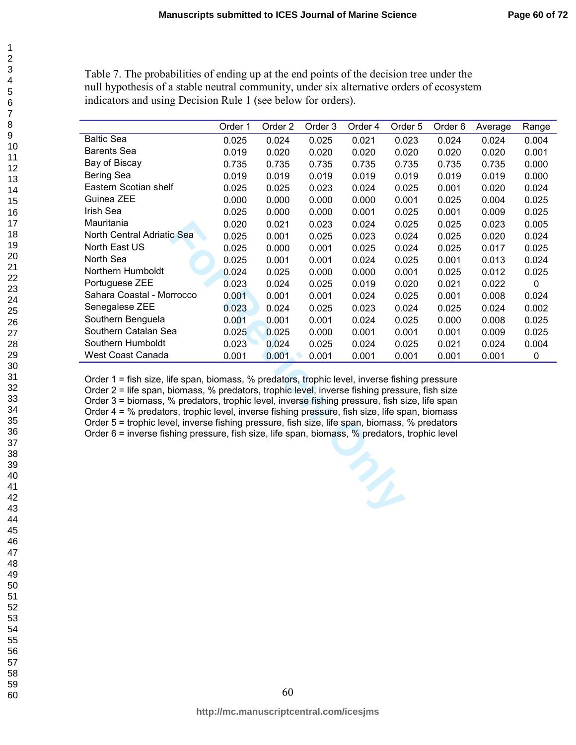Table 7. The probabilities of ending up at the end points of the decision tree under the null hypothesis of a stable neutral community, under six alternative orders of ecosystem indicators and using Decision Rule 1 (see below for orders).

|                                                                                                                                                                                                                                                                                                                                                                                                                                                                                                                                                                                                        | Order 1 | Order 2 | Order 3 | Order 4 | Order <sub>5</sub> | Order 6 | Average | Range     |
|--------------------------------------------------------------------------------------------------------------------------------------------------------------------------------------------------------------------------------------------------------------------------------------------------------------------------------------------------------------------------------------------------------------------------------------------------------------------------------------------------------------------------------------------------------------------------------------------------------|---------|---------|---------|---------|--------------------|---------|---------|-----------|
| <b>Baltic Sea</b>                                                                                                                                                                                                                                                                                                                                                                                                                                                                                                                                                                                      | 0.025   | 0.024   | 0.025   | 0.021   | 0.023              | 0.024   | 0.024   | 0.004     |
| <b>Barents Sea</b>                                                                                                                                                                                                                                                                                                                                                                                                                                                                                                                                                                                     | 0.019   | 0.020   | 0.020   | 0.020   | 0.020              | 0.020   | 0.020   | 0.001     |
| Bay of Biscay                                                                                                                                                                                                                                                                                                                                                                                                                                                                                                                                                                                          | 0.735   | 0.735   | 0.735   | 0.735   | 0.735              | 0.735   | 0.735   | 0.000     |
| Bering Sea                                                                                                                                                                                                                                                                                                                                                                                                                                                                                                                                                                                             | 0.019   | 0.019   | 0.019   | 0.019   | 0.019              | 0.019   | 0.019   | 0.000     |
| Eastern Scotian shelf                                                                                                                                                                                                                                                                                                                                                                                                                                                                                                                                                                                  | 0.025   | 0.025   | 0.023   | 0.024   | 0.025              | 0.001   | 0.020   | 0.024     |
| Guinea ZEE                                                                                                                                                                                                                                                                                                                                                                                                                                                                                                                                                                                             | 0.000   | 0.000   | 0.000   | 0.000   | 0.001              | 0.025   | 0.004   | 0.025     |
| Irish Sea                                                                                                                                                                                                                                                                                                                                                                                                                                                                                                                                                                                              | 0.025   | 0.000   | 0.000   | 0.001   | 0.025              | 0.001   | 0.009   | 0.025     |
| Mauritania                                                                                                                                                                                                                                                                                                                                                                                                                                                                                                                                                                                             | 0.020   | 0.021   | 0.023   | 0.024   | 0.025              | 0.025   | 0.023   | 0.005     |
| North Central Adriatic Sea                                                                                                                                                                                                                                                                                                                                                                                                                                                                                                                                                                             | 0.025   | 0.001   | 0.025   | 0.023   | 0.024              | 0.025   | 0.020   | 0.024     |
| North East US                                                                                                                                                                                                                                                                                                                                                                                                                                                                                                                                                                                          | 0.025   | 0.000   | 0.001   | 0.025   | 0.024              | 0.025   | 0.017   | 0.025     |
| North Sea                                                                                                                                                                                                                                                                                                                                                                                                                                                                                                                                                                                              | 0.025   | 0.001   | 0.001   | 0.024   | 0.025              | 0.001   | 0.013   | 0.024     |
| Northern Humboldt                                                                                                                                                                                                                                                                                                                                                                                                                                                                                                                                                                                      | 0.024   | 0.025   | 0.000   | 0.000   | 0.001              | 0.025   | 0.012   | 0.025     |
| Portuguese ZEE                                                                                                                                                                                                                                                                                                                                                                                                                                                                                                                                                                                         | 0.023   | 0.024   | 0.025   | 0.019   | 0.020              | 0.021   | 0.022   | $\pmb{0}$ |
| Sahara Coastal - Morrocco                                                                                                                                                                                                                                                                                                                                                                                                                                                                                                                                                                              | 0.001   | 0.001   | 0.001   | 0.024   | 0.025              | 0.001   | 0.008   | 0.024     |
| Senegalese ZEE                                                                                                                                                                                                                                                                                                                                                                                                                                                                                                                                                                                         | 0.023   | 0.024   | 0.025   | 0.023   | 0.024              | 0.025   | 0.024   | 0.002     |
| Southern Benguela                                                                                                                                                                                                                                                                                                                                                                                                                                                                                                                                                                                      | 0.001   | 0.001   | 0.001   | 0.024   | 0.025              | 0.000   | 0.008   | 0.025     |
| Southern Catalan Sea                                                                                                                                                                                                                                                                                                                                                                                                                                                                                                                                                                                   | 0.025   | 0.025   | 0.000   | 0.001   | 0.001              | 0.001   | 0.009   | 0.025     |
| Southern Humboldt                                                                                                                                                                                                                                                                                                                                                                                                                                                                                                                                                                                      | 0.023   | 0.024   | 0.025   | 0.024   | 0.025              | 0.021   | 0.024   | 0.004     |
| West Coast Canada                                                                                                                                                                                                                                                                                                                                                                                                                                                                                                                                                                                      | 0.001   | 0.001   | 0.001   | 0.001   | 0.001              | 0.001   | 0.001   | 0         |
| Order 1 = fish size, life span, biomass, % predators, trophic level, inverse fishing pressure<br>Order 2 = life span, biomass, % predators, trophic level, inverse fishing pressure, fish size<br>Order 3 = biomass, % predators, trophic level, inverse fishing pressure, fish size, life span<br>Order 4 = % predators, trophic level, inverse fishing pressure, fish size, life span, biomass<br>Order 5 = trophic level, inverse fishing pressure, fish size, life span, biomass, % predators<br>Order $6$ = inverse fishing pressure, fish size, life span, biomass, $%$ predators, trophic level |         |         |         |         |                    |         |         |           |

 $\mathbf{1}$  $\overline{2}$  $\overline{4}$  $\overline{7}$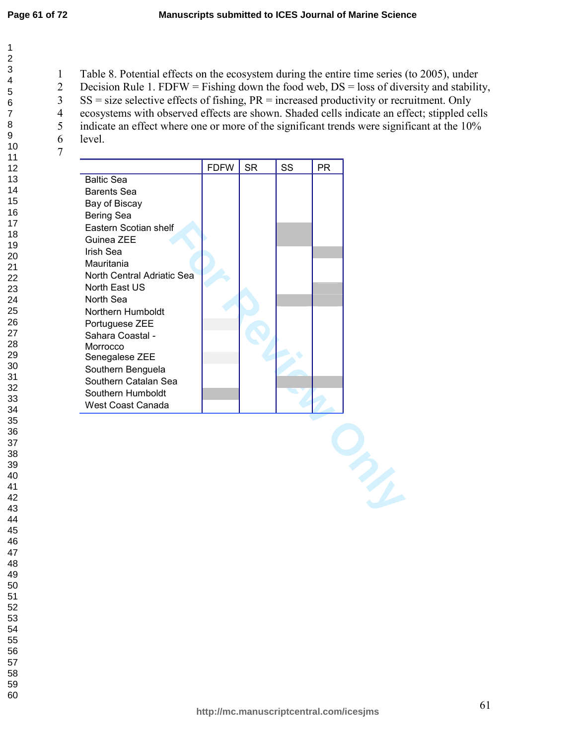1 Table 8. Potential effects on the ecosystem during the entire time series (to 2005), under

2 Decision Rule 1. FDFW = Fishing down the food web, DS = loss of diversity and stability,

3 SS = size selective effects of fishing, PR = increased productivity or recruitment. Only

4 ecosystems with observed effects are shown. Shaded cells indicate an effect; stippled cells

- 5 indicate an effect where one or more of the significant trends were significant at the 10%
- 6 level.

|                            | <b>FDFW</b> | <b>SR</b> | SS | <b>PR</b> |
|----------------------------|-------------|-----------|----|-----------|
| <b>Baltic Sea</b>          |             |           |    |           |
| <b>Barents Sea</b>         |             |           |    |           |
| Bay of Biscay              |             |           |    |           |
| Bering Sea                 |             |           |    |           |
| Eastern Scotian shelf      |             |           |    |           |
| Guinea ZEE                 |             |           |    |           |
| Irish Sea                  |             |           |    |           |
| Mauritania                 |             |           |    |           |
| North Central Adriatic Sea |             |           |    |           |
| North East US              |             |           |    |           |
| North Sea                  |             |           |    |           |
| Northern Humboldt          |             |           |    |           |
| Portuguese ZEE             |             |           |    |           |
| Sahara Coastal -           |             |           |    |           |
| Morrocco                   |             |           |    |           |
| Senegalese ZEE             |             |           |    |           |
| Southern Benguela          |             |           |    |           |
| Southern Catalan Sea       |             |           |    |           |
| Southern Humboldt          |             |           |    |           |
| West Coast Canada          |             |           |    |           |

**For Review Only**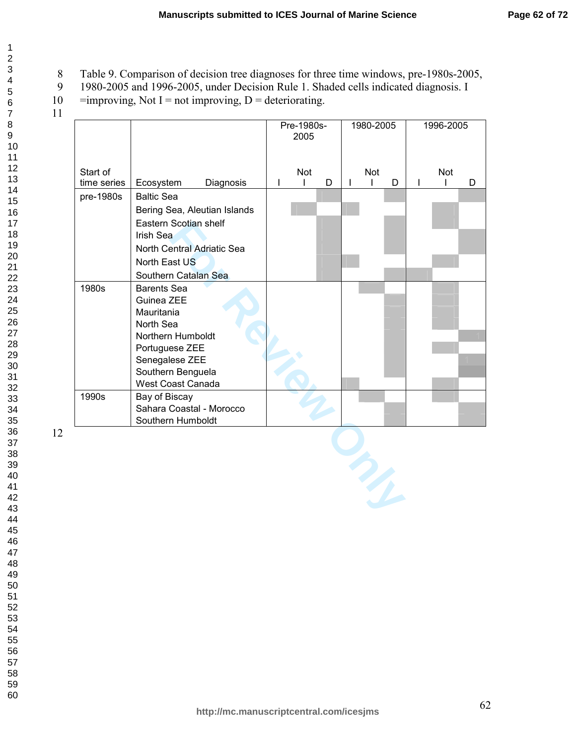- 8 Table 9. Comparison of decision tree diagnoses for three time windows, pre-1980s-2005,<br>9 1980-2005 and 1996-2005, under Decision Rule 1. Shaded cells indicated diagnosis. I
- 9 1980-2005 and 1996-2005, under Decision Rule 1. Shaded cells indicated diagnosis. I
- 10 = improving, Not I = not improving,  $D =$  deteriorating.
- 

| Start of<br>time series<br>pre-1980s | Diagnosis<br>Ecosystem<br><b>Baltic Sea</b><br>Bering Sea, Aleutian Islands<br>Eastern Scotian shelf | Pre-1980s-<br>2005<br><b>Not</b><br>$\mathsf{I}$ | D | 1980-2005<br>Not |   | 1996-2005<br>Not |   |
|--------------------------------------|------------------------------------------------------------------------------------------------------|--------------------------------------------------|---|------------------|---|------------------|---|
|                                      |                                                                                                      |                                                  |   |                  |   |                  |   |
|                                      |                                                                                                      |                                                  |   |                  |   |                  |   |
|                                      |                                                                                                      |                                                  |   | L                | D |                  | D |
|                                      |                                                                                                      |                                                  |   |                  |   |                  |   |
|                                      |                                                                                                      |                                                  |   |                  |   |                  |   |
|                                      |                                                                                                      |                                                  |   |                  |   |                  |   |
|                                      | Irish Sea                                                                                            |                                                  |   |                  |   |                  |   |
|                                      | North Central Adriatic Sea                                                                           |                                                  |   |                  |   |                  |   |
|                                      | North East US                                                                                        |                                                  |   |                  |   |                  |   |
|                                      | Southern Catalan Sea                                                                                 |                                                  |   |                  |   |                  |   |
| 1980s                                | <b>Barents Sea</b>                                                                                   |                                                  |   |                  |   |                  |   |
|                                      | Guinea ZEE                                                                                           |                                                  |   |                  |   |                  |   |
|                                      | Mauritania                                                                                           |                                                  |   |                  |   |                  |   |
|                                      | North Sea<br>Northern Humboldt                                                                       |                                                  |   |                  |   |                  |   |
|                                      | Portuguese ZEE                                                                                       |                                                  |   |                  |   |                  |   |
|                                      | Senegalese ZEE                                                                                       |                                                  |   |                  |   |                  |   |
|                                      | Southern Benguela                                                                                    |                                                  |   |                  |   |                  |   |
|                                      | West Coast Canada                                                                                    |                                                  |   |                  |   |                  |   |
| 1990s                                | Bay of Biscay                                                                                        |                                                  |   |                  |   |                  |   |
|                                      | Sahara Coastal - Morocco                                                                             |                                                  |   |                  |   |                  |   |
|                                      | Southern Humboldt                                                                                    |                                                  |   |                  |   |                  |   |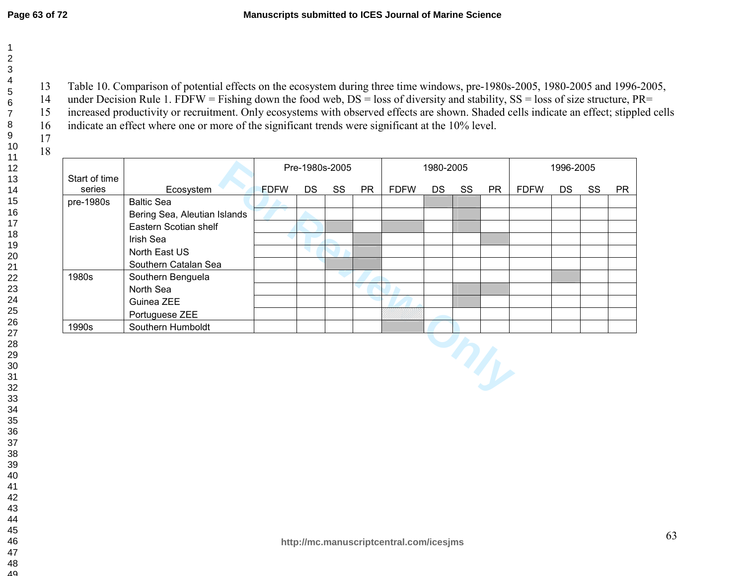13 Table 10. Comparison of potential effects on the ecosystem during three time windows, pre-1980s-2005, 1980-2005 and 1996-2005, 14 under Decision Rule 1. FDFW = Fishing down the food web, DS = loss of diversity and stability, SS = loss of size structure, PR= 15 increased productivity or recruitment. Only ecosystems with observed effects are shown. Shaded cells indicate an effect; stippled cells indicate an effect where one or more of the significant trends were significant at the 10% level.

| 1 |
|---|
|   |
|   |
|   |
|   |

|                         |                              | Pre-1980s-2005 |     |    |           |             | 1980-2005 |    |           | 1996-2005   |           |    |           |
|-------------------------|------------------------------|----------------|-----|----|-----------|-------------|-----------|----|-----------|-------------|-----------|----|-----------|
| Start of time<br>series | Ecosystem                    | <b>FDFW</b>    | DS. | SS | <b>PR</b> | <b>FDFW</b> | DS.       | SS | <b>PR</b> | <b>FDFW</b> | <b>DS</b> | SS | <b>PR</b> |
| pre-1980s               | <b>Baltic Sea</b>            |                |     |    |           |             |           |    |           |             |           |    |           |
|                         | Bering Sea, Aleutian Islands |                |     |    |           |             |           |    |           |             |           |    |           |
|                         | Eastern Scotian shelf        |                |     |    |           |             |           |    |           |             |           |    |           |
|                         | Irish Sea                    |                |     |    |           |             |           |    |           |             |           |    |           |
|                         | North East US                |                |     |    |           |             |           |    |           |             |           |    |           |
|                         | Southern Catalan Sea         |                |     |    |           |             |           |    |           |             |           |    |           |
| 1980s                   | Southern Benguela            |                |     |    |           |             |           |    |           |             |           |    |           |
|                         | North Sea                    |                |     |    |           |             |           |    |           |             |           |    |           |
|                         | Guinea ZEE                   |                |     |    |           |             |           |    |           |             |           |    |           |
|                         | Portuguese ZEE               |                |     |    |           |             |           |    |           |             |           |    |           |
| 1990s                   | Southern Humboldt            |                |     |    |           |             |           |    |           |             |           |    |           |
|                         |                              |                |     |    |           |             |           |    |           |             |           |    |           |

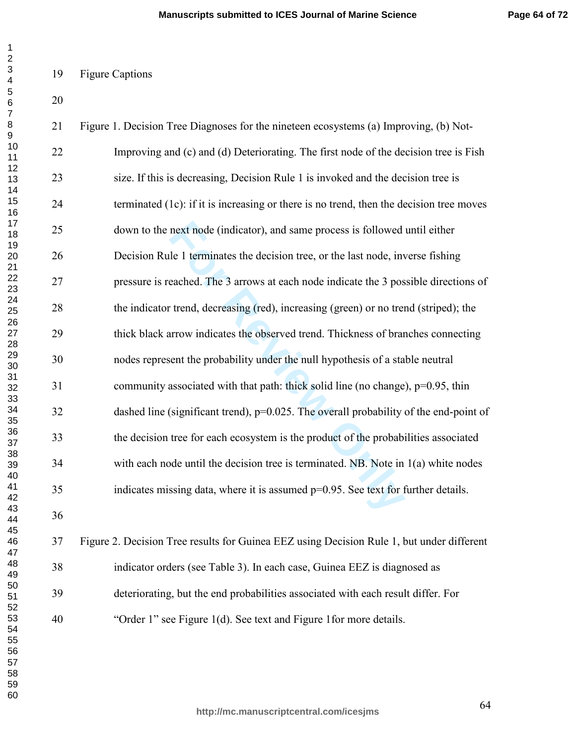## 19 Figure Captions

| 1                                                        |
|----------------------------------------------------------|
| 2                                                        |
|                                                          |
|                                                          |
|                                                          |
|                                                          |
|                                                          |
|                                                          |
|                                                          |
|                                                          |
|                                                          |
|                                                          |
|                                                          |
|                                                          |
|                                                          |
|                                                          |
|                                                          |
|                                                          |
|                                                          |
| 3 4567891111111111222222222233334                        |
|                                                          |
|                                                          |
|                                                          |
|                                                          |
|                                                          |
|                                                          |
|                                                          |
|                                                          |
|                                                          |
|                                                          |
|                                                          |
|                                                          |
| 30<br>31<br>32<br>33<br>34<br>35<br>36<br>37<br>38<br>39 |
|                                                          |
|                                                          |
|                                                          |
|                                                          |
|                                                          |
|                                                          |
|                                                          |
|                                                          |
|                                                          |
|                                                          |
| 40                                                       |
| 41                                                       |
| 4                                                        |
| 43                                                       |
| 44                                                       |
| 45                                                       |
| 46                                                       |
|                                                          |
| 47                                                       |
| 48                                                       |
| 49                                                       |
| $\frac{50}{1}$                                           |
|                                                          |
| $\overline{ }$                                           |
| 51<br>52<br>53<br>3                                      |
| 54                                                       |
| 55                                                       |
| 56                                                       |
| ì                                                        |
| 57                                                       |
| 58                                                       |
| 59                                                       |
| 60                                                       |

| 21 | Figure 1. Decision Tree Diagnoses for the nineteen ecosystems (a) Improving, (b) Not-     |
|----|-------------------------------------------------------------------------------------------|
| 22 | Improving and (c) and (d) Deteriorating. The first node of the decision tree is Fish      |
| 23 | size. If this is decreasing, Decision Rule 1 is invoked and the decision tree is          |
| 24 | terminated (1c): if it is increasing or there is no trend, then the decision tree moves   |
| 25 | down to the next node (indicator), and same process is followed until either              |
| 26 | Decision Rule 1 terminates the decision tree, or the last node, inverse fishing           |
| 27 | pressure is reached. The 3 arrows at each node indicate the 3 possible directions of      |
| 28 | the indicator trend, decreasing (red), increasing (green) or no trend (striped); the      |
| 29 | thick black arrow indicates the observed trend. Thickness of branches connecting          |
| 30 | nodes represent the probability under the null hypothesis of a stable neutral             |
| 31 | community associated with that path: thick solid line (no change), p=0.95, thin           |
| 32 | dashed line (significant trend), $p=0.025$ . The overall probability of the end-point of  |
| 33 | the decision tree for each ecosystem is the product of the probabilities associated       |
| 34 | with each node until the decision tree is terminated. NB. Note in $1(a)$ white nodes      |
| 35 | indicates missing data, where it is assumed p=0.95. See text for further details.         |
| 36 |                                                                                           |
| 37 | Figure 2. Decision Tree results for Guinea EEZ using Decision Rule 1, but under different |

38 indicator orders (see Table 3). In each case, Guinea EEZ is diagnosed as 39 deteriorating, but the end probabilities associated with each result differ. For 40 "Order 1" see Figure 1(d). See text and Figure 1for more details.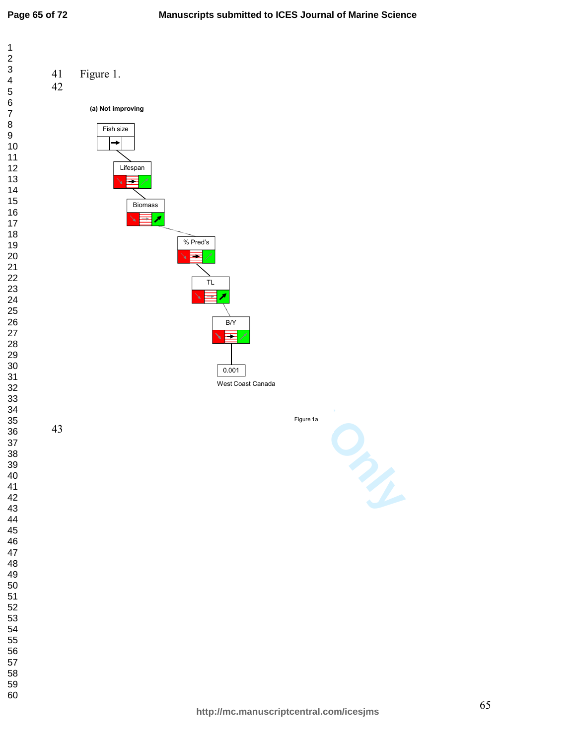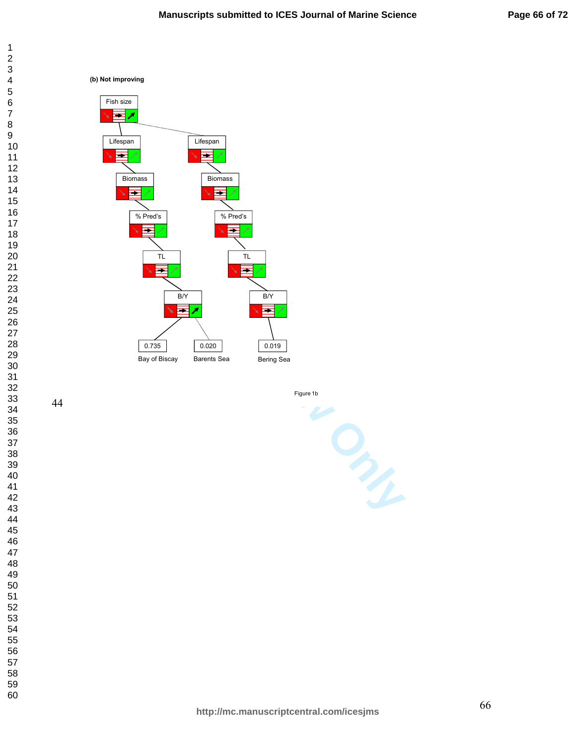





Figure 1b

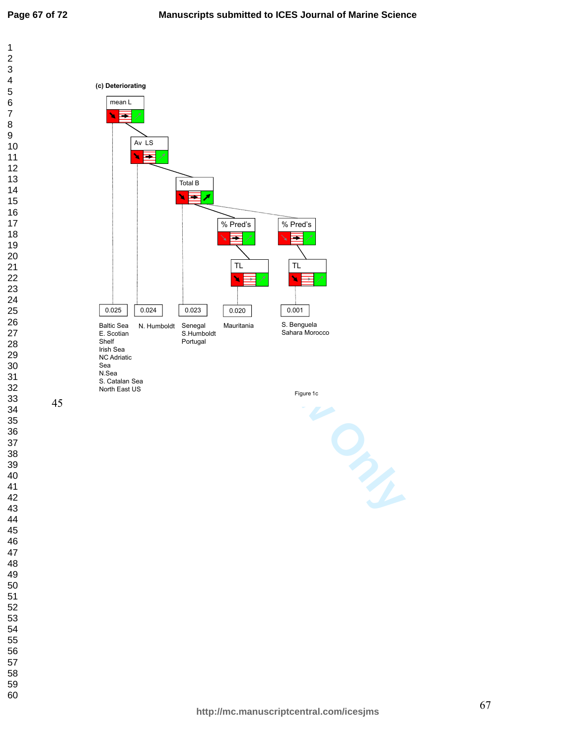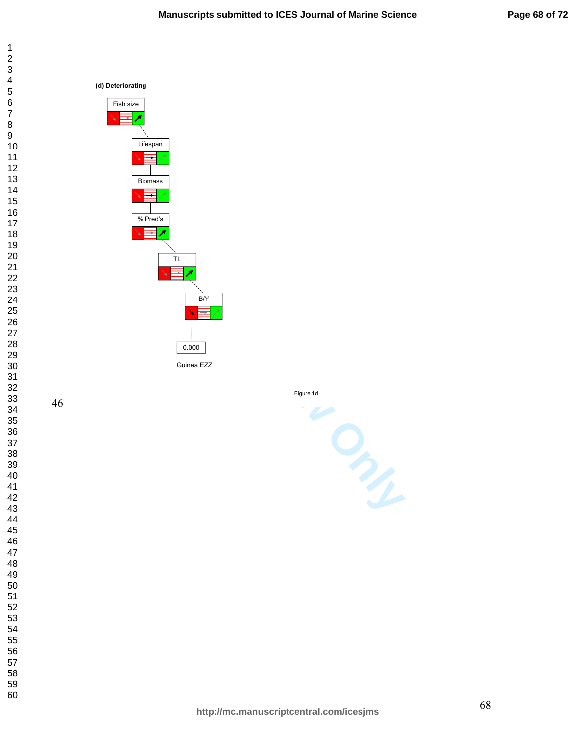





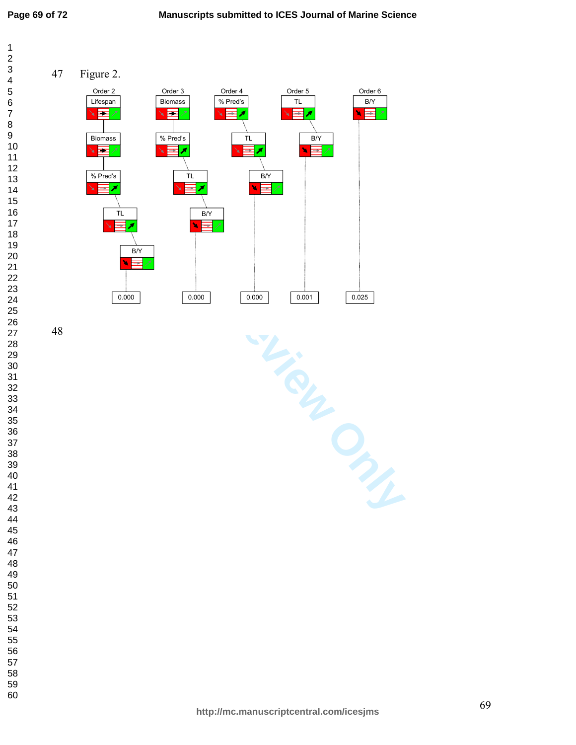$\mathbf{1}$  $\overline{2}$  $\overline{4}$  $\overline{7}$ 



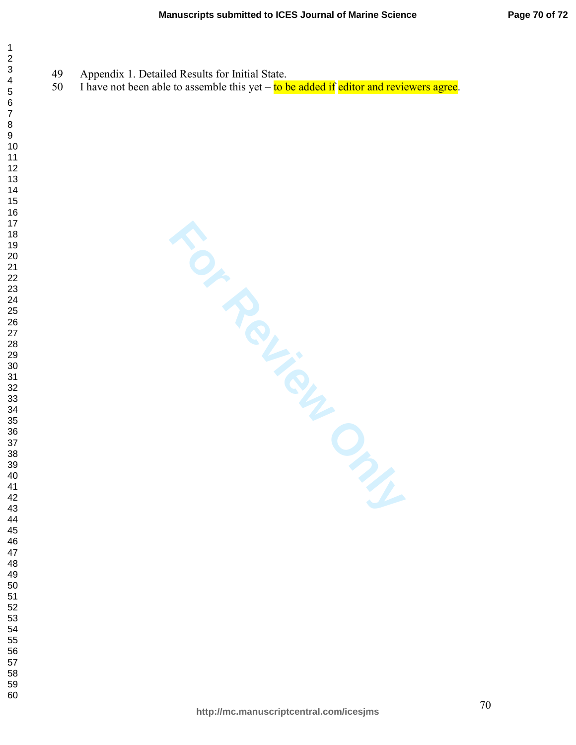49 Appendix 1. Detailed Results for Initial State.

 $\mathbf{1}$  $\overline{2}$  $\overline{4}$  $\overline{7}$ 

50 I have not been able to assemble this yet  $-\pi$  to be added if editor and reviewers agree.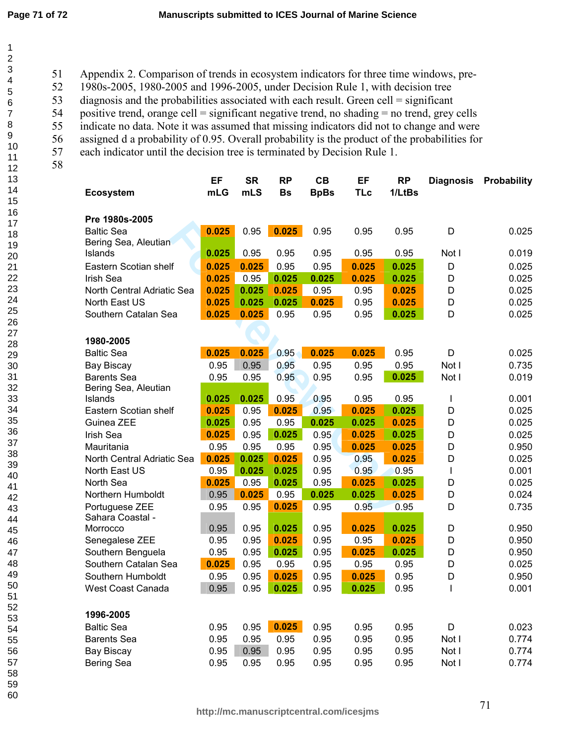51 Appendix 2. Comparison of trends in ecosystem indicators for three time windows, pre-

52 1980s-2005, 1980-2005 and 1996-2005, under Decision Rule 1, with decision tree

53 diagnosis and the probabilities associated with each result. Green cell = significant

54 positive trend, orange cell = significant negative trend, no shading = no trend, grey cells

55 indicate no data. Note it was assumed that missing indicators did not to change and were

56 assigned d a probability of 0.95. Overall probability is the product of the probabilities for

57 each indicator until the decision tree is terminated by Decision Rule 1. 58

| <b>Ecosystem</b>               | EF<br>mLG | <b>SR</b><br>mLS | <b>RP</b><br><b>Bs</b> | CB<br><b>BpBs</b> | EF<br><b>TLc</b> | <b>RP</b><br>1/LtBs | <b>Diagnosis</b> | Probability |
|--------------------------------|-----------|------------------|------------------------|-------------------|------------------|---------------------|------------------|-------------|
| Pre 1980s-2005                 |           |                  |                        |                   |                  |                     |                  |             |
| <b>Baltic Sea</b>              | 0.025     | 0.95             | 0.025                  | 0.95              | 0.95             | 0.95                | D                | 0.025       |
| Bering Sea, Aleutian           |           |                  |                        |                   |                  |                     |                  |             |
| Islands                        | 0.025     | 0.95             | 0.95                   | 0.95              | 0.95             | 0.95                | Not I            | 0.019       |
| Eastern Scotian shelf          | 0.025     | 0.025            | 0.95                   | 0.95              | 0.025            | 0.025               | D                | 0.025       |
| Irish Sea                      | 0.025     | 0.95             | 0.025                  | 0.025             | 0.025            | 0.025               | D                | 0.025       |
| North Central Adriatic Sea     | 0.025     | 0.025            | 0.025                  | 0.95              | 0.95             | 0.025               | D                | 0.025       |
| North East US                  | 0.025     | 0.025            | 0.025                  | 0.025             | 0.95             | 0.025               | D                | 0.025       |
| Southern Catalan Sea           | 0.025     | 0.025            | 0.95                   | 0.95              | 0.95             | 0.025               | D                | 0.025       |
|                                |           |                  |                        |                   |                  |                     |                  |             |
| 1980-2005<br><b>Baltic Sea</b> | 0.025     | 0.025            | 0.95                   | 0.025             | 0.025            | 0.95                | D                | 0.025       |
| Bay Biscay                     | 0.95      | 0.95             | 0.95                   | 0.95              | 0.95             | 0.95                | Not I            | 0.735       |
| <b>Barents Sea</b>             | 0.95      | 0.95             | 0.95                   | 0.95              | 0.95             | 0.025               | Not I            | 0.019       |
| Bering Sea, Aleutian           |           |                  |                        |                   |                  |                     |                  |             |
| Islands                        | 0.025     | 0.025            | 0.95                   | 0.95              | 0.95             | 0.95                | I                | 0.001       |
| Eastern Scotian shelf          | 0.025     | 0.95             | 0.025                  | 0.95              | 0.025            | 0.025               | D                | 0.025       |
| Guinea ZEE                     | 0.025     | 0.95             | 0.95                   | 0.025             | 0.025            | 0.025               | D                | 0.025       |
| Irish Sea                      | 0.025     | 0.95             | 0.025                  | 0.95              | 0.025            | 0.025               | D                | 0.025       |
| Mauritania                     | 0.95      | 0.95             | 0.95                   | 0.95              | 0.025            | 0.025               | D                | 0.950       |
| North Central Adriatic Sea     | 0.025     | 0.025            | 0.025                  | 0.95              | 0.95             | 0.025               | D                | 0.025       |
| North East US                  | 0.95      | 0.025            | 0.025                  | 0.95              | 0.95             | 0.95                | $\mathsf{I}$     | 0.001       |
| North Sea                      | 0.025     | 0.95             | 0.025                  | 0.95              | 0.025            | 0.025               | D                | 0.025       |
| Northern Humboldt              | 0.95      | 0.025            | 0.95                   | 0.025             | 0.025            | 0.025               | D                | 0.024       |
| Portuguese ZEE                 | 0.95      | 0.95             | 0.025                  | 0.95              | 0.95             | 0.95                | D                | 0.735       |
| Sahara Coastal -               |           |                  |                        |                   |                  |                     |                  |             |
| Morrocco                       | 0.95      | 0.95             | 0.025                  | 0.95              | 0.025            | 0.025               | D                | 0.950       |
| Senegalese ZEE                 | 0.95      | 0.95             | 0.025                  | 0.95              | 0.95             | 0.025               | D                | 0.950       |
| Southern Benguela              | 0.95      | 0.95             | 0.025                  | 0.95              | 0.025            | 0.025               | D                | 0.950       |
| Southern Catalan Sea           | 0.025     | 0.95             | 0.95                   | 0.95              | 0.95             | 0.95                | D                | 0.025       |
| Southern Humboldt              | 0.95      | 0.95             | 0.025                  | 0.95              | 0.025            | 0.95                | D                | 0.950       |
| <b>West Coast Canada</b>       | 0.95      | 0.95             | 0.025                  | 0.95              | 0.025            | 0.95                | I                | 0.001       |
| 1996-2005                      |           |                  |                        |                   |                  |                     |                  |             |
| <b>Baltic Sea</b>              | 0.95      | 0.95             | 0.025                  | 0.95              | 0.95             | 0.95                | D                | 0.023       |
| <b>Barents Sea</b>             | 0.95      | 0.95             | 0.95                   | 0.95              | 0.95             | 0.95                | Not I            | 0.774       |
| Bay Biscay                     | 0.95      | 0.95             | 0.95                   | 0.95              | 0.95             | 0.95                | Not I            | 0.774       |
| Bering Sea                     | 0.95      | 0.95             | 0.95                   | 0.95              | 0.95             | 0.95                | Not I            | 0.774       |
|                                |           |                  |                        |                   |                  |                     |                  |             |